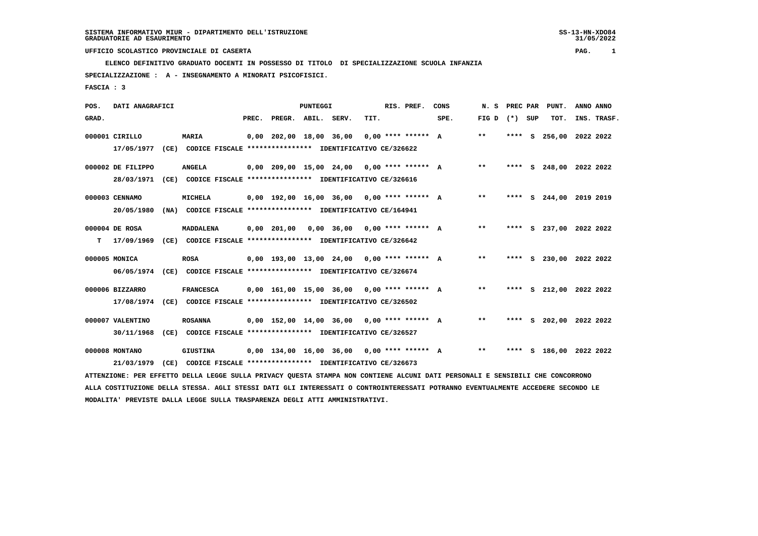31/05/2022

 **ELENCO DEFINITIVO GRADUATO DOCENTI IN POSSESSO DI TITOLO DI SPECIALIZZAZIONE SCUOLA INFANZIA**

 **SPECIALIZZAZIONE : A - INSEGNAMENTO A MINORATI PSICOFISICI.**

 **FASCIA : 3**

| POS.  | DATI ANAGRAFICI   |      |                                                               |       |                                              | PUNTEGGI |      | RIS. PREF. | CONS | N.S   | PREC PAR |     | PUNT.                   | ANNO ANNO |             |
|-------|-------------------|------|---------------------------------------------------------------|-------|----------------------------------------------|----------|------|------------|------|-------|----------|-----|-------------------------|-----------|-------------|
| GRAD. |                   |      |                                                               | PREC. | PREGR. ABIL. SERV.                           |          | TIT. |            | SPE. | FIG D | $(*)$    | SUP | TOT.                    |           | INS. TRASF. |
|       | 000001 CIRILLO    |      | <b>MARIA</b>                                                  |       | $0,00$ 202,00 18,00 36,00 0,00 **** ****** A |          |      |            |      | $***$ | $***$ S  |     | 256,00 2022 2022        |           |             |
|       | 17/05/1977        | (CE) | CODICE FISCALE **************** IDENTIFICATIVO CE/326622      |       |                                              |          |      |            |      |       |          |     |                         |           |             |
|       | 000002 DE FILIPPO |      | <b>ANGELA</b>                                                 |       | $0,00$ 209,00 15,00 24,00 0,00 **** ****** A |          |      |            |      | $***$ |          |     | **** S 248,00 2022 2022 |           |             |
|       | 28/03/1971        |      | (CE) CODICE FISCALE **************** IDENTIFICATIVO CE/326616 |       |                                              |          |      |            |      |       |          |     |                         |           |             |
|       | 000003 CENNAMO    |      | MICHELA                                                       |       | $0,00$ 192,00 16,00 36,00 0,00 **** ****** A |          |      |            |      | $**$  | ****     |     | S 244,00                | 2019 2019 |             |
|       | 20/05/1980        | (NA) | CODICE FISCALE **************** IDENTIFICATIVO CE/164941      |       |                                              |          |      |            |      |       |          |     |                         |           |             |
|       | 000004 DE ROSA    |      | MADDALENA                                                     |       | $0,00$ 201,00 0,00 36,00 0,00 **** ****** A  |          |      |            |      | $***$ |          |     | **** S 237,00 2022 2022 |           |             |
| т     | 17/09/1969        |      | (CE) CODICE FISCALE **************** IDENTIFICATIVO CE/326642 |       |                                              |          |      |            |      |       |          |     |                         |           |             |
|       | 000005 MONICA     |      | <b>ROSA</b>                                                   |       | $0.00$ 193.00 13.00 24.00 0.00 **** ****** A |          |      |            |      | $***$ | ****     |     | S 230,00 2022 2022      |           |             |
|       | 06/05/1974        | (CE) | CODICE FISCALE **************** IDENTIFICATIVO CE/326674      |       |                                              |          |      |            |      |       |          |     |                         |           |             |
|       | 000006 BIZZARRO   |      | <b>FRANCESCA</b>                                              |       | $0,00$ 161,00 15,00 36,00 0,00 **** ****** A |          |      |            |      | $***$ |          |     | **** S 212,00 2022 2022 |           |             |
|       | 17/08/1974        |      | (CE) CODICE FISCALE **************** IDENTIFICATIVO CE/326502 |       |                                              |          |      |            |      |       |          |     |                         |           |             |
|       | 000007 VALENTINO  |      | <b>ROSANNA</b>                                                |       | $0,00$ 152,00 14,00 36,00 0,00 **** ****** A |          |      |            |      | $* *$ | ****     | s   | 202,00 2022 2022        |           |             |
|       | 30/11/1968        | (CE) | CODICE FISCALE **************** IDENTIFICATIVO CE/326527      |       |                                              |          |      |            |      |       |          |     |                         |           |             |
|       | 000008 MONTANO    |      | <b>GIUSTINA</b>                                               |       | $0,00$ 134,00 16,00 36,00 0,00 **** ****** A |          |      |            |      | $**$  |          |     | **** S 186,00 2022 2022 |           |             |

 **21/03/1979 (CE) CODICE FISCALE \*\*\*\*\*\*\*\*\*\*\*\*\*\*\*\* IDENTIFICATIVO CE/326673**

 **ATTENZIONE: PER EFFETTO DELLA LEGGE SULLA PRIVACY QUESTA STAMPA NON CONTIENE ALCUNI DATI PERSONALI E SENSIBILI CHE CONCORRONO ALLA COSTITUZIONE DELLA STESSA. AGLI STESSI DATI GLI INTERESSATI O CONTROINTERESSATI POTRANNO EVENTUALMENTE ACCEDERE SECONDO LE MODALITA' PREVISTE DALLA LEGGE SULLA TRASPARENZA DEGLI ATTI AMMINISTRATIVI.**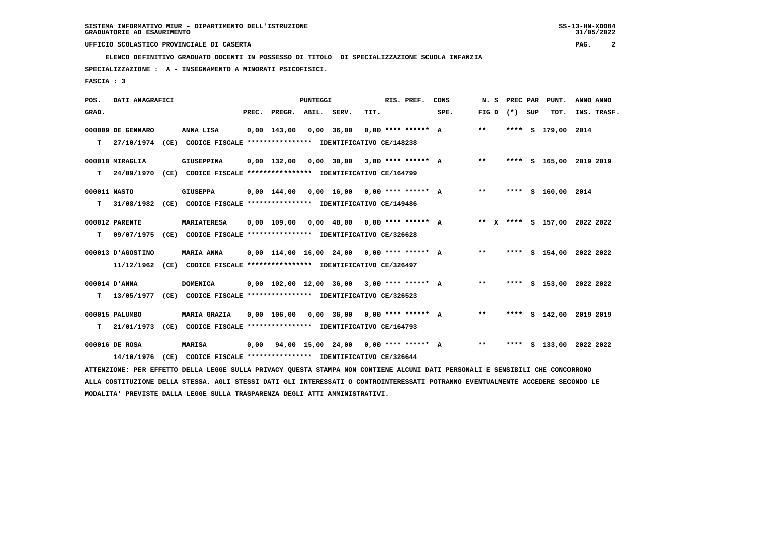**ELENCO DEFINITIVO GRADUATO DOCENTI IN POSSESSO DI TITOLO DI SPECIALIZZAZIONE SCUOLA INFANZIA**

 **SPECIALIZZAZIONE : A - INSEGNAMENTO A MINORATI PSICOFISICI.**

 **FASCIA : 3**

| POS.         | DATI ANAGRAFICI   |                                                                                                                                 |                                                     | <b>PUNTEGGI</b> |                                 |      | RIS. PREF.           | CONS | N. S              |      | PREC PAR PUNT.               | ANNO ANNO |             |
|--------------|-------------------|---------------------------------------------------------------------------------------------------------------------------------|-----------------------------------------------------|-----------------|---------------------------------|------|----------------------|------|-------------------|------|------------------------------|-----------|-------------|
| GRAD.        |                   |                                                                                                                                 | PREC. PREGR. ABIL. SERV.                            |                 |                                 | TIT. |                      | SPE. | FIG $D$ $(*)$ SUP |      | TOT.                         |           | INS. TRASF. |
|              | 000009 DE GENNARO | ANNA LISA                                                                                                                       | $0,00$ 143,00                                       |                 | $0,00$ 36,00                    |      | $0.00$ **** ****** A |      | $***$             | **** | s 179,00 2014                |           |             |
| т            | 27/10/1974        | (CE) CODICE FISCALE **************** IDENTIFICATIVO CE/148238                                                                   |                                                     |                 |                                 |      |                      |      |                   |      |                              |           |             |
|              | 000010 MIRAGLIA   | <b>GIUSEPPINA</b>                                                                                                               | $0.00$ 132.00                                       |                 | $0,00$ 30,00 3,00 **** ****** A |      |                      |      | $* *$             |      | **** S 165,00 2019 2019      |           |             |
| т            | 24/09/1970        | (CE) CODICE FISCALE **************** IDENTIFICATIVO CE/164799                                                                   |                                                     |                 |                                 |      |                      |      |                   |      |                              |           |             |
| 000011 NASTO |                   | <b>GIUSEPPA</b>                                                                                                                 | $0,00$ 144,00                                       |                 | $0,00$ 16,00 0,00 **** ****** A |      |                      |      | $***$             |      | **** S 160,00 2014           |           |             |
| т            | 31/08/1982        | (CE) CODICE FISCALE **************** IDENTIFICATIVO CE/149486                                                                   |                                                     |                 |                                 |      |                      |      |                   |      |                              |           |             |
|              | 000012 PARENTE    | <b>MARIATERESA</b>                                                                                                              | 0,00 109,00                                         |                 | $0,00$ 48,00 0,00 **** ****** A |      |                      |      |                   |      | ** X **** S 157,00 2022 2022 |           |             |
| т            | 09/07/1975        | (CE) CODICE FISCALE **************** IDENTIFICATIVO CE/326628                                                                   |                                                     |                 |                                 |      |                      |      |                   |      |                              |           |             |
|              | 000013 D'AGOSTINO | <b>MARIA ANNA</b>                                                                                                               | $0,00$ 114,00 16,00 24,00 0,00 **** ****** A        |                 |                                 |      |                      |      | $***$             |      | **** S 154,00 2022 2022      |           |             |
|              | 11/12/1962        | (CE) CODICE FISCALE **************** IDENTIFICATIVO CE/326497                                                                   |                                                     |                 |                                 |      |                      |      |                   |      |                              |           |             |
|              | 000014 D'ANNA     | <b>DOMENICA</b>                                                                                                                 | $0.00$ 102.00 12.00 36.00 3.00 **** ****** A        |                 |                                 |      |                      |      | $***$             |      | **** S 153,00 2022 2022      |           |             |
| т            | 13/05/1977        | (CE) CODICE FISCALE **************** IDENTIFICATIVO CE/326523                                                                   |                                                     |                 |                                 |      |                      |      |                   |      |                              |           |             |
|              | 000015 PALUMBO    | <b>MARIA GRAZIA</b>                                                                                                             | 0,00 106,00                                         |                 | $0,00$ 36,00 0,00 **** ****** A |      |                      |      | $***$             |      | **** S 142,00 2019 2019      |           |             |
| т            | 21/01/1973        | (CE) CODICE FISCALE **************** IDENTIFICATIVO CE/164793                                                                   |                                                     |                 |                                 |      |                      |      |                   |      |                              |           |             |
|              | 000016 DE ROSA    | <b>MARISA</b>                                                                                                                   | $0,00$ $94,00$ $15,00$ $24,00$ $0,00$ **** ****** A |                 |                                 |      |                      |      | $**$              |      | **** S 133,00 2022 2022      |           |             |
|              | 14/10/1976        | (CE) CODICE FISCALE **************** IDENTIFICATIVO CE/326644                                                                   |                                                     |                 |                                 |      |                      |      |                   |      |                              |           |             |
|              |                   | ATTENZIONE: PER EFFETTO DELLA LEGGE SULLA PRIVACY QUESTA STAMPA NON CONTIENE ALCUNI DATI PERSONALI E SENSIBILI CHE CONCORRONO   |                                                     |                 |                                 |      |                      |      |                   |      |                              |           |             |
|              |                   | ALLA COSTITUZIONE DELLA STESSA. AGLI STESSI DATI GLI INTERESSATI O CONTROINTERESSATI POTRANNO EVENTUALMENTE ACCEDERE SECONDO LE |                                                     |                 |                                 |      |                      |      |                   |      |                              |           |             |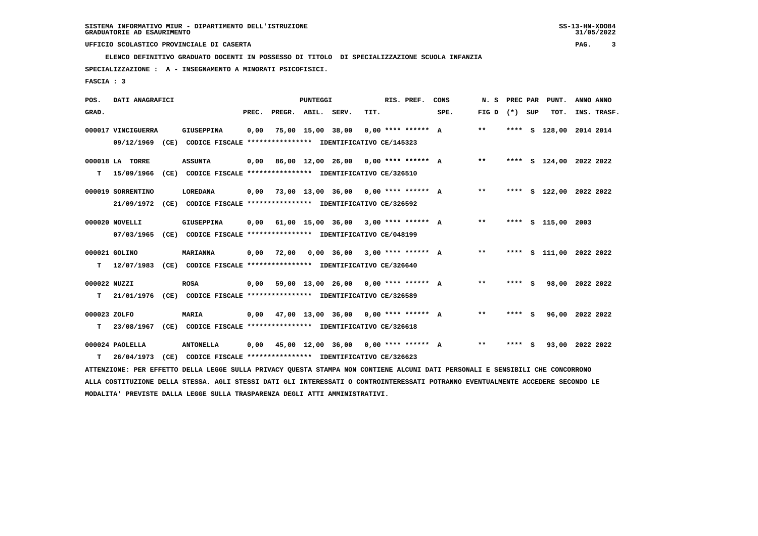**ELENCO DEFINITIVO GRADUATO DOCENTI IN POSSESSO DI TITOLO DI SPECIALIZZAZIONE SCUOLA INFANZIA**

 **SPECIALIZZAZIONE : A - INSEGNAMENTO A MINORATI PSICOFISICI.**

 **FASCIA : 3**

| POS.         | DATI ANAGRAFICI    |                                                                                                                                 |       |                                      | PUNTEGGI          |                                      |      | RIS. PREF.           | CONS | N.S   |         | PREC PAR PUNT.          | ANNO ANNO |             |
|--------------|--------------------|---------------------------------------------------------------------------------------------------------------------------------|-------|--------------------------------------|-------------------|--------------------------------------|------|----------------------|------|-------|---------|-------------------------|-----------|-------------|
| GRAD.        |                    |                                                                                                                                 | PREC. | PREGR. ABIL. SERV.                   |                   |                                      | TIT. |                      | SPE. | FIG D | (*) SUP | TOT.                    |           | INS. TRASF. |
|              | 000017 VINCIGUERRA | <b>GIUSEPPINA</b>                                                                                                               | 0,00  |                                      | 75,00 15,00 38,00 |                                      |      | $0.00$ **** ****** A |      | $* *$ |         | **** S 128,00 2014 2014 |           |             |
|              | 09/12/1969         | (CE) CODICE FISCALE **************** IDENTIFICATIVO CE/145323                                                                   |       |                                      |                   |                                      |      |                      |      |       |         |                         |           |             |
|              | 000018 LA TORRE    | <b>ASSUNTA</b>                                                                                                                  | 0,00  |                                      |                   | 86,00 12,00 26,00 0,00 **** ****** A |      |                      |      | $***$ |         | **** S 124,00 2022 2022 |           |             |
| т            | 15/09/1966         | (CE) CODICE FISCALE **************** IDENTIFICATIVO CE/326510                                                                   |       |                                      |                   |                                      |      |                      |      |       |         |                         |           |             |
|              | 000019 SORRENTINO  | LOREDANA                                                                                                                        | 0.00  | 73,00 13,00 36,00 0,00 **** ****** A |                   |                                      |      |                      |      | $***$ |         | **** S 122,00 2022 2022 |           |             |
|              | 21/09/1972         | (CE) CODICE FISCALE **************** IDENTIFICATIVO CE/326592                                                                   |       |                                      |                   |                                      |      |                      |      |       |         |                         |           |             |
|              | 000020 NOVELLI     | <b>GIUSEPPINA</b>                                                                                                               | 0.00  |                                      |                   | 61,00 15,00 36,00                    |      | $3,00$ **** ****** A |      | $***$ |         | **** S 115,00           | 2003      |             |
|              | 07/03/1965         | (CE) CODICE FISCALE **************** IDENTIFICATIVO CE/048199                                                                   |       |                                      |                   |                                      |      |                      |      |       |         |                         |           |             |
|              | 000021 GOLINO      | MARIANNA                                                                                                                        | 0,00  | 72,00                                |                   | 0,00 36,00                           |      | $3.00$ **** ****** A |      | **    |         | **** S 111,00 2022 2022 |           |             |
| т            | 12/07/1983         | (CE) CODICE FISCALE **************** IDENTIFICATIVO CE/326640                                                                   |       |                                      |                   |                                      |      |                      |      |       |         |                         |           |             |
| 000022 NUZZI |                    | <b>ROSA</b>                                                                                                                     | 0,00  |                                      |                   | 59,00 13,00 26,00 0,00 **** ****** A |      |                      |      | $***$ | **** S  | 98,00 2022 2022         |           |             |
| т            | 21/01/1976         | (CE) CODICE FISCALE **************** IDENTIFICATIVO CE/326589                                                                   |       |                                      |                   |                                      |      |                      |      |       |         |                         |           |             |
|              |                    |                                                                                                                                 |       |                                      |                   |                                      |      |                      |      |       |         |                         |           |             |
| 000023 ZOLFO |                    | <b>MARIA</b>                                                                                                                    | 0,00  |                                      |                   | 47,00 13,00 36,00 0,00 **** ****** A |      |                      |      | $* *$ | **** S  | 96,00 2022 2022         |           |             |
| т            | 23/08/1967         | (CE) CODICE FISCALE **************** IDENTIFICATIVO CE/326618                                                                   |       |                                      |                   |                                      |      |                      |      |       |         |                         |           |             |
|              | 000024 PAOLELLA    | <b>ANTONELLA</b>                                                                                                                | 0,00  | 45,00 12,00 36,00 0,00 **** ****** A |                   |                                      |      |                      |      | $***$ | **** S  | 93,00 2022 2022         |           |             |
| т            | 26/04/1973         | (CE) CODICE FISCALE **************** IDENTIFICATIVO CE/326623                                                                   |       |                                      |                   |                                      |      |                      |      |       |         |                         |           |             |
|              |                    | ATTENZIONE: PER EFFETTO DELLA LEGGE SULLA PRIVACY QUESTA STAMPA NON CONTIENE ALCUNI DATI PERSONALI E SENSIBILI CHE CONCORRONO   |       |                                      |                   |                                      |      |                      |      |       |         |                         |           |             |
|              |                    | ALLA COSTITUZIONE DELLA STESSA. AGLI STESSI DATI GLI INTERESSATI O CONTROINTERESSATI POTRANNO EVENTUALMENTE ACCEDERE SECONDO LE |       |                                      |                   |                                      |      |                      |      |       |         |                         |           |             |
|              |                    | MODALITA' PREVISTE DALLA LEGGE SULLA TRASPARENZA DEGLI ATTI AMMINISTRATIVI.                                                     |       |                                      |                   |                                      |      |                      |      |       |         |                         |           |             |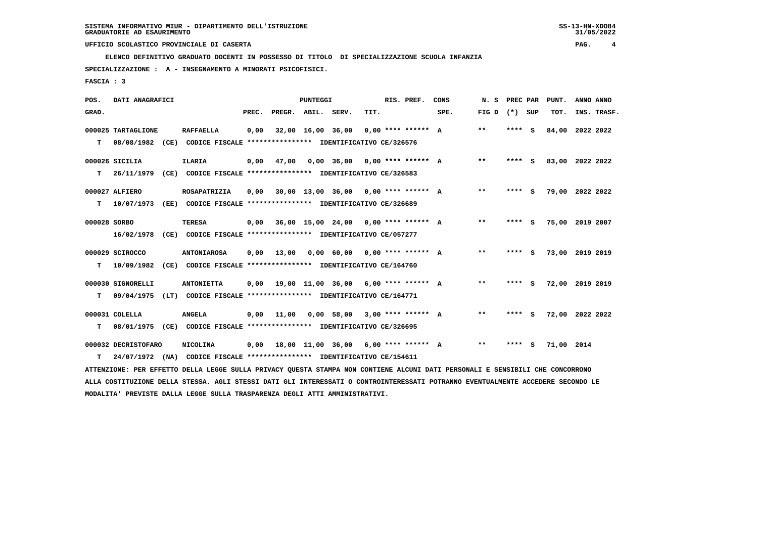**ELENCO DEFINITIVO GRADUATO DOCENTI IN POSSESSO DI TITOLO DI SPECIALIZZAZIONE SCUOLA INFANZIA**

 **SPECIALIZZAZIONE : A - INSEGNAMENTO A MINORATI PSICOFISICI.**

 **FASCIA : 3**

| POS.         | DATI ANAGRAFICI                                                                                                                 |                                                                         |       |                    | <b>PUNTEGGI</b>   |                   |                                        | RIS. PREF. | CONS | N. S            | PREC PAR |     | PUNT.           | ANNO ANNO |             |
|--------------|---------------------------------------------------------------------------------------------------------------------------------|-------------------------------------------------------------------------|-------|--------------------|-------------------|-------------------|----------------------------------------|------------|------|-----------------|----------|-----|-----------------|-----------|-------------|
| GRAD.        |                                                                                                                                 |                                                                         | PREC. | PREGR. ABIL. SERV. |                   |                   | TIT.                                   |            | SPE. | FIG D $(*)$ SUP |          |     | TOT.            |           | INS. TRASF. |
|              | 000025 TARTAGLIONE                                                                                                              | <b>RAFFAELLA</b>                                                        | 0,00  |                    | 32,00 16,00 36,00 |                   | $0.00$ **** ****** A                   |            |      | $**$            | ****     | - S | 84,00           | 2022 2022 |             |
| т            | 08/08/1982                                                                                                                      | (CE) CODICE FISCALE **************** IDENTIFICATIVO CE/326576           |       |                    |                   |                   |                                        |            |      |                 |          |     |                 |           |             |
|              | 000026 SICILIA                                                                                                                  | <b>ILARIA</b>                                                           | 0,00  | 47,00              |                   | $0.00$ 36.00      | $0.00$ **** ****** A                   |            |      | $* *$           | **** S   |     | 83,00 2022 2022 |           |             |
| т            | 26/11/1979                                                                                                                      | (CE) CODICE FISCALE **************** IDENTIFICATIVO CE/326583           |       |                    |                   |                   |                                        |            |      |                 |          |     |                 |           |             |
|              | 000027 ALFIERO                                                                                                                  | <b>ROSAPATRIZIA</b>                                                     | 0,00  |                    |                   |                   | $30,00$ 13,00 36,00 0,00 **** ****** A |            |      | **              | **** S   |     | 79,00 2022 2022 |           |             |
| т            | 10/07/1973                                                                                                                      | (EE) CODICE FISCALE **************** IDENTIFICATIVO CE/326689           |       |                    |                   |                   |                                        |            |      |                 |          |     |                 |           |             |
| 000028 SORBO |                                                                                                                                 | <b>TERESA</b>                                                           | 0,00  |                    |                   | 36,00 15,00 24,00 | $0.00$ **** ****** A                   |            |      | $* *$           | **** S   |     | 75,00 2019 2007 |           |             |
|              | 16/02/1978                                                                                                                      | (CE) CODICE FISCALE **************** IDENTIFICATIVO CE/057277           |       |                    |                   |                   |                                        |            |      |                 |          |     |                 |           |             |
|              | 000029 SCIROCCO                                                                                                                 | <b>ANTONIAROSA</b>                                                      | 0,00  | 13,00              |                   | 0,00 60,00        | $0.00$ **** ****** A                   |            |      | $* *$           | **** S   |     | 73,00 2019 2019 |           |             |
| т            | 10/09/1982                                                                                                                      | (CE) CODICE FISCALE **************** IDENTIFICATIVO CE/164760           |       |                    |                   |                   |                                        |            |      |                 |          |     |                 |           |             |
|              | 000030 SIGNORELLI                                                                                                               | <b>ANTONIETTA</b>                                                       | 0.00  |                    |                   | 19,00 11,00 36,00 | $6.00$ **** ****** A                   |            |      | **              | **** S   |     | 72,00 2019 2019 |           |             |
| т            | 09/04/1975                                                                                                                      | (LT) CODICE FISCALE **************** IDENTIFICATIVO CE/164771           |       |                    |                   |                   |                                        |            |      |                 |          |     |                 |           |             |
|              | 000031 COLELLA                                                                                                                  | <b>ANGELA</b>                                                           | 0,00  | 11,00              |                   | $0.00$ 58.00      | $3.00$ **** ****** A                   |            |      | **              | **** S   |     | 72,00 2022 2022 |           |             |
| т            |                                                                                                                                 | 08/01/1975 (CE) CODICE FISCALE *************** IDENTIFICATIVO CE/326695 |       |                    |                   |                   |                                        |            |      |                 |          |     |                 |           |             |
|              | 000032 DECRISTOFARO                                                                                                             | NICOLINA                                                                | 0,00  | 18,00 11,00 36,00  |                   |                   | $6.00$ **** ****** A                   |            |      | **              | **** S   |     | 71,00 2014      |           |             |
| т            | 24/07/1972                                                                                                                      | (NA) CODICE FISCALE **************** IDENTIFICATIVO CE/154611           |       |                    |                   |                   |                                        |            |      |                 |          |     |                 |           |             |
|              | ATTENZIONE: PER EFFETTO DELLA LEGGE SULLA PRIVACY QUESTA STAMPA NON CONTIENE ALCUNI DATI PERSONALI E SENSIBILI CHE CONCORRONO   |                                                                         |       |                    |                   |                   |                                        |            |      |                 |          |     |                 |           |             |
|              | ALLA COSTITUZIONE DELLA STESSA. AGLI STESSI DATI GLI INTERESSATI O CONTROINTERESSATI POTRANNO EVENTUALMENTE ACCEDERE SECONDO LE |                                                                         |       |                    |                   |                   |                                        |            |      |                 |          |     |                 |           |             |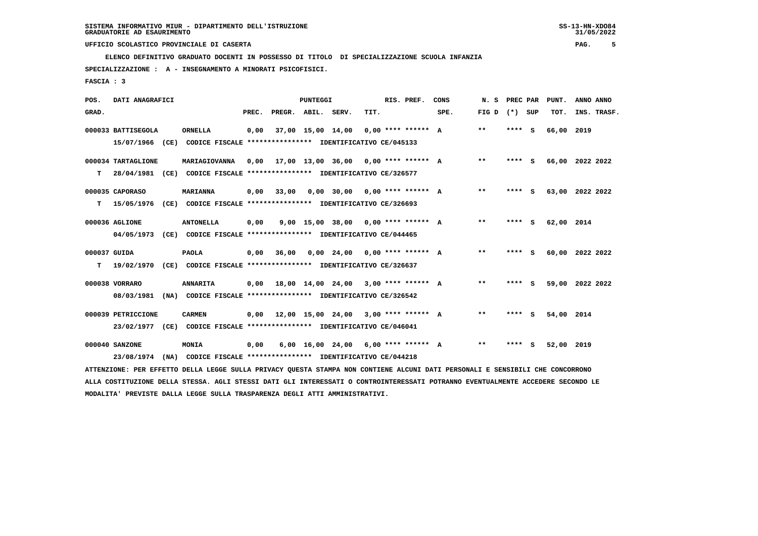**ELENCO DEFINITIVO GRADUATO DOCENTI IN POSSESSO DI TITOLO DI SPECIALIZZAZIONE SCUOLA INFANZIA**

 **SPECIALIZZAZIONE : A - INSEGNAMENTO A MINORATI PSICOFISICI.**

 **FASCIA : 3**

| POS.         | DATI ANAGRAFICI    |      |                                                                                                                               |       |                    | <b>PUNTEGGI</b>   |                                             |      | RIS. PREF.           | CONS | N. S            | PREC PAR | PUNT.           | ANNO ANNO |             |
|--------------|--------------------|------|-------------------------------------------------------------------------------------------------------------------------------|-------|--------------------|-------------------|---------------------------------------------|------|----------------------|------|-----------------|----------|-----------------|-----------|-------------|
| GRAD.        |                    |      |                                                                                                                               | PREC. | PREGR. ABIL. SERV. |                   |                                             | TIT. |                      | SPE. | FIG D $(*)$ SUP |          | TOT.            |           | INS. TRASF. |
|              | 000033 BATTISEGOLA |      | <b>ORNELLA</b>                                                                                                                | 0,00  |                    | 37,00 15,00 14,00 |                                             |      | $0.00$ **** ****** A |      | $* *$           | **** S   | 66,00 2019      |           |             |
|              | 15/07/1966         | (CE) | CODICE FISCALE **************** IDENTIFICATIVO CE/045133                                                                      |       |                    |                   |                                             |      |                      |      |                 |          |                 |           |             |
|              | 000034 TARTAGLIONE |      | MARIAGIOVANNA                                                                                                                 | 0.00  |                    |                   | 17,00 13,00 36,00 0,00 **** ****** A        |      |                      |      | $***$           | $***$ S  | 66,00 2022 2022 |           |             |
| т            |                    |      | 28/04/1981 (CE) CODICE FISCALE **************** IDENTIFICATIVO CE/326577                                                      |       |                    |                   |                                             |      |                      |      |                 |          |                 |           |             |
|              | 000035 CAPORASO    |      | <b>MARIANNA</b>                                                                                                               | 0,00  | 33,00              |                   | $0,00$ 30,00 0,00 **** ****** A             |      |                      |      | $***$           | **** S   | 63,00 2022 2022 |           |             |
| т            | 15/05/1976         |      | (CE) CODICE FISCALE **************** IDENTIFICATIVO CE/326693                                                                 |       |                    |                   |                                             |      |                      |      |                 |          |                 |           |             |
|              | 000036 AGLIONE     |      | <b>ANTONELLA</b>                                                                                                              | 0,00  |                    |                   | 9,00 15,00 38,00 0,00 **** ****** A         |      |                      |      | $* *$           | **** S   | 62,00 2014      |           |             |
|              | 04/05/1973         |      | (CE) CODICE FISCALE **************** IDENTIFICATIVO CE/044465                                                                 |       |                    |                   |                                             |      |                      |      |                 |          |                 |           |             |
| 000037 GUIDA |                    |      | <b>PAOLA</b>                                                                                                                  | 0,00  | 36,00              |                   | $0,00$ 24,00 0,00 **** ****** A             |      |                      |      | $***$           | $***5$   | 60,00 2022 2022 |           |             |
| т            | 19/02/1970         |      | (CE) CODICE FISCALE *************** IDENTIFICATIVO CE/326637                                                                  |       |                    |                   |                                             |      |                      |      |                 |          |                 |           |             |
|              | 000038 VORRARO     |      | <b>ANNARITA</b>                                                                                                               | 0,00  |                    |                   | 18,00 14,00 24,00 3,00 **** ****** A        |      |                      |      | $***$           | **** S   | 59,00 2022 2022 |           |             |
|              | 08/03/1981         |      | (NA) CODICE FISCALE **************** IDENTIFICATIVO CE/326542                                                                 |       |                    |                   |                                             |      |                      |      |                 |          |                 |           |             |
|              | 000039 PETRICCIONE |      | <b>CARMEN</b>                                                                                                                 |       |                    |                   | $0,00$ 12,00 15,00 24,00 3,00 **** ****** A |      |                      |      | **              | **** S   | 54,00 2014      |           |             |
|              |                    |      | 23/02/1977 (CE) CODICE FISCALE *************** IDENTIFICATIVO CE/046041                                                       |       |                    |                   |                                             |      |                      |      |                 |          |                 |           |             |
|              | 000040 SANZONE     |      | MONIA                                                                                                                         | 0,00  |                    |                   | $6,00$ 16,00 24,00 6,00 **** ****** A       |      |                      |      | $***$           | **** S   | 52,00 2019      |           |             |
|              | 23/08/1974         | (NA) | CODICE FISCALE **************** IDENTIFICATIVO CE/044218                                                                      |       |                    |                   |                                             |      |                      |      |                 |          |                 |           |             |
|              |                    |      | ATTENZIONE: PER EFFETTO DELLA LEGGE SULLA PRIVACY QUESTA STAMPA NON CONTIENE ALCUNI DATI PERSONALI E SENSIBILI CHE CONCORRONO |       |                    |                   |                                             |      |                      |      |                 |          |                 |           |             |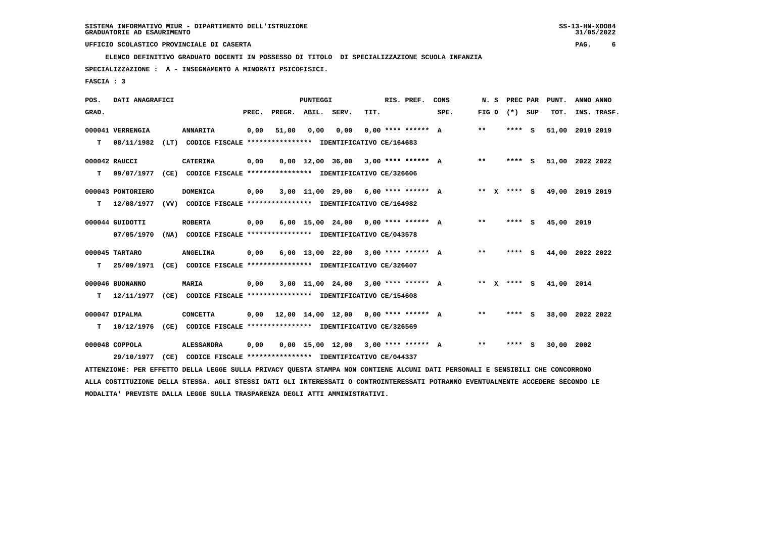**ELENCO DEFINITIVO GRADUATO DOCENTI IN POSSESSO DI TITOLO DI SPECIALIZZAZIONE SCUOLA INFANZIA**

 **SPECIALIZZAZIONE : A - INSEGNAMENTO A MINORATI PSICOFISICI.**

 **FASCIA : 3**

| POS.  | DATI ANAGRAFICI   |      |                                                                                                                               |       |                    | <b>PUNTEGGI</b> |                                       |      | RIS. PREF.           | CONS | N. S  | PREC PAR          | PUNT.           | ANNO ANNO |             |
|-------|-------------------|------|-------------------------------------------------------------------------------------------------------------------------------|-------|--------------------|-----------------|---------------------------------------|------|----------------------|------|-------|-------------------|-----------------|-----------|-------------|
| GRAD. |                   |      |                                                                                                                               | PREC. | PREGR. ABIL. SERV. |                 |                                       | TIT. |                      | SPE. |       | FIG $D$ $(*)$ SUP | TOT.            |           | INS. TRASF. |
|       | 000041 VERRENGIA  |      | <b>ANNARITA</b>                                                                                                               | 0,00  | 51,00              | 0,00            | 0,00                                  |      | $0.00$ **** ****** A |      | $***$ | **** S            | 51,00           | 2019 2019 |             |
| т     | 08/11/1982        | (LT) | CODICE FISCALE **************** IDENTIFICATIVO CE/164683                                                                      |       |                    |                 |                                       |      |                      |      |       |                   |                 |           |             |
|       | 000042 RAUCCI     |      | <b>CATERINA</b>                                                                                                               | 0,00  |                    |                 | $0,00$ 12,00 36,00 3,00 **** ****** A |      |                      |      | $***$ | **** S            | 51,00 2022 2022 |           |             |
| т     | 09/07/1977        |      | (CE) CODICE FISCALE **************** IDENTIFICATIVO CE/326606                                                                 |       |                    |                 |                                       |      |                      |      |       |                   |                 |           |             |
|       | 000043 PONTORIERO |      | <b>DOMENICA</b>                                                                                                               | 0,00  |                    |                 | $3,00$ 11,00 29,00 6,00 **** ****** A |      |                      |      |       | ** x **** s       | 49,00 2019 2019 |           |             |
| т     | 12/08/1977        |      | (VV) CODICE FISCALE **************** IDENTIFICATIVO CE/164982                                                                 |       |                    |                 |                                       |      |                      |      |       |                   |                 |           |             |
|       | 000044 GUIDOTTI   |      | <b>ROBERTA</b>                                                                                                                | 0,00  |                    |                 | $6,00$ 15,00 24,00 0,00 **** ****** A |      |                      |      | $***$ | **** S            | 45,00           | 2019      |             |
|       | 07/05/1970        |      | (NA) CODICE FISCALE **************** IDENTIFICATIVO CE/043578                                                                 |       |                    |                 |                                       |      |                      |      |       |                   |                 |           |             |
|       | 000045 TARTARO    |      | <b>ANGELINA</b>                                                                                                               | 0,00  |                    |                 | $6.00$ 13.00 22.00 3.00 **** ****** A |      |                      |      | $***$ | **** S            | 44,00 2022 2022 |           |             |
| т     | 25/09/1971        |      | (CE) CODICE FISCALE **************** IDENTIFICATIVO CE/326607                                                                 |       |                    |                 |                                       |      |                      |      |       |                   |                 |           |             |
|       | 000046 BUONANNO   |      | <b>MARIA</b>                                                                                                                  | 0,00  |                    |                 | $3,00$ 11,00 24,00 3,00 **** ****** A |      |                      |      |       | ** x **** S       | 41,00 2014      |           |             |
| т     | 12/11/1977        |      | (CE) CODICE FISCALE **************** IDENTIFICATIVO CE/154608                                                                 |       |                    |                 |                                       |      |                      |      |       |                   |                 |           |             |
|       | 000047 DIPALMA    |      | <b>CONCETTA</b>                                                                                                               | 0,00  |                    |                 | 12,00 14,00 12,00 0,00 **** ****** A  |      |                      |      | $***$ | **** S            | 38,00           | 2022 2022 |             |
| т     | 10/12/1976        |      | (CE) CODICE FISCALE **************** IDENTIFICATIVO CE/326569                                                                 |       |                    |                 |                                       |      |                      |      |       |                   |                 |           |             |
|       | 000048 COPPOLA    |      | <b>ALESSANDRA</b>                                                                                                             | 0,00  |                    |                 | $0,00$ 15,00 12,00 3,00 **** ****** A |      |                      |      | $***$ | **** S            | 30,00 2002      |           |             |
|       | 29/10/1977        | (CE) | CODICE FISCALE **************** IDENTIFICATIVO CE/044337                                                                      |       |                    |                 |                                       |      |                      |      |       |                   |                 |           |             |
|       |                   |      | ATTENZIONE: PER EFFETTO DELLA LEGGE SULLA PRIVACY QUESTA STAMPA NON CONTIENE ALCUNI DATI PERSONALI E SENSIBILI CHE CONCORRONO |       |                    |                 |                                       |      |                      |      |       |                   |                 |           |             |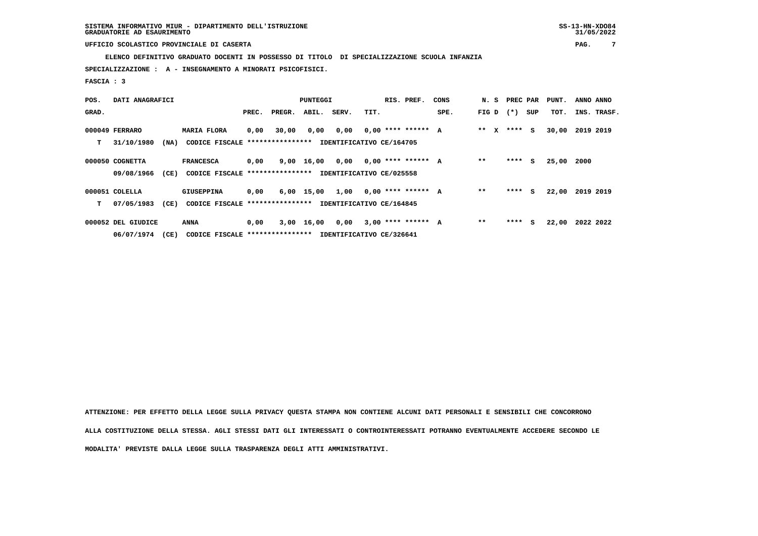**ELENCO DEFINITIVO GRADUATO DOCENTI IN POSSESSO DI TITOLO DI SPECIALIZZAZIONE SCUOLA INFANZIA**

 **SPECIALIZZAZIONE : A - INSEGNAMENTO A MINORATI PSICOFISICI.**

 **FASCIA : 3**

| POS.  | DATI ANAGRAFICI    |      |                                  |       |        | <b>PUNTEGGI</b> |                          |      | RIS. PREF.           | CONS | N. S    |        | PREC PAR | PUNT. | ANNO ANNO   |
|-------|--------------------|------|----------------------------------|-------|--------|-----------------|--------------------------|------|----------------------|------|---------|--------|----------|-------|-------------|
| GRAD. |                    |      |                                  | PREC. | PREGR. | ABIL.           | SERV.                    | TIT. |                      | SPE. | FIG D   | $(* )$ | SUP      | TOT.  | INS. TRASF. |
|       | 000049 FERRARO     |      | <b>MARIA FLORA</b>               | 0,00  | 30,00  | 0,00            | 0,00                     |      | $0.00$ **** ****** A |      | $***$ X |        | **** S   | 30,00 | 2019 2019   |
| т     | 31/10/1980         | (NA) | CODICE FISCALE ***************** |       |        |                 | IDENTIFICATIVO CE/164705 |      |                      |      |         |        |          |       |             |
|       | 000050 COGNETTA    |      | <b>FRANCESCA</b>                 | 0,00  |        | 9,00 16,00 0,00 |                          |      | $0,00$ **** ****** A |      | $**$    | ****   | S.       | 25,00 | 2000        |
|       | 09/08/1966         | (CE) | CODICE FISCALE ***************** |       |        |                 | IDENTIFICATIVO CE/025558 |      |                      |      |         |        |          |       |             |
|       | 000051 COLELLA     |      | <b>GIUSEPPINA</b>                | 0,00  |        | 6,00 15,00      | 1,00                     |      | $0.00$ **** ****** A |      | $* *$   | ****   | S.       | 22,00 | 2019 2019   |
| т     | 07/05/1983         | (CE) | CODICE FISCALE ***************** |       |        |                 | IDENTIFICATIVO CE/164845 |      |                      |      |         |        |          |       |             |
|       | 000052 DEL GIUDICE |      | ANNA                             | 0,00  |        | 3,00 16,00      | 0,00                     |      | $3,00$ **** ****** A |      | $* *$   | ****   | S.       | 22,00 | 2022 2022   |
|       | 06/07/1974         | (CE) | CODICE FISCALE ***************** |       |        |                 | IDENTIFICATIVO CE/326641 |      |                      |      |         |        |          |       |             |

 **ATTENZIONE: PER EFFETTO DELLA LEGGE SULLA PRIVACY QUESTA STAMPA NON CONTIENE ALCUNI DATI PERSONALI E SENSIBILI CHE CONCORRONO ALLA COSTITUZIONE DELLA STESSA. AGLI STESSI DATI GLI INTERESSATI O CONTROINTERESSATI POTRANNO EVENTUALMENTE ACCEDERE SECONDO LE MODALITA' PREVISTE DALLA LEGGE SULLA TRASPARENZA DEGLI ATTI AMMINISTRATIVI.**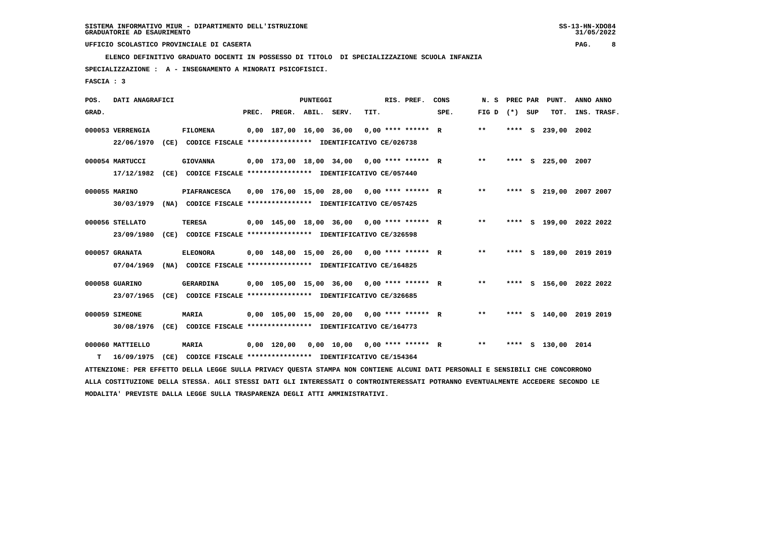**ELENCO DEFINITIVO GRADUATO DOCENTI IN POSSESSO DI TITOLO DI SPECIALIZZAZIONE SCUOLA INFANZIA**

 **SPECIALIZZAZIONE : A - INSEGNAMENTO A MINORATI PSICOFISICI.**

 **FASCIA : 3**

| POS.  | DATI ANAGRAFICI  |      |                                                                                                                               |                          | PUNTEGGI |                                              |      | RIS. PREF.           | CONS | N.S   | PREC PAR |     | PUNT.              | ANNO ANNO               |
|-------|------------------|------|-------------------------------------------------------------------------------------------------------------------------------|--------------------------|----------|----------------------------------------------|------|----------------------|------|-------|----------|-----|--------------------|-------------------------|
| GRAD. |                  |      |                                                                                                                               | PREC. PREGR. ABIL. SERV. |          |                                              | TIT. |                      | SPE. | FIG D | $(*)$    | SUP | TOT.               | INS. TRASF.             |
|       | 000053 VERRENGIA |      | <b>FILOMENA</b>                                                                                                               | 0,00 187,00 16,00 36,00  |          |                                              |      | $0.00$ **** ****** R |      | $* *$ | **** S   |     | 239,00             | 2002                    |
|       | 22/06/1970       |      | (CE) CODICE FISCALE **************** IDENTIFICATIVO CE/026738                                                                 |                          |          |                                              |      |                      |      |       |          |     |                    |                         |
|       | 000054 MARTUCCI  |      | <b>GIOVANNA</b>                                                                                                               |                          |          | $0,00$ 173,00 18,00 34,00 0,00 **** ****** R |      |                      |      | $***$ |          |     | **** S 225,00 2007 |                         |
|       | 17/12/1982       | (CE) | CODICE FISCALE **************** IDENTIFICATIVO CE/057440                                                                      |                          |          |                                              |      |                      |      |       |          |     |                    |                         |
|       | 000055 MARINO    |      | <b>PIAFRANCESCA</b>                                                                                                           |                          |          | $0,00$ 176,00 15,00 28,00 0,00 **** ****** R |      |                      |      | $* *$ |          |     |                    | **** S 219,00 2007 2007 |
|       | 30/03/1979       |      | (NA) CODICE FISCALE **************** IDENTIFICATIVO CE/057425                                                                 |                          |          |                                              |      |                      |      |       |          |     |                    |                         |
|       | 000056 STELLATO  |      | <b>TERESA</b>                                                                                                                 |                          |          | $0,00$ 145,00 18,00 36,00 0,00 **** ****** R |      |                      |      | $* *$ |          |     |                    | **** S 199,00 2022 2022 |
|       | 23/09/1980       |      | (CE) CODICE FISCALE **************** IDENTIFICATIVO CE/326598                                                                 |                          |          |                                              |      |                      |      |       |          |     |                    |                         |
|       | 000057 GRANATA   |      | <b>ELEONORA</b>                                                                                                               |                          |          | $0,00$ 148,00 15,00 26,00 0,00 **** ****** R |      |                      |      | $***$ |          |     |                    | **** S 189,00 2019 2019 |
|       | 07/04/1969       |      | (NA) CODICE FISCALE **************** IDENTIFICATIVO CE/164825                                                                 |                          |          |                                              |      |                      |      |       |          |     |                    |                         |
|       | 000058 GUARINO   |      | GERARDINA                                                                                                                     |                          |          | $0,00$ 105,00 15,00 36,00 0,00 **** ****** R |      |                      |      | $**$  |          |     |                    | **** S 156,00 2022 2022 |
|       | 23/07/1965       |      | (CE) CODICE FISCALE **************** IDENTIFICATIVO CE/326685                                                                 |                          |          |                                              |      |                      |      |       |          |     |                    |                         |
|       |                  |      |                                                                                                                               |                          |          |                                              |      |                      |      |       |          |     |                    |                         |
|       | 000059 SIMEONE   |      | <b>MARIA</b>                                                                                                                  |                          |          | $0,00$ 105,00 15,00 20,00 0,00 **** ****** R |      |                      |      | $***$ |          |     |                    | **** S 140,00 2019 2019 |
|       | 30/08/1976       |      | (CE) CODICE FISCALE **************** IDENTIFICATIVO CE/164773                                                                 |                          |          |                                              |      |                      |      |       |          |     |                    |                         |
|       | 000060 MATTIELLO |      | <b>MARIA</b>                                                                                                                  | 0,00 120,00              |          | $0,00$ 10,00 0,00 **** ****** R              |      |                      |      | $* *$ |          |     | **** S 130,00 2014 |                         |
| т     | 16/09/1975       | (CE) | CODICE FISCALE **************** IDENTIFICATIVO CE/154364                                                                      |                          |          |                                              |      |                      |      |       |          |     |                    |                         |
|       |                  |      | ATTENZIONE: PER EFFETTO DELLA LEGGE SULLA PRIVACY QUESTA STAMPA NON CONTIENE ALCUNI DATI PERSONALI E SENSIBILI CHE CONCORRONO |                          |          |                                              |      |                      |      |       |          |     |                    |                         |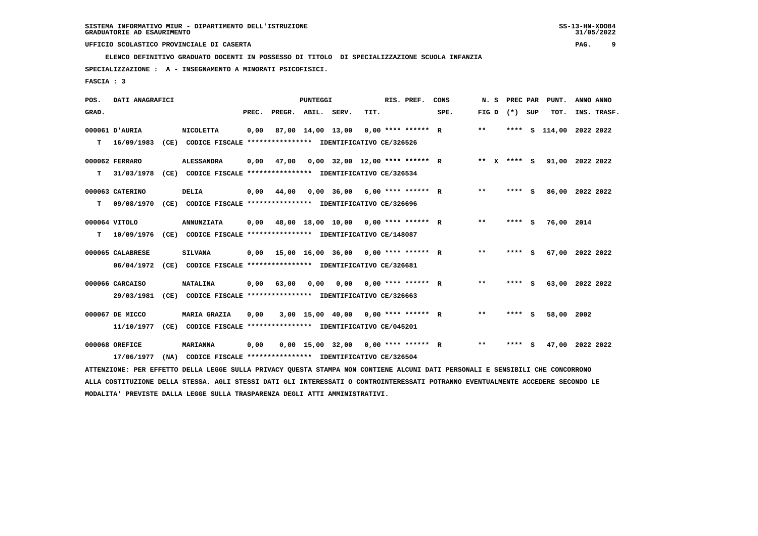**ELENCO DEFINITIVO GRADUATO DOCENTI IN POSSESSO DI TITOLO DI SPECIALIZZAZIONE SCUOLA INFANZIA**

 **SPECIALIZZAZIONE : A - INSEGNAMENTO A MINORATI PSICOFISICI.**

 **FASCIA : 3**

| POS.  | DATI ANAGRAFICI  |                                                                                                                                 |       |                    | <b>PUNTEGGI</b> |                   |                                       | RIS. PREF. | CONS | N. S  | PREC PAR | PUNT.                   | ANNO ANNO       |  |
|-------|------------------|---------------------------------------------------------------------------------------------------------------------------------|-------|--------------------|-----------------|-------------------|---------------------------------------|------------|------|-------|----------|-------------------------|-----------------|--|
| GRAD. |                  |                                                                                                                                 | PREC. | PREGR. ABIL. SERV. |                 |                   | TIT.                                  |            | SPE. | FIG D | (*) SUP  | TOT.                    | INS. TRASF.     |  |
|       | 000061 D'AURIA   | <b>NICOLETTA</b>                                                                                                                | 0,00  |                    |                 | 87,00 14,00 13,00 | $0,00$ **** ****** R                  |            |      | $***$ |          | **** S 114,00 2022 2022 |                 |  |
| т     | 16/09/1983       | (CE) CODICE FISCALE **************** IDENTIFICATIVO CE/326526                                                                   |       |                    |                 |                   |                                       |            |      |       |          |                         |                 |  |
|       | 000062 FERRARO   | <b>ALESSANDRA</b>                                                                                                               | 0,00  | 47,00              |                 |                   | $0,00$ 32,00 12,00 **** ****** R      |            |      | ** X  | $***$ S  |                         | 91,00 2022 2022 |  |
| т     | 31/03/1978       | (CE) CODICE FISCALE **************** IDENTIFICATIVO CE/326534                                                                   |       |                    |                 |                   |                                       |            |      |       |          |                         |                 |  |
|       | 000063 CATERINO  | <b>DELIA</b>                                                                                                                    | 0,00  | 44,00              |                 |                   | $0,00$ 36,00 6,00 **** ****** R       |            |      | $***$ | **** S   |                         | 86,00 2022 2022 |  |
| т     | 09/08/1970       | (CE) CODICE FISCALE **************** IDENTIFICATIVO CE/326696                                                                   |       |                    |                 |                   |                                       |            |      |       |          |                         |                 |  |
|       | 000064 VITOLO    | <b>ANNUNZIATA</b>                                                                                                               | 0,00  |                    |                 |                   | 48,00 18,00 10,00 0,00 **** ****** R  |            |      | $* *$ | **** S   | 76,00 2014              |                 |  |
| т     | 10/09/1976       | (CE) CODICE FISCALE **************** IDENTIFICATIVO CE/148087                                                                   |       |                    |                 |                   |                                       |            |      |       |          |                         |                 |  |
|       | 000065 CALABRESE | <b>SILVANA</b>                                                                                                                  | 0,00  |                    |                 |                   | 15,00 16,00 36,00 0,00 **** ****** R  |            |      | $* *$ | **** S   |                         | 67,00 2022 2022 |  |
|       | 06/04/1972       | (CE) CODICE FISCALE **************** IDENTIFICATIVO CE/326681                                                                   |       |                    |                 |                   |                                       |            |      |       |          |                         |                 |  |
|       | 000066 CARCAISO  | <b>NATALINA</b>                                                                                                                 | 0,00  | 63,00              | 0,00            |                   | $0,00$ $0,00$ **** ****** R           |            |      | $* *$ | **** S   |                         | 63,00 2022 2022 |  |
|       | 29/03/1981       | (CE) CODICE FISCALE **************** IDENTIFICATIVO CE/326663                                                                   |       |                    |                 |                   |                                       |            |      |       |          |                         |                 |  |
|       | 000067 DE MICCO  | <b>MARIA GRAZIA</b>                                                                                                             | 0,00  |                    |                 |                   | 3,00 15,00 40,00 0,00 **** ****** R   |            |      | **    | **** S   | 58,00                   | 2002            |  |
|       | 11/10/1977       | (CE) CODICE FISCALE **************** IDENTIFICATIVO CE/045201                                                                   |       |                    |                 |                   |                                       |            |      |       |          |                         |                 |  |
|       | 000068 OREFICE   | <b>MARIANNA</b>                                                                                                                 | 0,00  |                    |                 |                   | $0,00$ 15,00 32,00 0,00 **** ****** R |            |      | $***$ | **** S   |                         | 47,00 2022 2022 |  |
|       | 17/06/1977       | (NA) CODICE FISCALE **************** IDENTIFICATIVO CE/326504                                                                   |       |                    |                 |                   |                                       |            |      |       |          |                         |                 |  |
|       |                  | ATTENZIONE: PER EFFETTO DELLA LEGGE SULLA PRIVACY QUESTA STAMPA NON CONTIENE ALCUNI DATI PERSONALI E SENSIBILI CHE CONCORRONO   |       |                    |                 |                   |                                       |            |      |       |          |                         |                 |  |
|       |                  | ALLA COSTITUZIONE DELLA STESSA. AGLI STESSI DATI GLI INTERESSATI O CONTROINTERESSATI POTRANNO EVENTUALMENTE ACCEDERE SECONDO LE |       |                    |                 |                   |                                       |            |      |       |          |                         |                 |  |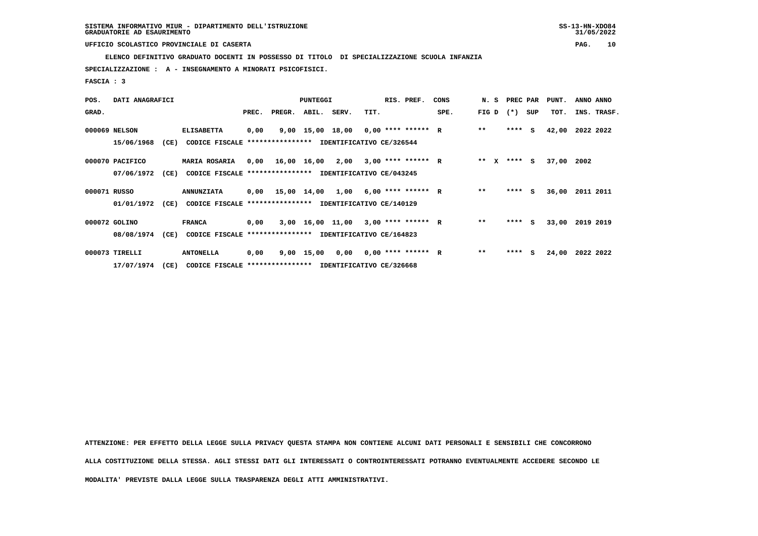**ELENCO DEFINITIVO GRADUATO DOCENTI IN POSSESSO DI TITOLO DI SPECIALIZZAZIONE SCUOLA INFANZIA**

 **SPECIALIZZAZIONE : A - INSEGNAMENTO A MINORATI PSICOFISICI.**

 **FASCIA : 3**

| POS.         | DATI ANAGRAFICI |      |                                                          |       |                                            | PUNTEGGI |                                      |      | RIS. PREF.           | CONS | N. S  |        | PREC PAR | PUNT. | ANNO ANNO   |
|--------------|-----------------|------|----------------------------------------------------------|-------|--------------------------------------------|----------|--------------------------------------|------|----------------------|------|-------|--------|----------|-------|-------------|
| GRAD.        |                 |      |                                                          | PREC. | PREGR.                                     | ABIL.    | SERV.                                | TIT. |                      | SPE. | FIG D | $(* )$ | SUP      | TOT.  | INS. TRASF. |
|              | 000069 NELSON   |      | <b>ELISABETTA</b>                                        | 0,00  |                                            |          | 9,00 15,00 18,00 0,00 **** ****** R  |      |                      |      | $* *$ |        | $***$ S  | 42,00 | 2022 2022   |
|              | 15/06/1968      | (CE) | CODICE FISCALE **************** IDENTIFICATIVO CE/326544 |       |                                            |          |                                      |      |                      |      |       |        |          |       |             |
|              | 000070 PACIFICO |      | <b>MARIA ROSARIA</b>                                     |       | $0,00$ 16,00 16,00 2,00 3,00 **** ****** R |          |                                      |      |                      |      | ** X  |        | $***$ S  | 37,00 | 2002        |
|              | 07/06/1972      | (CE) | CODICE FISCALE **************** IDENTIFICATIVO CE/043245 |       |                                            |          |                                      |      |                      |      |       |        |          |       |             |
| 000071 RUSSO |                 |      | <b>ANNUNZIATA</b>                                        |       | $0,00$ 15,00 14,00 1,00 6,00 **** ****** R |          |                                      |      |                      |      | $* *$ |        | $***$ S  | 36,00 | 2011 2011   |
|              | 01/01/1972      | (CE) | CODICE FISCALE                                           |       | **************** IDENTIFICATIVO CE/140129  |          |                                      |      |                      |      |       |        |          |       |             |
|              | 000072 GOLINO   |      | <b>FRANCA</b>                                            | 0,00  |                                            |          | 3,00 16,00 11,00                     |      | $3,00$ **** ****** R |      | $* *$ | ****   | - S      | 33,00 | 2019 2019   |
|              | 08/08/1974      | (CE) | CODICE FISCALE **************** IDENTIFICATIVO CE/164823 |       |                                            |          |                                      |      |                      |      |       |        |          |       |             |
|              | 000073 TIRELLI  |      | <b>ANTONELLA</b>                                         | 0,00  |                                            |          | $9,00$ 15,00 0,00 0,00 **** ****** R |      |                      |      | $**$  | ****   | s        | 24,00 | 2022 2022   |
|              | 17/07/1974      | (CE) | CODICE FISCALE **************** IDENTIFICATIVO CE/326668 |       |                                            |          |                                      |      |                      |      |       |        |          |       |             |

 **ATTENZIONE: PER EFFETTO DELLA LEGGE SULLA PRIVACY QUESTA STAMPA NON CONTIENE ALCUNI DATI PERSONALI E SENSIBILI CHE CONCORRONO ALLA COSTITUZIONE DELLA STESSA. AGLI STESSI DATI GLI INTERESSATI O CONTROINTERESSATI POTRANNO EVENTUALMENTE ACCEDERE SECONDO LE MODALITA' PREVISTE DALLA LEGGE SULLA TRASPARENZA DEGLI ATTI AMMINISTRATIVI.**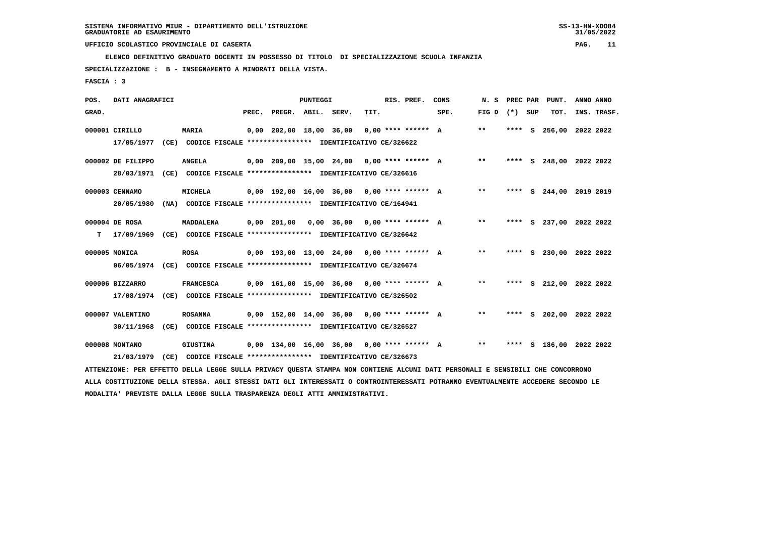**ELENCO DEFINITIVO GRADUATO DOCENTI IN POSSESSO DI TITOLO DI SPECIALIZZAZIONE SCUOLA INFANZIA**

 **SPECIALIZZAZIONE : B - INSEGNAMENTO A MINORATI DELLA VISTA.**

 **FASCIA : 3**

| POS.  | DATI ANAGRAFICI              |      |                                                                                                                               |       |                    | PUNTEGGI |                                              |      | RIS. PREF. | CONS | N. S            |  | PREC PAR PUNT.          | ANNO ANNO |             |
|-------|------------------------------|------|-------------------------------------------------------------------------------------------------------------------------------|-------|--------------------|----------|----------------------------------------------|------|------------|------|-----------------|--|-------------------------|-----------|-------------|
| GRAD. |                              |      |                                                                                                                               | PREC. | PREGR. ABIL. SERV. |          |                                              | TIT. |            | SPE. | FIG D $(*)$ SUP |  | TOT.                    |           | INS. TRASF. |
|       | 000001 CIRILLO               |      | <b>MARIA</b>                                                                                                                  |       |                    |          | $0,00$ 202,00 18,00 36,00 0,00 **** ****** A |      |            |      | $\star\star$    |  | **** S 256,00 2022 2022 |           |             |
|       | 17/05/1977                   |      | (CE) CODICE FISCALE **************** IDENTIFICATIVO CE/326622                                                                 |       |                    |          |                                              |      |            |      |                 |  |                         |           |             |
|       | 000002 DE FILIPPO            |      | <b>ANGELA</b>                                                                                                                 |       |                    |          | $0,00$ 209,00 15,00 24,00 0,00 **** ****** A |      |            |      | $***$           |  | **** S 248,00 2022 2022 |           |             |
|       | 28/03/1971                   |      | (CE) CODICE FISCALE **************** IDENTIFICATIVO CE/326616                                                                 |       |                    |          |                                              |      |            |      |                 |  |                         |           |             |
|       | 000003 CENNAMO               |      | MICHELA                                                                                                                       |       |                    |          | 0,00 192,00 16,00 36,00 0,00 **** ****** A   |      |            |      | $* *$           |  | **** S 244,00 2019 2019 |           |             |
|       | 20/05/1980                   |      | (NA) CODICE FISCALE **************** IDENTIFICATIVO CE/164941                                                                 |       |                    |          |                                              |      |            |      |                 |  |                         |           |             |
|       |                              |      |                                                                                                                               |       |                    |          |                                              |      |            |      | $***$           |  |                         |           |             |
| т     | 000004 DE ROSA<br>17/09/1969 |      | <b>MADDALENA</b><br>(CE) CODICE FISCALE **************** IDENTIFICATIVO CE/326642                                             |       | 0,00 201,00        |          | $0,00$ 36,00 0,00 **** ****** A              |      |            |      |                 |  | **** S 237,00 2022 2022 |           |             |
|       |                              |      |                                                                                                                               |       |                    |          |                                              |      |            |      |                 |  |                         |           |             |
|       | 000005 MONICA                |      | <b>ROSA</b>                                                                                                                   |       |                    |          | $0,00$ 193,00 13,00 24,00 0,00 **** ****** A |      |            |      | $***$           |  | **** S 230,00 2022 2022 |           |             |
|       |                              |      | 06/05/1974 (CE) CODICE FISCALE *************** IDENTIFICATIVO CE/326674                                                       |       |                    |          |                                              |      |            |      |                 |  |                         |           |             |
|       | 000006 BIZZARRO              |      | <b>FRANCESCA</b>                                                                                                              |       |                    |          | $0,00$ 161,00 15,00 36,00 0,00 **** ****** A |      |            |      | $***$           |  | **** S 212,00 2022 2022 |           |             |
|       | 17/08/1974                   |      | (CE) CODICE FISCALE **************** IDENTIFICATIVO CE/326502                                                                 |       |                    |          |                                              |      |            |      |                 |  |                         |           |             |
|       | 000007 VALENTINO             |      | <b>ROSANNA</b>                                                                                                                |       |                    |          | $0,00$ 152,00 14,00 36,00 0,00 **** ****** A |      |            |      | $**$            |  | **** S 202,00 2022 2022 |           |             |
|       | 30/11/1968                   |      | (CE) CODICE FISCALE **************** IDENTIFICATIVO CE/326527                                                                 |       |                    |          |                                              |      |            |      |                 |  |                         |           |             |
|       |                              |      |                                                                                                                               |       |                    |          |                                              |      |            |      |                 |  |                         |           |             |
|       | 000008 MONTANO               |      | <b>GIUSTINA</b>                                                                                                               |       |                    |          | $0.00$ 134.00 16.00 36.00 0.00 **** ****** A |      |            |      | $***$           |  | **** S 186,00 2022 2022 |           |             |
|       | 21/03/1979                   | (CE) | CODICE FISCALE **************** IDENTIFICATIVO CE/326673                                                                      |       |                    |          |                                              |      |            |      |                 |  |                         |           |             |
|       |                              |      | ATTENZIONE: PER EFFETTO DELLA LEGGE SULLA PRIVACY QUESTA STAMPA NON CONTIENE ALCUNI DATI PERSONALI E SENSIBILI CHE CONCORRONO |       |                    |          |                                              |      |            |      |                 |  |                         |           |             |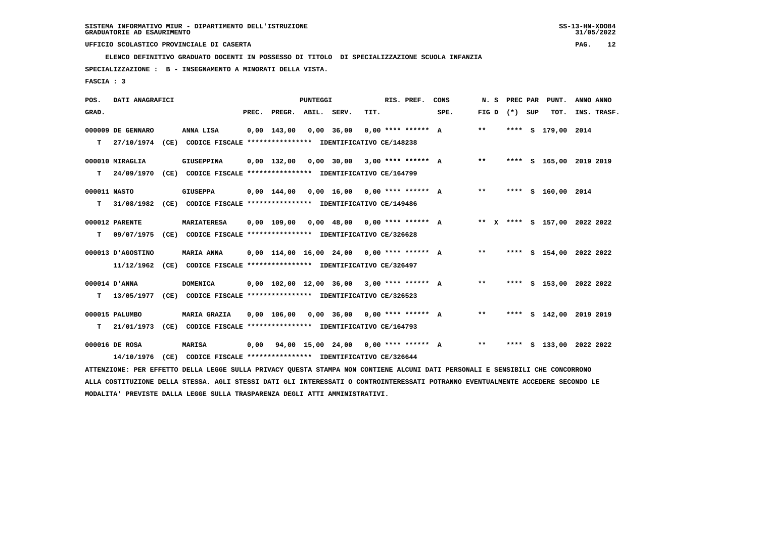**ELENCO DEFINITIVO GRADUATO DOCENTI IN POSSESSO DI TITOLO DI SPECIALIZZAZIONE SCUOLA INFANZIA**

 **SPECIALIZZAZIONE : B - INSEGNAMENTO A MINORATI DELLA VISTA.**

 **FASCIA : 3**

| POS.         | DATI ANAGRAFICI   |                                                                                                                                 |      |                                              | <b>PUNTEGGI</b> |                                 |      | RIS. PREF.           | CONS | N. S            |      | PREC PAR PUNT.               | ANNO ANNO |             |
|--------------|-------------------|---------------------------------------------------------------------------------------------------------------------------------|------|----------------------------------------------|-----------------|---------------------------------|------|----------------------|------|-----------------|------|------------------------------|-----------|-------------|
| GRAD.        |                   |                                                                                                                                 |      | PREC. PREGR. ABIL. SERV.                     |                 |                                 | TIT. |                      | SPE. | FIG D $(*)$ SUP |      | TOT.                         |           | INS. TRASF. |
|              | 000009 DE GENNARO | ANNA LISA                                                                                                                       |      | $0,00$ 143,00                                |                 | $0,00$ 36,00                    |      | $0.00$ **** ****** A |      | $***$           | **** | s 179,00 2014                |           |             |
| т            | 27/10/1974        | (CE) CODICE FISCALE **************** IDENTIFICATIVO CE/148238                                                                   |      |                                              |                 |                                 |      |                      |      |                 |      |                              |           |             |
|              | 000010 MIRAGLIA   | <b>GIUSEPPINA</b>                                                                                                               |      | $0,00$ 132,00                                |                 | $0,00$ 30,00 3,00 **** ****** A |      |                      |      | $**$            |      | **** S 165,00 2019 2019      |           |             |
| т            | 24/09/1970        | (CE) CODICE FISCALE **************** IDENTIFICATIVO CE/164799                                                                   |      |                                              |                 |                                 |      |                      |      |                 |      |                              |           |             |
| 000011 NASTO |                   | <b>GIUSEPPA</b>                                                                                                                 |      | $0.00$ 144.00                                |                 | 0,00 16,00 0,00 **** ****** A   |      |                      |      | $***$           |      | **** S 160,00 2014           |           |             |
| т            | 31/08/1982        | (CE) CODICE FISCALE **************** IDENTIFICATIVO CE/149486                                                                   |      |                                              |                 |                                 |      |                      |      |                 |      |                              |           |             |
|              | 000012 PARENTE    | <b>MARIATERESA</b>                                                                                                              |      | 0,00 109,00                                  |                 | $0,00$ 48,00 0,00 **** ****** A |      |                      |      |                 |      | ** X **** S 157,00 2022 2022 |           |             |
| т            | 09/07/1975        | (CE) CODICE FISCALE **************** IDENTIFICATIVO CE/326628                                                                   |      |                                              |                 |                                 |      |                      |      |                 |      |                              |           |             |
|              | 000013 D'AGOSTINO | <b>MARIA ANNA</b>                                                                                                               |      | $0.00$ 114.00 16.00 24.00 0.00 **** ****** A |                 |                                 |      |                      |      | $***$           |      | **** S 154,00 2022 2022      |           |             |
|              | 11/12/1962        | (CE) CODICE FISCALE **************** IDENTIFICATIVO CE/326497                                                                   |      |                                              |                 |                                 |      |                      |      |                 |      |                              |           |             |
|              | 000014 D'ANNA     | <b>DOMENICA</b>                                                                                                                 |      | $0,00$ 102,00 12,00 36,00 3,00 **** ****** A |                 |                                 |      |                      |      | $***$           |      | **** S 153,00 2022 2022      |           |             |
| т            | 13/05/1977        | (CE) CODICE FISCALE **************** IDENTIFICATIVO CE/326523                                                                   |      |                                              |                 |                                 |      |                      |      |                 |      |                              |           |             |
|              | 000015 PALUMBO    | <b>MARIA GRAZIA</b>                                                                                                             |      | 0,00 106,00                                  |                 | 0,00 36,00 0,00 **** ****** A   |      |                      |      | $* *$           |      | **** S 142,00 2019 2019      |           |             |
| т            | 21/01/1973        | (CE) CODICE FISCALE **************** IDENTIFICATIVO CE/164793                                                                   |      |                                              |                 |                                 |      |                      |      |                 |      |                              |           |             |
|              | 000016 DE ROSA    | MARISA                                                                                                                          | 0.00 | 94,00 15,00 24,00 0,00 **** ****** A         |                 |                                 |      |                      |      | $* *$           |      | **** S 133,00 2022 2022      |           |             |
|              | 14/10/1976        | (CE) CODICE FISCALE **************** IDENTIFICATIVO CE/326644                                                                   |      |                                              |                 |                                 |      |                      |      |                 |      |                              |           |             |
|              |                   | ATTENZIONE: PER EFFETTO DELLA LEGGE SULLA PRIVACY QUESTA STAMPA NON CONTIENE ALCUNI DATI PERSONALI E SENSIBILI CHE CONCORRONO   |      |                                              |                 |                                 |      |                      |      |                 |      |                              |           |             |
|              |                   | ALLA COSTITUZIONE DELLA STESSA. AGLI STESSI DATI GLI INTERESSATI O CONTROINTERESSATI POTRANNO EVENTUALMENTE ACCEDERE SECONDO LE |      |                                              |                 |                                 |      |                      |      |                 |      |                              |           |             |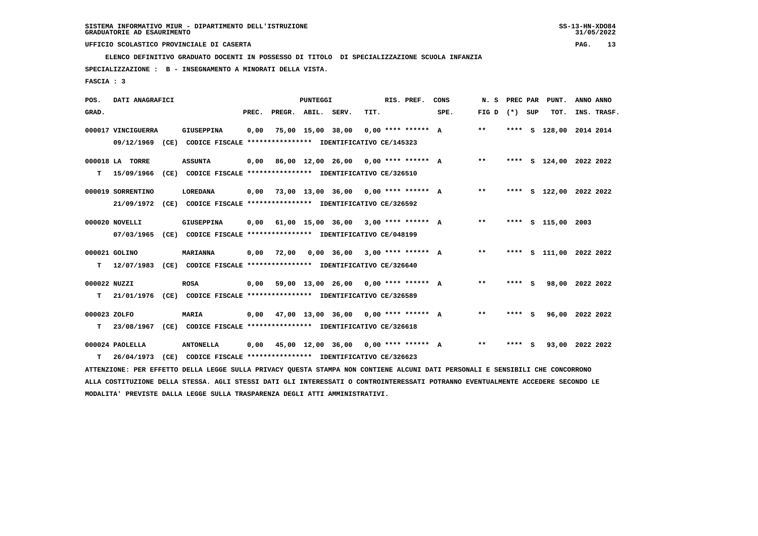**ELENCO DEFINITIVO GRADUATO DOCENTI IN POSSESSO DI TITOLO DI SPECIALIZZAZIONE SCUOLA INFANZIA**

 **SPECIALIZZAZIONE : B - INSEGNAMENTO A MINORATI DELLA VISTA.**

 **FASCIA : 3**

| POS.         | DATI ANAGRAFICI    |                                                                                                                                 |       |                                      | <b>PUNTEGGI</b>   |                                      |      | RIS. PREF.           | CONS | N.S   |         | PREC PAR PUNT.          | ANNO ANNO |             |
|--------------|--------------------|---------------------------------------------------------------------------------------------------------------------------------|-------|--------------------------------------|-------------------|--------------------------------------|------|----------------------|------|-------|---------|-------------------------|-----------|-------------|
| GRAD.        |                    |                                                                                                                                 | PREC. | PREGR. ABIL. SERV.                   |                   |                                      | TIT. |                      | SPE. | FIG D | (*) SUP | TOT.                    |           | INS. TRASF. |
|              | 000017 VINCIGUERRA | <b>GIUSEPPINA</b>                                                                                                               | 0,00  |                                      | 75,00 15,00 38,00 |                                      |      | $0.00$ **** ****** A |      | $***$ |         | **** S 128,00 2014 2014 |           |             |
|              | 09/12/1969         | (CE) CODICE FISCALE **************** IDENTIFICATIVO CE/145323                                                                   |       |                                      |                   |                                      |      |                      |      |       |         |                         |           |             |
|              | 000018 LA TORRE    | <b>ASSUNTA</b>                                                                                                                  | 0,00  |                                      |                   | 86,00 12,00 26,00 0,00 **** ****** A |      |                      |      | $***$ |         | **** S 124,00 2022 2022 |           |             |
| т            | 15/09/1966         | (CE) CODICE FISCALE **************** IDENTIFICATIVO CE/326510                                                                   |       |                                      |                   |                                      |      |                      |      |       |         |                         |           |             |
|              | 000019 SORRENTINO  | LOREDANA                                                                                                                        | 0.00  | 73,00 13,00 36,00 0,00 **** ****** A |                   |                                      |      |                      |      | $* *$ |         | **** S 122,00 2022 2022 |           |             |
|              | 21/09/1972         | (CE) CODICE FISCALE **************** IDENTIFICATIVO CE/326592                                                                   |       |                                      |                   |                                      |      |                      |      |       |         |                         |           |             |
|              | 000020 NOVELLI     | <b>GIUSEPPINA</b>                                                                                                               | 0.00  |                                      |                   | 61,00 15,00 36,00                    |      | $3.00$ **** ****** A |      | $***$ |         | **** S 115,00           | 2003      |             |
|              | 07/03/1965         | (CE) CODICE FISCALE **************** IDENTIFICATIVO CE/048199                                                                   |       |                                      |                   |                                      |      |                      |      |       |         |                         |           |             |
|              | 000021 GOLINO      | MARIANNA                                                                                                                        | 0,00  | 72,00                                |                   | $0,00$ 36,00 3,00 **** ****** A      |      |                      |      | $***$ |         | **** S 111,00 2022 2022 |           |             |
| т            | 12/07/1983         | (CE) CODICE FISCALE **************** IDENTIFICATIVO CE/326640                                                                   |       |                                      |                   |                                      |      |                      |      |       |         |                         |           |             |
| 000022 NUZZI |                    | <b>ROSA</b>                                                                                                                     | 0,00  |                                      |                   | 59,00 13,00 26,00 0,00 **** ****** A |      |                      |      | **    | **** S  | 98,00 2022 2022         |           |             |
| т            | 21/01/1976         | (CE) CODICE FISCALE **************** IDENTIFICATIVO CE/326589                                                                   |       |                                      |                   |                                      |      |                      |      |       |         |                         |           |             |
| 000023 ZOLFO |                    | <b>MARIA</b>                                                                                                                    | 0,00  |                                      |                   | 47,00 13,00 36,00 0,00 **** ****** A |      |                      |      | $***$ | **** S  | 96,00 2022 2022         |           |             |
| т            | 23/08/1967         | (CE) CODICE FISCALE **************** IDENTIFICATIVO CE/326618                                                                   |       |                                      |                   |                                      |      |                      |      |       |         |                         |           |             |
|              | 000024 PAOLELLA    | <b>ANTONELLA</b>                                                                                                                | 0,00  | 45,00 12,00 36,00 0,00 **** ****** A |                   |                                      |      |                      |      | $* *$ | **** S  | 93,00 2022 2022         |           |             |
| т            | 26/04/1973         | (CE) CODICE FISCALE **************** IDENTIFICATIVO CE/326623                                                                   |       |                                      |                   |                                      |      |                      |      |       |         |                         |           |             |
|              |                    | ATTENZIONE: PER EFFETTO DELLA LEGGE SULLA PRIVACY QUESTA STAMPA NON CONTIENE ALCUNI DATI PERSONALI E SENSIBILI CHE CONCORRONO   |       |                                      |                   |                                      |      |                      |      |       |         |                         |           |             |
|              |                    | ALLA COSTITUZIONE DELLA STESSA. AGLI STESSI DATI GLI INTERESSATI O CONTROINTERESSATI POTRANNO EVENTUALMENTE ACCEDERE SECONDO LE |       |                                      |                   |                                      |      |                      |      |       |         |                         |           |             |
|              |                    | MODALITA' PREVISTE DALLA LEGGE SULLA TRASPARENZA DEGLI ATTI AMMINISTRATIVI.                                                     |       |                                      |                   |                                      |      |                      |      |       |         |                         |           |             |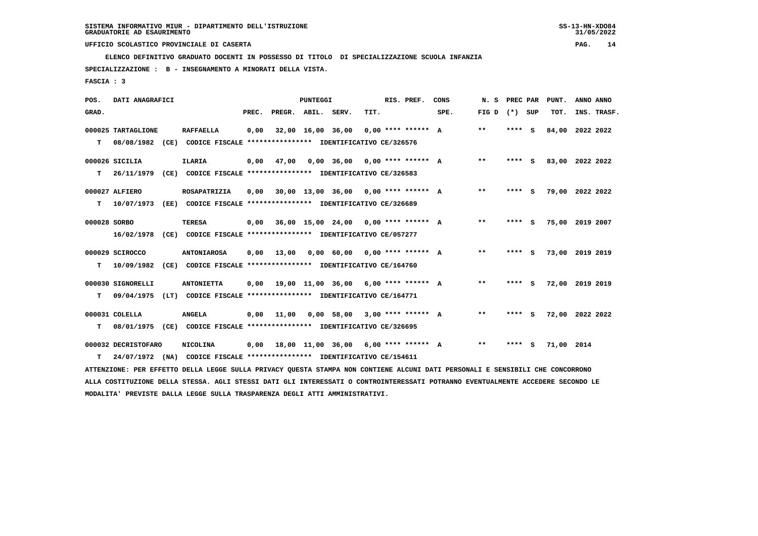**ELENCO DEFINITIVO GRADUATO DOCENTI IN POSSESSO DI TITOLO DI SPECIALIZZAZIONE SCUOLA INFANZIA**

 **SPECIALIZZAZIONE : B - INSEGNAMENTO A MINORATI DELLA VISTA.**

 **FASCIA : 3**

| POS.         | DATI ANAGRAFICI     |                                                                                                                                 |       |                    | <b>PUNTEGGI</b>   |                   |                                        | RIS. PREF.           | CONS | N. S            | PREC PAR |     | PUNT.           | ANNO ANNO   |  |
|--------------|---------------------|---------------------------------------------------------------------------------------------------------------------------------|-------|--------------------|-------------------|-------------------|----------------------------------------|----------------------|------|-----------------|----------|-----|-----------------|-------------|--|
| GRAD.        |                     |                                                                                                                                 | PREC. | PREGR. ABIL. SERV. |                   |                   | TIT.                                   |                      | SPE. | FIG D $(*)$ SUP |          |     | TOT.            | INS. TRASF. |  |
|              | 000025 TARTAGLIONE  | <b>RAFFAELLA</b>                                                                                                                | 0,00  |                    | 32,00 16,00 36,00 |                   |                                        | $0.00$ **** ****** A |      | $* *$           | ****     | - S | 84,00           | 2022 2022   |  |
| т            | 08/08/1982          | (CE) CODICE FISCALE **************** IDENTIFICATIVO CE/326576                                                                   |       |                    |                   |                   |                                        |                      |      |                 |          |     |                 |             |  |
|              | 000026 SICILIA      | <b>ILARIA</b>                                                                                                                   | 0,00  | 47,00              |                   | $0,00$ 36,00      | 0,00 **** ****** A                     |                      |      | $* *$           | ****     | - S | 83,00 2022 2022 |             |  |
| т            | 26/11/1979          | (CE) CODICE FISCALE **************** IDENTIFICATIVO CE/326583                                                                   |       |                    |                   |                   |                                        |                      |      |                 |          |     |                 |             |  |
|              | 000027 ALFIERO      | ROSAPATRIZIA                                                                                                                    | 0,00  |                    |                   |                   | $30,00$ 13,00 36,00 0,00 **** ****** A |                      |      | $* *$           | **** S   |     | 79,00 2022 2022 |             |  |
| т            | 10/07/1973          | (EE) CODICE FISCALE **************** IDENTIFICATIVO CE/326689                                                                   |       |                    |                   |                   |                                        |                      |      |                 |          |     |                 |             |  |
| 000028 SORBO |                     | <b>TERESA</b>                                                                                                                   | 0,00  |                    |                   |                   | $36,00$ 15,00 24,00 0,00 **** ****** A |                      |      | $* *$           | ****     | - S | 75,00 2019 2007 |             |  |
|              | 16/02/1978          | CODICE FISCALE **************** IDENTIFICATIVO CE/057277<br>(CE)                                                                |       |                    |                   |                   |                                        |                      |      |                 |          |     |                 |             |  |
|              | 000029 SCIROCCO     | <b>ANTONIAROSA</b>                                                                                                              | 0,00  | 13,00              |                   | 0,00 60,00        | $0.00$ **** ****** A                   |                      |      | $* *$           | **** S   |     | 73,00 2019 2019 |             |  |
| т            | 10/09/1982          | (CE) CODICE FISCALE **************** IDENTIFICATIVO CE/164760                                                                   |       |                    |                   |                   |                                        |                      |      |                 |          |     |                 |             |  |
|              | 000030 SIGNORELLI   | <b>ANTONIETTA</b>                                                                                                               | 0,00  |                    |                   | 19,00 11,00 36,00 | 6,00 **** ****** A                     |                      |      | $* *$           | **** S   |     | 72,00 2019 2019 |             |  |
| т            | 09/04/1975          | (LT) CODICE FISCALE **************** IDENTIFICATIVO CE/164771                                                                   |       |                    |                   |                   |                                        |                      |      |                 |          |     |                 |             |  |
|              | 000031 COLELLA      | <b>ANGELA</b>                                                                                                                   | 0,00  | 11,00              |                   | $0,00$ 58,00      |                                        | $3.00*********$ A    |      | $* *$           | **** S   |     | 72,00 2022 2022 |             |  |
| т            | 08/01/1975          | (CE) CODICE FISCALE **************** IDENTIFICATIVO CE/326695                                                                   |       |                    |                   |                   |                                        |                      |      |                 |          |     |                 |             |  |
|              | 000032 DECRISTOFARO | <b>NICOLINA</b>                                                                                                                 | 0,00  |                    |                   |                   | 18,00 11,00 36,00 6,00 **** ****** A   |                      |      | $***$           | **** S   |     | 71,00 2014      |             |  |
| т            | 24/07/1972          | (NA) CODICE FISCALE **************** IDENTIFICATIVO CE/154611                                                                   |       |                    |                   |                   |                                        |                      |      |                 |          |     |                 |             |  |
|              |                     | ATTENZIONE: PER EFFETTO DELLA LEGGE SULLA PRIVACY QUESTA STAMPA NON CONTIENE ALCUNI DATI PERSONALI E SENSIBILI CHE CONCORRONO   |       |                    |                   |                   |                                        |                      |      |                 |          |     |                 |             |  |
|              |                     | ALLA COSTITUZIONE DELLA STESSA. AGLI STESSI DATI GLI INTERESSATI O CONTROINTERESSATI POTRANNO EVENTUALMENTE ACCEDERE SECONDO LE |       |                    |                   |                   |                                        |                      |      |                 |          |     |                 |             |  |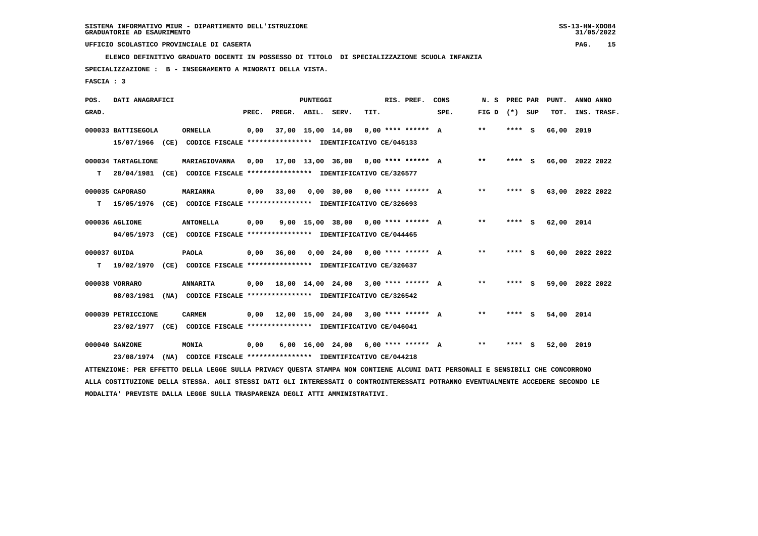**ELENCO DEFINITIVO GRADUATO DOCENTI IN POSSESSO DI TITOLO DI SPECIALIZZAZIONE SCUOLA INFANZIA**

 **SPECIALIZZAZIONE : B - INSEGNAMENTO A MINORATI DELLA VISTA.**

 **FASCIA : 3**

| POS.         | DATI ANAGRAFICI    |                                                                                                                               |       |                                             | <b>PUNTEGGI</b>   |                                       |      | RIS. PREF.           | CONS |                   | N. S PREC PAR | PUNT.           | ANNO ANNO |             |
|--------------|--------------------|-------------------------------------------------------------------------------------------------------------------------------|-------|---------------------------------------------|-------------------|---------------------------------------|------|----------------------|------|-------------------|---------------|-----------------|-----------|-------------|
| GRAD.        |                    |                                                                                                                               | PREC. | PREGR. ABIL. SERV.                          |                   |                                       | TIT. |                      | SPE. | FIG $D$ $(*)$ SUP |               | TOT.            |           | INS. TRASF. |
|              | 000033 BATTISEGOLA | <b>ORNELLA</b>                                                                                                                | 0,00  |                                             | 37,00 15,00 14,00 |                                       |      | $0.00$ **** ****** A |      | **                | **** S        | 66,00 2019      |           |             |
|              |                    | 15/07/1966 (CE) CODICE FISCALE *************** IDENTIFICATIVO CE/045133                                                       |       |                                             |                   |                                       |      |                      |      |                   |               |                 |           |             |
|              | 000034 TARTAGLIONE | MARIAGIOVANNA                                                                                                                 |       | $0,00$ 17,00 13,00 36,00 0,00 **** ****** A |                   |                                       |      |                      |      | **                | **** S        | 66,00 2022 2022 |           |             |
| T.           |                    | 28/04/1981 (CE) CODICE FISCALE **************** IDENTIFICATIVO CE/326577                                                      |       |                                             |                   |                                       |      |                      |      |                   |               |                 |           |             |
|              | 000035 CAPORASO    | <b>MARIANNA</b>                                                                                                               | 0,00  | 33,00                                       |                   | $0,00$ 30,00 0,00 **** ****** A       |      |                      |      | $***$             | **** S        | 63,00 2022 2022 |           |             |
| T.           |                    | 15/05/1976 (CE) CODICE FISCALE **************** IDENTIFICATIVO CE/326693                                                      |       |                                             |                   |                                       |      |                      |      |                   |               |                 |           |             |
|              | 000036 AGLIONE     | <b>ANTONELLA</b>                                                                                                              | 0,00  |                                             |                   | $9,00$ 15,00 38,00 0,00 **** ****** A |      |                      |      | $* *$             | **** S        | 62,00 2014      |           |             |
|              |                    | 04/05/1973 (CE) CODICE FISCALE *************** IDENTIFICATIVO CE/044465                                                       |       |                                             |                   |                                       |      |                      |      |                   |               |                 |           |             |
| 000037 GUIDA |                    | <b>PAOLA</b>                                                                                                                  | 0,00  | 36,00                                       |                   | $0,00$ 24,00 0,00 **** ****** A       |      |                      |      | $***$             | **** S        | 60,00 2022 2022 |           |             |
| т            |                    | 19/02/1970 (CE) CODICE FISCALE *************** IDENTIFICATIVO CE/326637                                                       |       |                                             |                   |                                       |      |                      |      |                   |               |                 |           |             |
|              | 000038 VORRARO     | <b>ANNARITA</b>                                                                                                               |       | $0,00$ 18,00 14,00 24,00 3,00 **** ****** A |                   |                                       |      |                      |      | $* *$             | **** S        | 59,00 2022 2022 |           |             |
|              |                    | 08/03/1981 (NA) CODICE FISCALE *************** IDENTIFICATIVO CE/326542                                                       |       |                                             |                   |                                       |      |                      |      |                   |               |                 |           |             |
|              | 000039 PETRICCIONE | <b>CARMEN</b>                                                                                                                 |       | $0,00$ 12,00 15,00 24,00 3,00 **** ****** A |                   |                                       |      |                      |      | $* *$             | **** S        | 54,00 2014      |           |             |
|              |                    | 23/02/1977 (CE) CODICE FISCALE *************** IDENTIFICATIVO CE/046041                                                       |       |                                             |                   |                                       |      |                      |      |                   |               |                 |           |             |
|              | 000040 SANZONE     | <b>MONIA</b>                                                                                                                  | 0,00  |                                             |                   | $6,00$ 16,00 24,00 6,00 **** ****** A |      |                      |      | $***$             | **** S        | 52,00 2019      |           |             |
|              | 23/08/1974         | (NA) CODICE FISCALE **************** IDENTIFICATIVO CE/044218                                                                 |       |                                             |                   |                                       |      |                      |      |                   |               |                 |           |             |
|              |                    | ATTENZIONE: PER EFFETTO DELLA LEGGE SULLA PRIVACY QUESTA STAMPA NON CONTIENE ALCUNI DATI PERSONALI E SENSIBILI CHE CONCORRONO |       |                                             |                   |                                       |      |                      |      |                   |               |                 |           |             |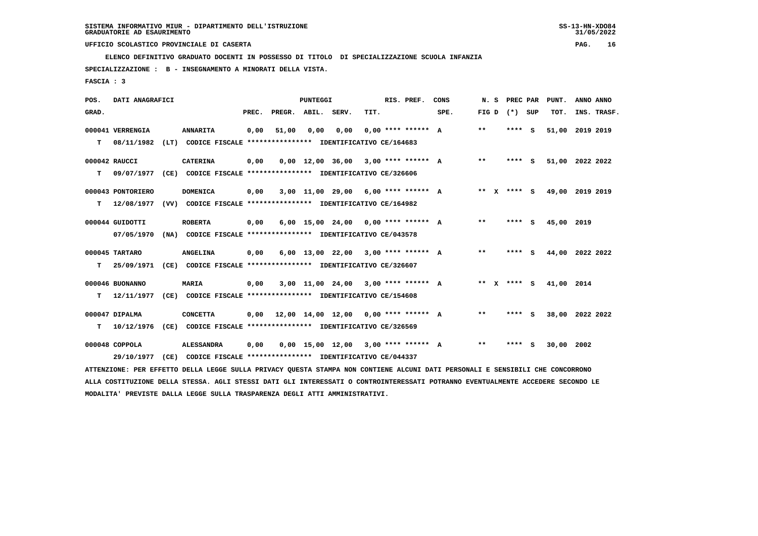**ELENCO DEFINITIVO GRADUATO DOCENTI IN POSSESSO DI TITOLO DI SPECIALIZZAZIONE SCUOLA INFANZIA**

 **SPECIALIZZAZIONE : B - INSEGNAMENTO A MINORATI DELLA VISTA.**

 **FASCIA : 3**

| POS.  | DATI ANAGRAFICI   |      |                                                                                                                               |       |                                      | <b>PUNTEGGI</b> |                                       |      | RIS. PREF.           | CONS | N. S              |        | PREC PAR | PUNT.           | ANNO ANNO |             |
|-------|-------------------|------|-------------------------------------------------------------------------------------------------------------------------------|-------|--------------------------------------|-----------------|---------------------------------------|------|----------------------|------|-------------------|--------|----------|-----------------|-----------|-------------|
| GRAD. |                   |      |                                                                                                                               | PREC. | PREGR. ABIL. SERV.                   |                 |                                       | TIT. |                      | SPE. | FIG $D$ $(*)$ SUP |        |          | TOT.            |           | INS. TRASF. |
|       | 000041 VERRENGIA  |      | <b>ANNARITA</b>                                                                                                               | 0,00  | 51,00                                | 0,00            | 0,00                                  |      | $0.00$ **** ****** A |      | $* *$             | ****   | - S      | 51,00           | 2019 2019 |             |
| т     | 08/11/1982        | (LT) | CODICE FISCALE **************** IDENTIFICATIVO CE/164683                                                                      |       |                                      |                 |                                       |      |                      |      |                   |        |          |                 |           |             |
|       | 000042 RAUCCI     |      | <b>CATERINA</b>                                                                                                               | 0,00  |                                      |                 | 0,00 12,00 36,00                      |      | 3,00 **** ****** A   |      | $* *$             | **** S |          | 51,00 2022 2022 |           |             |
| т     | 09/07/1977        |      | (CE) CODICE FISCALE **************** IDENTIFICATIVO CE/326606                                                                 |       |                                      |                 |                                       |      |                      |      |                   |        |          |                 |           |             |
|       | 000043 PONTORIERO |      | <b>DOMENICA</b>                                                                                                               | 0,00  |                                      |                 | $3,00$ 11,00 29,00 6,00 **** ****** A |      |                      |      | ** x **** s       |        |          | 49,00           | 2019 2019 |             |
| T.    | 12/08/1977        |      | (VV) CODICE FISCALE **************** IDENTIFICATIVO CE/164982                                                                 |       |                                      |                 |                                       |      |                      |      |                   |        |          |                 |           |             |
|       | 000044 GUIDOTTI   |      | <b>ROBERTA</b>                                                                                                                | 0,00  |                                      |                 | $6.00$ 15.00 24.00 0.00 **** ****** A |      |                      |      | **                | **** S |          | 45,00 2019      |           |             |
|       | 07/05/1970        |      | (NA) CODICE FISCALE **************** IDENTIFICATIVO CE/043578                                                                 |       |                                      |                 |                                       |      |                      |      |                   |        |          |                 |           |             |
|       | 000045 TARTARO    |      | <b>ANGELINA</b>                                                                                                               | 0.00  |                                      |                 | $6.00$ 13.00 22.00 3.00 **** ****** A |      |                      |      | $***$             | **** S |          | 44,00 2022 2022 |           |             |
| т     | 25/09/1971        |      | (CE) CODICE FISCALE **************** IDENTIFICATIVO CE/326607                                                                 |       |                                      |                 |                                       |      |                      |      |                   |        |          |                 |           |             |
|       | 000046 BUONANNO   |      | MARIA                                                                                                                         | 0,00  |                                      |                 | $3,00$ 11,00 24,00 3,00 **** ****** A |      |                      |      | ** x **** S       |        |          | 41,00 2014      |           |             |
| т     | 12/11/1977        |      | (CE) CODICE FISCALE **************** IDENTIFICATIVO CE/154608                                                                 |       |                                      |                 |                                       |      |                      |      |                   |        |          |                 |           |             |
|       | 000047 DIPALMA    |      | <b>CONCETTA</b>                                                                                                               | 0,00  | 12,00 14,00 12,00 0,00 **** ****** A |                 |                                       |      |                      |      | $* *$             | **** S |          | 38,00           | 2022 2022 |             |
| т     | 10/12/1976        |      | (CE) CODICE FISCALE **************** IDENTIFICATIVO CE/326569                                                                 |       |                                      |                 |                                       |      |                      |      |                   |        |          |                 |           |             |
|       | 000048 COPPOLA    |      | <b>ALESSANDRA</b>                                                                                                             | 0,00  |                                      |                 | $0,00$ 15,00 12,00 3,00 **** ****** A |      |                      |      | $* *$             | **** S |          | 30,00 2002      |           |             |
|       | 29/10/1977        | (CE) | CODICE FISCALE **************** IDENTIFICATIVO CE/044337                                                                      |       |                                      |                 |                                       |      |                      |      |                   |        |          |                 |           |             |
|       |                   |      | ATTENZIONE: PER EFFETTO DELLA LEGGE SULLA PRIVACY QUESTA STAMPA NON CONTIENE ALCUNI DATI PERSONALI E SENSIBILI CHE CONCORRONO |       |                                      |                 |                                       |      |                      |      |                   |        |          |                 |           |             |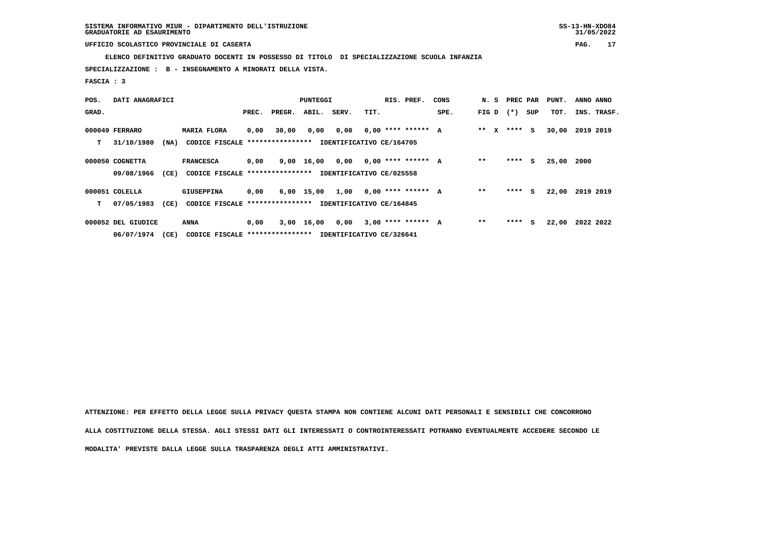**ELENCO DEFINITIVO GRADUATO DOCENTI IN POSSESSO DI TITOLO DI SPECIALIZZAZIONE SCUOLA INFANZIA**

 **SPECIALIZZAZIONE : B - INSEGNAMENTO A MINORATI DELLA VISTA.**

 **FASCIA : 3**

| POS.  | DATI ANAGRAFICI    |      |                                  |       |        | <b>PUNTEGGI</b> |                          |      | RIS. PREF.           | CONS | N. S    |        | PREC PAR | PUNT. | ANNO ANNO   |
|-------|--------------------|------|----------------------------------|-------|--------|-----------------|--------------------------|------|----------------------|------|---------|--------|----------|-------|-------------|
| GRAD. |                    |      |                                  | PREC. | PREGR. | ABIL.           | SERV.                    | TIT. |                      | SPE. | FIG D   | $(* )$ | SUP      | TOT.  | INS. TRASF. |
|       | 000049 FERRARO     |      | <b>MARIA FLORA</b>               | 0,00  | 30,00  | 0,00            | 0,00                     |      | $0.00$ **** ****** A |      | $***$ X |        | **** S   | 30,00 | 2019 2019   |
| т     | 31/10/1980         | (NA) | CODICE FISCALE ***************** |       |        |                 | IDENTIFICATIVO CE/164705 |      |                      |      |         |        |          |       |             |
|       | 000050 COGNETTA    |      | <b>FRANCESCA</b>                 | 0,00  |        | 9,00 16,00 0,00 |                          |      | $0,00$ **** ****** A |      | $**$    | ****   | S.       | 25,00 | 2000        |
|       | 09/08/1966         | (CE) | CODICE FISCALE ***************** |       |        |                 | IDENTIFICATIVO CE/025558 |      |                      |      |         |        |          |       |             |
|       | 000051 COLELLA     |      | <b>GIUSEPPINA</b>                | 0,00  |        | 6,00 15,00      | 1,00                     |      | $0.00$ **** ****** A |      | $* *$   | ****   | S.       | 22,00 | 2019 2019   |
| т     | 07/05/1983         | (CE) | CODICE FISCALE ***************** |       |        |                 | IDENTIFICATIVO CE/164845 |      |                      |      |         |        |          |       |             |
|       | 000052 DEL GIUDICE |      | ANNA                             | 0,00  |        | $3,00$ 16,00    | 0,00                     |      | $3,00$ **** ****** A |      | $* *$   | ****   | S.       | 22,00 | 2022 2022   |
|       | 06/07/1974         | (CE) | CODICE FISCALE ***************** |       |        |                 | IDENTIFICATIVO CE/326641 |      |                      |      |         |        |          |       |             |

 **ATTENZIONE: PER EFFETTO DELLA LEGGE SULLA PRIVACY QUESTA STAMPA NON CONTIENE ALCUNI DATI PERSONALI E SENSIBILI CHE CONCORRONO ALLA COSTITUZIONE DELLA STESSA. AGLI STESSI DATI GLI INTERESSATI O CONTROINTERESSATI POTRANNO EVENTUALMENTE ACCEDERE SECONDO LE MODALITA' PREVISTE DALLA LEGGE SULLA TRASPARENZA DEGLI ATTI AMMINISTRATIVI.**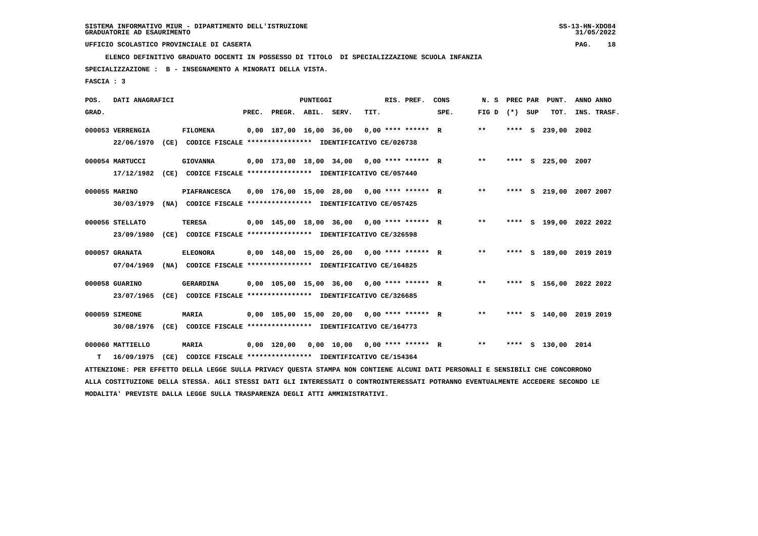**ELENCO DEFINITIVO GRADUATO DOCENTI IN POSSESSO DI TITOLO DI SPECIALIZZAZIONE SCUOLA INFANZIA**

 **SPECIALIZZAZIONE : B - INSEGNAMENTO A MINORATI DELLA VISTA.**

 **FASCIA : 3**

| POS.  | DATI ANAGRAFICI  |      |                                                                                                                               |                          | PUNTEGGI |                                              |      | RIS. PREF.           | CONS | N.S   | PREC PAR |     | PUNT.              | ANNO ANNO               |
|-------|------------------|------|-------------------------------------------------------------------------------------------------------------------------------|--------------------------|----------|----------------------------------------------|------|----------------------|------|-------|----------|-----|--------------------|-------------------------|
| GRAD. |                  |      |                                                                                                                               | PREC. PREGR. ABIL. SERV. |          |                                              | TIT. |                      | SPE. | FIG D | $(*)$    | SUP | TOT.               | INS. TRASF.             |
|       | 000053 VERRENGIA |      | <b>FILOMENA</b>                                                                                                               | 0,00 187,00 16,00 36,00  |          |                                              |      | $0.00$ **** ****** R |      | $* *$ | **** S   |     | 239,00             | 2002                    |
|       | 22/06/1970       |      | (CE) CODICE FISCALE **************** IDENTIFICATIVO CE/026738                                                                 |                          |          |                                              |      |                      |      |       |          |     |                    |                         |
|       | 000054 MARTUCCI  |      | <b>GIOVANNA</b>                                                                                                               |                          |          | $0,00$ 173,00 18,00 34,00 0,00 **** ****** R |      |                      |      | $***$ |          |     | **** S 225,00 2007 |                         |
|       | 17/12/1982       | (CE) | CODICE FISCALE **************** IDENTIFICATIVO CE/057440                                                                      |                          |          |                                              |      |                      |      |       |          |     |                    |                         |
|       | 000055 MARINO    |      | <b>PIAFRANCESCA</b>                                                                                                           |                          |          | $0,00$ 176,00 15,00 28,00 0,00 **** ****** R |      |                      |      | $* *$ |          |     |                    | **** S 219,00 2007 2007 |
|       | 30/03/1979       |      | (NA) CODICE FISCALE **************** IDENTIFICATIVO CE/057425                                                                 |                          |          |                                              |      |                      |      |       |          |     |                    |                         |
|       | 000056 STELLATO  |      | <b>TERESA</b>                                                                                                                 |                          |          | $0,00$ 145,00 18,00 36,00 0,00 **** ****** R |      |                      |      | $* *$ |          |     |                    | **** S 199,00 2022 2022 |
|       | 23/09/1980       |      | (CE) CODICE FISCALE **************** IDENTIFICATIVO CE/326598                                                                 |                          |          |                                              |      |                      |      |       |          |     |                    |                         |
|       | 000057 GRANATA   |      | <b>ELEONORA</b>                                                                                                               |                          |          | $0,00$ 148,00 15,00 26,00 0,00 **** ****** R |      |                      |      | $***$ |          |     |                    | **** S 189,00 2019 2019 |
|       | 07/04/1969       |      | (NA) CODICE FISCALE **************** IDENTIFICATIVO CE/164825                                                                 |                          |          |                                              |      |                      |      |       |          |     |                    |                         |
|       | 000058 GUARINO   |      | GERARDINA                                                                                                                     |                          |          | $0,00$ 105,00 15,00 36,00 0,00 **** ****** R |      |                      |      | $**$  |          |     |                    | **** S 156,00 2022 2022 |
|       | 23/07/1965       |      | (CE) CODICE FISCALE **************** IDENTIFICATIVO CE/326685                                                                 |                          |          |                                              |      |                      |      |       |          |     |                    |                         |
|       |                  |      |                                                                                                                               |                          |          |                                              |      |                      |      |       |          |     |                    |                         |
|       | 000059 SIMEONE   |      | <b>MARIA</b>                                                                                                                  |                          |          | $0,00$ 105,00 15,00 20,00 0,00 **** ****** R |      |                      |      | $***$ |          |     |                    | **** S 140,00 2019 2019 |
|       | 30/08/1976       |      | (CE) CODICE FISCALE **************** IDENTIFICATIVO CE/164773                                                                 |                          |          |                                              |      |                      |      |       |          |     |                    |                         |
|       | 000060 MATTIELLO |      | <b>MARIA</b>                                                                                                                  | 0,00 120,00              |          | $0,00$ 10,00 0,00 **** ****** R              |      |                      |      | $* *$ |          |     | **** S 130,00 2014 |                         |
| т     | 16/09/1975       | (CE) | CODICE FISCALE **************** IDENTIFICATIVO CE/154364                                                                      |                          |          |                                              |      |                      |      |       |          |     |                    |                         |
|       |                  |      | ATTENZIONE: PER EFFETTO DELLA LEGGE SULLA PRIVACY QUESTA STAMPA NON CONTIENE ALCUNI DATI PERSONALI E SENSIBILI CHE CONCORRONO |                          |          |                                              |      |                      |      |       |          |     |                    |                         |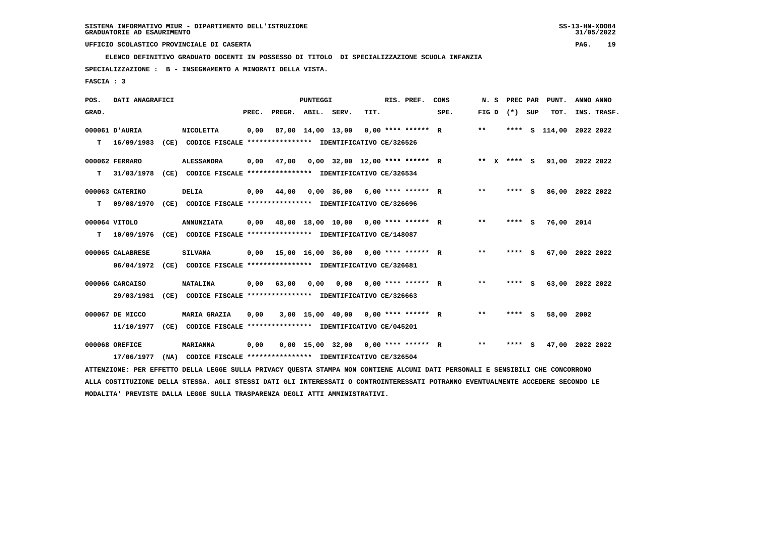**ELENCO DEFINITIVO GRADUATO DOCENTI IN POSSESSO DI TITOLO DI SPECIALIZZAZIONE SCUOLA INFANZIA**

 **SPECIALIZZAZIONE : B - INSEGNAMENTO A MINORATI DELLA VISTA.**

 **FASCIA : 3**

| POS.  | DATI ANAGRAFICI  |                                                                                                                                 |       |                    | <b>PUNTEGGI</b> |                   |                                       | RIS. PREF. | CONS | N.S             | <b>PREC PAR</b> |          | PUNT.            | ANNO ANNO |             |
|-------|------------------|---------------------------------------------------------------------------------------------------------------------------------|-------|--------------------|-----------------|-------------------|---------------------------------------|------------|------|-----------------|-----------------|----------|------------------|-----------|-------------|
| GRAD. |                  |                                                                                                                                 | PREC. | PREGR. ABIL. SERV. |                 |                   | TIT.                                  |            | SPE. | FIG D $(*)$ SUP |                 |          | TOT.             |           | INS. TRASF. |
|       | 000061 D'AURIA   | <b>NICOLETTA</b>                                                                                                                | 0,00  |                    |                 | 87,00 14,00 13,00 | $0.00$ **** ****** R                  |            |      | $* *$           | ****            | <b>S</b> | 114,00 2022 2022 |           |             |
| т     | 16/09/1983       | (CE) CODICE FISCALE **************** IDENTIFICATIVO CE/326526                                                                   |       |                    |                 |                   |                                       |            |      |                 |                 |          |                  |           |             |
|       | 000062 FERRARO   | <b>ALESSANDRA</b>                                                                                                               | 0,00  | 47,00              |                 |                   | $0,00$ 32,00 12,00 **** ****** R      |            |      | ** x **** S     |                 |          | 91,00 2022 2022  |           |             |
| т     | 31/03/1978       | (CE) CODICE FISCALE **************** IDENTIFICATIVO CE/326534                                                                   |       |                    |                 |                   |                                       |            |      |                 |                 |          |                  |           |             |
|       | 000063 CATERINO  | <b>DELIA</b>                                                                                                                    | 0,00  | 44,00              |                 |                   | $0,00$ 36,00 6,00 **** ****** R       |            |      | **              | **** S          |          | 86,00 2022 2022  |           |             |
| т     | 09/08/1970       | (CE) CODICE FISCALE **************** IDENTIFICATIVO CE/326696                                                                   |       |                    |                 |                   |                                       |            |      |                 |                 |          |                  |           |             |
|       | 000064 VITOLO    | <b>ANNUNZIATA</b>                                                                                                               | 0,00  |                    |                 |                   | 48,00 18,00 10,00 0,00 **** ****** R  |            |      | $* *$           | **** S          |          | 76,00 2014       |           |             |
| т     | 10/09/1976       | (CE) CODICE FISCALE **************** IDENTIFICATIVO CE/148087                                                                   |       |                    |                 |                   |                                       |            |      |                 |                 |          |                  |           |             |
|       | 000065 CALABRESE | <b>SILVANA</b>                                                                                                                  | 0,00  |                    |                 |                   | 15,00 16,00 36,00 0,00 **** ****** R  |            |      | $* *$           | **** S          |          | 67,00 2022 2022  |           |             |
|       | 06/04/1972       | (CE) CODICE FISCALE **************** IDENTIFICATIVO CE/326681                                                                   |       |                    |                 |                   |                                       |            |      |                 |                 |          |                  |           |             |
|       | 000066 CARCAISO  | <b>NATALINA</b>                                                                                                                 | 0,00  | 63,00              | 0.00            | 0.00              | $0.00$ **** ****** R                  |            |      | $***$           | **** S          |          | 63,00 2022 2022  |           |             |
|       | 29/03/1981       | (CE) CODICE FISCALE **************** IDENTIFICATIVO CE/326663                                                                   |       |                    |                 |                   |                                       |            |      |                 |                 |          |                  |           |             |
|       | 000067 DE MICCO  | <b>MARIA GRAZIA</b>                                                                                                             | 0,00  |                    |                 |                   | $3.00$ 15.00 40.00 0.00 **** ****** R |            |      | $\star\star$    | **** S          |          | 58,00            | 2002      |             |
|       | 11/10/1977       | (CE) CODICE FISCALE **************** IDENTIFICATIVO CE/045201                                                                   |       |                    |                 |                   |                                       |            |      |                 |                 |          |                  |           |             |
|       | 000068 OREFICE   | <b>MARIANNA</b>                                                                                                                 | 0,00  |                    |                 |                   | $0,00$ 15,00 32,00 0,00 **** ****** R |            |      | $* *$           | **** S          |          | 47,00 2022 2022  |           |             |
|       | 17/06/1977       | (NA) CODICE FISCALE **************** IDENTIFICATIVO CE/326504                                                                   |       |                    |                 |                   |                                       |            |      |                 |                 |          |                  |           |             |
|       |                  | ATTENZIONE: PER EFFETTO DELLA LEGGE SULLA PRIVACY QUESTA STAMPA NON CONTIENE ALCUNI DATI PERSONALI E SENSIBILI CHE CONCORRONO   |       |                    |                 |                   |                                       |            |      |                 |                 |          |                  |           |             |
|       |                  | ALLA COSTITUZIONE DELLA STESSA. AGLI STESSI DATI GLI INTERESSATI O CONTROINTERESSATI POTRANNO EVENTUALMENTE ACCEDERE SECONDO LE |       |                    |                 |                   |                                       |            |      |                 |                 |          |                  |           |             |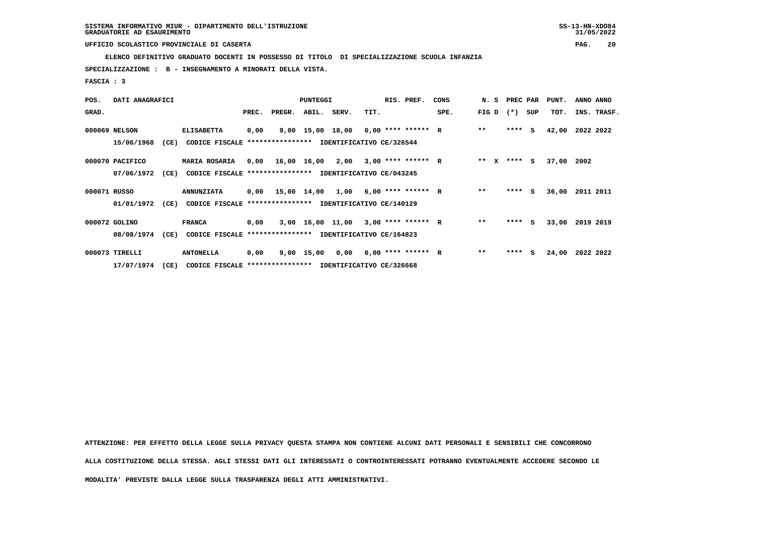**ELENCO DEFINITIVO GRADUATO DOCENTI IN POSSESSO DI TITOLO DI SPECIALIZZAZIONE SCUOLA INFANZIA**

 **SPECIALIZZAZIONE : B - INSEGNAMENTO A MINORATI DELLA VISTA.**

 **FASCIA : 3**

| POS.         | DATI ANAGRAFICI |      |                                                          |       |        | <b>PUNTEGGI</b> |                                           | RIS. PREF.                                 | CONS | N.S             | PREC PAR |     | PUNT.      | ANNO ANNO   |
|--------------|-----------------|------|----------------------------------------------------------|-------|--------|-----------------|-------------------------------------------|--------------------------------------------|------|-----------------|----------|-----|------------|-------------|
| GRAD.        |                 |      |                                                          | PREC. | PREGR. | ABIL. SERV.     | TIT.                                      |                                            | SPE. | FIG D           | $(* )$   | SUP | TOT.       | INS. TRASF. |
|              | 000069 NELSON   |      | <b>ELISABETTA</b>                                        | 0,00  |        |                 |                                           | 9,00 15,00 18,00 0,00 **** ****** R        |      | $* *$           | ****     | - S | 42,00      | 2022 2022   |
|              | 15/06/1968      | (CE) | CODICE FISCALE **************** IDENTIFICATIVO CE/326544 |       |        |                 |                                           |                                            |      |                 |          |     |            |             |
|              | 000070 PACIFICO |      | <b>MARIA ROSARIA</b>                                     |       |        |                 |                                           | $0,00$ 16,00 16,00 2,00 3,00 **** ****** R |      | ** $\mathbf{x}$ | $***$ S  |     | 37,00 2002 |             |
|              | 07/06/1972      | (CE) | CODICE FISCALE **************** IDENTIFICATIVO CE/043245 |       |        |                 |                                           |                                            |      |                 |          |     |            |             |
| 000071 RUSSO |                 |      | <b>ANNUNZIATA</b>                                        |       |        |                 |                                           | $0,00$ 15,00 14,00 1,00 6,00 **** ****** R |      | $* *$           | $***5$   |     | 36,00      | 2011 2011   |
|              | 01/01/1972      | (CE) | CODICE FISCALE                                           |       |        |                 | **************** IDENTIFICATIVO CE/140129 |                                            |      |                 |          |     |            |             |
|              | 000072 GOLINO   |      | <b>FRANCA</b>                                            | 0,00  |        |                 |                                           | $3,00$ 16,00 11,00 3,00 **** ****** R      |      | $* *$           | $***$ S  |     | 33,00      | 2019 2019   |
|              | 08/08/1974      | (CE) | CODICE FISCALE **************** IDENTIFICATIVO CE/164823 |       |        |                 |                                           |                                            |      |                 |          |     |            |             |
|              | 000073 TIRELLI  |      | <b>ANTONELLA</b>                                         | 0,00  |        |                 |                                           | $9,00$ 15,00 0,00 0,00 **** ****** R       |      | $**$            | ****     | S.  | 24,00      | 2022 2022   |
|              | 17/07/1974      | (CE) | CODICE FISCALE **************** IDENTIFICATIVO CE/326668 |       |        |                 |                                           |                                            |      |                 |          |     |            |             |

 **ATTENZIONE: PER EFFETTO DELLA LEGGE SULLA PRIVACY QUESTA STAMPA NON CONTIENE ALCUNI DATI PERSONALI E SENSIBILI CHE CONCORRONO ALLA COSTITUZIONE DELLA STESSA. AGLI STESSI DATI GLI INTERESSATI O CONTROINTERESSATI POTRANNO EVENTUALMENTE ACCEDERE SECONDO LE MODALITA' PREVISTE DALLA LEGGE SULLA TRASPARENZA DEGLI ATTI AMMINISTRATIVI.**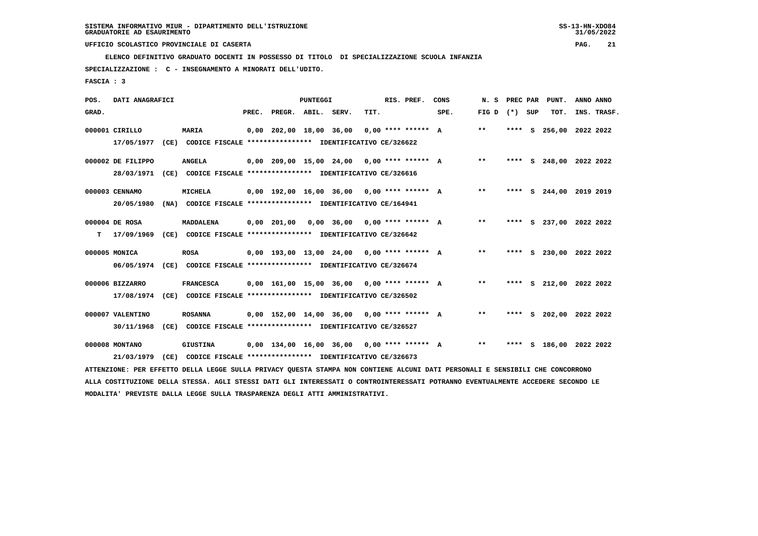**ELENCO DEFINITIVO GRADUATO DOCENTI IN POSSESSO DI TITOLO DI SPECIALIZZAZIONE SCUOLA INFANZIA**

 **SPECIALIZZAZIONE : C - INSEGNAMENTO A MINORATI DELL'UDITO.**

 **FASCIA : 3**

| POS.  | DATI ANAGRAFICI   |      |                                                                                                                               |       |                         | <b>PUNTEGGI</b> |                                              |      | RIS. PREF.           | CONS | N. S            |      |    | PREC PAR PUNT.          | ANNO ANNO |             |
|-------|-------------------|------|-------------------------------------------------------------------------------------------------------------------------------|-------|-------------------------|-----------------|----------------------------------------------|------|----------------------|------|-----------------|------|----|-------------------------|-----------|-------------|
| GRAD. |                   |      |                                                                                                                               | PREC. | PREGR. ABIL. SERV.      |                 |                                              | TIT. |                      | SPE. | FIG D $(*)$ SUP |      |    | TOT.                    |           | INS. TRASF. |
|       | 000001 CIRILLO    |      | MARIA                                                                                                                         |       | 0,00 202,00 18,00 36,00 |                 |                                              |      | $0.00$ **** ****** A |      | **              | **** | S. | 256,00 2022 2022        |           |             |
|       | 17/05/1977        | (CE) | CODICE FISCALE **************** IDENTIFICATIVO CE/326622                                                                      |       |                         |                 |                                              |      |                      |      |                 |      |    |                         |           |             |
|       | 000002 DE FILIPPO |      | <b>ANGELA</b>                                                                                                                 |       |                         |                 | $0,00$ 209,00 15,00 24,00 0,00 **** ****** A |      |                      |      | $* *$           |      |    | **** S 248,00 2022 2022 |           |             |
|       | 28/03/1971        |      | (CE) CODICE FISCALE **************** IDENTIFICATIVO CE/326616                                                                 |       |                         |                 |                                              |      |                      |      |                 |      |    |                         |           |             |
|       | 000003 CENNAMO    |      | <b>MICHELA</b>                                                                                                                |       |                         |                 | $0.00$ 192.00 16.00 36.00 0.00 **** ****** A |      |                      |      | $* *$           |      |    | **** S 244,00 2019 2019 |           |             |
|       | 20/05/1980        |      | (NA) CODICE FISCALE **************** IDENTIFICATIVO CE/164941                                                                 |       |                         |                 |                                              |      |                      |      |                 |      |    |                         |           |             |
|       | 000004 DE ROSA    |      | MADDALENA                                                                                                                     |       | $0,00$ 201,00           |                 | $0,00$ 36,00 0,00 **** ****** A              |      |                      |      | $***$           |      |    | **** S 237,00 2022 2022 |           |             |
| т     | 17/09/1969        |      | (CE) CODICE FISCALE **************** IDENTIFICATIVO CE/326642                                                                 |       |                         |                 |                                              |      |                      |      |                 |      |    |                         |           |             |
|       | 000005 MONICA     |      | <b>ROSA</b>                                                                                                                   |       |                         |                 | $0.00$ 193.00 13.00 24.00 0.00 **** ****** A |      |                      |      | $***$           |      |    | **** S 230,00 2022 2022 |           |             |
|       | 06/05/1974        |      | (CE) CODICE FISCALE **************** IDENTIFICATIVO CE/326674                                                                 |       |                         |                 |                                              |      |                      |      |                 |      |    |                         |           |             |
|       | 000006 BIZZARRO   |      | <b>FRANCESCA</b>                                                                                                              |       |                         |                 | $0,00$ 161,00 15,00 36,00 0,00 **** ****** A |      |                      |      | $* *$           |      |    | **** S 212,00 2022 2022 |           |             |
|       | 17/08/1974        |      | (CE) CODICE FISCALE **************** IDENTIFICATIVO CE/326502                                                                 |       |                         |                 |                                              |      |                      |      |                 |      |    |                         |           |             |
|       | 000007 VALENTINO  |      | <b>ROSANNA</b>                                                                                                                |       |                         |                 | $0.00$ 152.00 14.00 36.00 0.00 **** ****** A |      |                      |      | $***$           |      |    | **** S 202,00 2022 2022 |           |             |
|       | 30/11/1968        | (CE) | CODICE FISCALE **************** IDENTIFICATIVO CE/326527                                                                      |       |                         |                 |                                              |      |                      |      |                 |      |    |                         |           |             |
|       | 000008 MONTANO    |      | <b>GIUSTINA</b>                                                                                                               |       |                         |                 | $0,00$ 134,00 16,00 36,00 0,00 **** ****** A |      |                      |      | $***$           |      |    | **** S 186,00 2022 2022 |           |             |
|       | 21/03/1979        | (CE) | CODICE FISCALE **************** IDENTIFICATIVO CE/326673                                                                      |       |                         |                 |                                              |      |                      |      |                 |      |    |                         |           |             |
|       |                   |      | ATTENZIONE: PER EFFETTO DELLA LEGGE SULLA PRIVACY QUESTA STAMPA NON CONTIENE ALCUNI DATI PERSONALI E SENSIBILI CHE CONCORRONO |       |                         |                 |                                              |      |                      |      |                 |      |    |                         |           |             |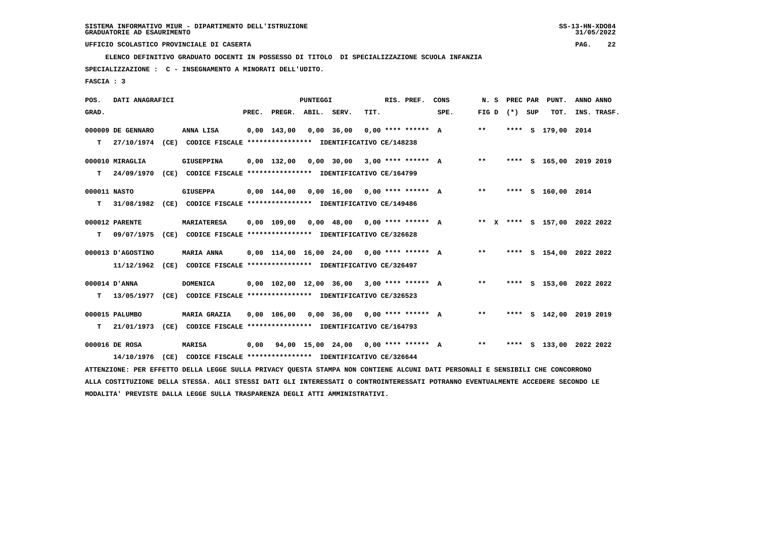**ELENCO DEFINITIVO GRADUATO DOCENTI IN POSSESSO DI TITOLO DI SPECIALIZZAZIONE SCUOLA INFANZIA**

 **SPECIALIZZAZIONE : C - INSEGNAMENTO A MINORATI DELL'UDITO.**

 **FASCIA : 3**

| POS.         | DATI ANAGRAFICI   |                                                                                                                                 |                                                     | <b>PUNTEGGI</b> |                                 |      | RIS. PREF.           | CONS | N. S              |      | PREC PAR PUNT.               | ANNO ANNO |             |
|--------------|-------------------|---------------------------------------------------------------------------------------------------------------------------------|-----------------------------------------------------|-----------------|---------------------------------|------|----------------------|------|-------------------|------|------------------------------|-----------|-------------|
| GRAD.        |                   |                                                                                                                                 | PREC. PREGR. ABIL. SERV.                            |                 |                                 | TIT. |                      | SPE. | FIG $D$ $(*)$ SUP |      | TOT.                         |           | INS. TRASF. |
|              | 000009 DE GENNARO | ANNA LISA                                                                                                                       | $0,00$ 143,00                                       |                 | $0,00$ 36,00                    |      | $0.00$ **** ****** A |      | $* *$             | **** | s 179,00 2014                |           |             |
| т            | 27/10/1974        | (CE) CODICE FISCALE **************** IDENTIFICATIVO CE/148238                                                                   |                                                     |                 |                                 |      |                      |      |                   |      |                              |           |             |
|              | 000010 MIRAGLIA   | <b>GIUSEPPINA</b>                                                                                                               | $0.00$ 132.00                                       |                 | $0,00$ 30,00 3,00 **** ****** A |      |                      |      | $* *$             |      | **** S 165,00 2019 2019      |           |             |
| т            | 24/09/1970        | (CE) CODICE FISCALE **************** IDENTIFICATIVO CE/164799                                                                   |                                                     |                 |                                 |      |                      |      |                   |      |                              |           |             |
| 000011 NASTO |                   | <b>GIUSEPPA</b>                                                                                                                 | $0,00$ 144,00                                       |                 | $0,00$ 16,00 0,00 **** ****** A |      |                      |      | $***$             |      | **** S 160,00 2014           |           |             |
| т            | 31/08/1982        | (CE) CODICE FISCALE **************** IDENTIFICATIVO CE/149486                                                                   |                                                     |                 |                                 |      |                      |      |                   |      |                              |           |             |
|              | 000012 PARENTE    | <b>MARIATERESA</b>                                                                                                              | 0,00 109,00                                         |                 | $0,00$ 48,00 0,00 **** ****** A |      |                      |      |                   |      | ** X **** S 157,00 2022 2022 |           |             |
| т            | 09/07/1975        | (CE) CODICE FISCALE **************** IDENTIFICATIVO CE/326628                                                                   |                                                     |                 |                                 |      |                      |      |                   |      |                              |           |             |
|              | 000013 D'AGOSTINO | <b>MARIA ANNA</b>                                                                                                               | $0,00$ 114,00 16,00 24,00 0,00 **** ****** A        |                 |                                 |      |                      |      | $***$             |      | **** S 154,00 2022 2022      |           |             |
|              | 11/12/1962        | (CE) CODICE FISCALE **************** IDENTIFICATIVO CE/326497                                                                   |                                                     |                 |                                 |      |                      |      |                   |      |                              |           |             |
|              | 000014 D'ANNA     | <b>DOMENICA</b>                                                                                                                 | $0.00$ 102.00 12.00 36.00 3.00 **** ****** A        |                 |                                 |      |                      |      | $***$             |      | **** S 153,00 2022 2022      |           |             |
| т            | 13/05/1977        | (CE) CODICE FISCALE **************** IDENTIFICATIVO CE/326523                                                                   |                                                     |                 |                                 |      |                      |      |                   |      |                              |           |             |
|              | 000015 PALUMBO    | <b>MARIA GRAZIA</b>                                                                                                             | 0,00 106,00                                         |                 | $0,00$ 36,00 0,00 **** ****** A |      |                      |      | $***$             |      | **** S 142,00 2019 2019      |           |             |
| т            | 21/01/1973        | (CE) CODICE FISCALE **************** IDENTIFICATIVO CE/164793                                                                   |                                                     |                 |                                 |      |                      |      |                   |      |                              |           |             |
|              | 000016 DE ROSA    | <b>MARISA</b>                                                                                                                   | $0,00$ $94,00$ $15,00$ $24,00$ $0,00$ **** ****** A |                 |                                 |      |                      |      | $**$              |      | **** S 133,00 2022 2022      |           |             |
|              | 14/10/1976        | (CE) CODICE FISCALE **************** IDENTIFICATIVO CE/326644                                                                   |                                                     |                 |                                 |      |                      |      |                   |      |                              |           |             |
|              |                   | ATTENZIONE: PER EFFETTO DELLA LEGGE SULLA PRIVACY QUESTA STAMPA NON CONTIENE ALCUNI DATI PERSONALI E SENSIBILI CHE CONCORRONO   |                                                     |                 |                                 |      |                      |      |                   |      |                              |           |             |
|              |                   | ALLA COSTITUZIONE DELLA STESSA. AGLI STESSI DATI GLI INTERESSATI O CONTROINTERESSATI POTRANNO EVENTUALMENTE ACCEDERE SECONDO LE |                                                     |                 |                                 |      |                      |      |                   |      |                              |           |             |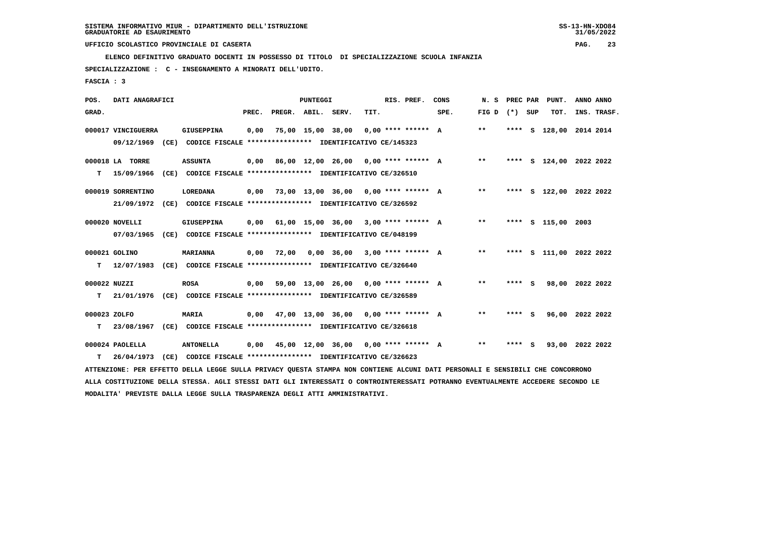**ELENCO DEFINITIVO GRADUATO DOCENTI IN POSSESSO DI TITOLO DI SPECIALIZZAZIONE SCUOLA INFANZIA**

 **SPECIALIZZAZIONE : C - INSEGNAMENTO A MINORATI DELL'UDITO.**

 **FASCIA : 3**

| POS.         | DATI ANAGRAFICI    |      |                                                                                                                                 |       |                                             | <b>PUNTEGGI</b>   |                                                |      | RIS. PREF.           | CONS | N. S            | PREC PAR |     | PUNT.                   | ANNO ANNO |             |
|--------------|--------------------|------|---------------------------------------------------------------------------------------------------------------------------------|-------|---------------------------------------------|-------------------|------------------------------------------------|------|----------------------|------|-----------------|----------|-----|-------------------------|-----------|-------------|
| GRAD.        |                    |      |                                                                                                                                 | PREC. | PREGR. ABIL. SERV.                          |                   |                                                | TIT. |                      | SPE. | FIG D $(*)$ SUP |          |     | TOT.                    |           | INS. TRASF. |
|              | 000017 VINCIGUERRA |      | <b>GIUSEPPINA</b>                                                                                                               | 0,00  |                                             | 75,00 15,00 38,00 |                                                |      | $0.00$ **** ****** A |      | $* *$           | ****     | S   | 128,00 2014 2014        |           |             |
|              | 09/12/1969         |      | (CE) CODICE FISCALE **************** IDENTIFICATIVO CE/145323                                                                   |       |                                             |                   |                                                |      |                      |      |                 |          |     |                         |           |             |
|              | 000018 LA TORRE    |      | <b>ASSUNTA</b>                                                                                                                  | 0.00  |                                             |                   | 86,00 12,00 26,00 0,00 **** ****** A           |      |                      |      | $***$           |          |     | **** S 124,00 2022 2022 |           |             |
| т            | 15/09/1966         |      | (CE) CODICE FISCALE **************** IDENTIFICATIVO CE/326510                                                                   |       |                                             |                   |                                                |      |                      |      |                 |          |     |                         |           |             |
|              | 000019 SORRENTINO  |      | <b>LOREDANA</b>                                                                                                                 | 0,00  |                                             |                   | 73,00 13,00 36,00 0,00 **** ****** A           |      |                      |      | $***$           |          |     | **** S 122,00 2022 2022 |           |             |
|              | 21/09/1972         |      | (CE) CODICE FISCALE **************** IDENTIFICATIVO CE/326592                                                                   |       |                                             |                   |                                                |      |                      |      |                 |          |     |                         |           |             |
|              | 000020 NOVELLI     |      | GIUSEPPINA                                                                                                                      | 0.00  |                                             |                   | $61,00$ $15,00$ $36,00$ $3,00$ $***$ $***$ $A$ |      |                      |      | $***$           |          |     | **** S 115,00 2003      |           |             |
|              | 07/03/1965         |      | (CE) CODICE FISCALE **************** IDENTIFICATIVO CE/048199                                                                   |       |                                             |                   |                                                |      |                      |      |                 |          |     |                         |           |             |
|              | 000021 GOLINO      |      | MARIANNA                                                                                                                        | 0,00  | 72,00                                       |                   | $0,00$ 36,00 3,00 **** ****** A                |      |                      |      | $***$           |          |     | **** S 111,00 2022 2022 |           |             |
| т            | 12/07/1983         |      | (CE) CODICE FISCALE **************** IDENTIFICATIVO CE/326640                                                                   |       |                                             |                   |                                                |      |                      |      |                 |          |     |                         |           |             |
| 000022 NUZZI |                    |      | <b>ROSA</b>                                                                                                                     | 0,00  |                                             |                   | 59,00 13,00 26,00 0,00 **** ****** A           |      |                      |      | **              | **** S   |     | 98,00 2022 2022         |           |             |
| т            | 21/01/1976         |      | (CE) CODICE FISCALE **************** IDENTIFICATIVO CE/326589                                                                   |       |                                             |                   |                                                |      |                      |      |                 |          |     |                         |           |             |
| 000023 ZOLFO |                    |      | MARIA                                                                                                                           |       | $0,00$ 47,00 13,00 36,00 0,00 **** ****** A |                   |                                                |      |                      |      | $* *$           | ****     | - S | 96,00 2022 2022         |           |             |
| т            | 23/08/1967         |      | (CE) CODICE FISCALE **************** IDENTIFICATIVO CE/326618                                                                   |       |                                             |                   |                                                |      |                      |      |                 |          |     |                         |           |             |
|              | 000024 PAOLELLA    |      | <b>ANTONELLA</b>                                                                                                                | 0,00  |                                             |                   | 45,00 12,00 36,00 0,00 **** ****** A           |      |                      |      | $* *$           | **** S   |     | 93,00 2022 2022         |           |             |
| т            | 26/04/1973         | (CE) | CODICE FISCALE **************** IDENTIFICATIVO CE/326623                                                                        |       |                                             |                   |                                                |      |                      |      |                 |          |     |                         |           |             |
|              |                    |      | ATTENZIONE: PER EFFETTO DELLA LEGGE SULLA PRIVACY OUESTA STAMPA NON CONTIENE ALCUNI DATI PERSONALI E SENSIBILI CHE CONCORRONO   |       |                                             |                   |                                                |      |                      |      |                 |          |     |                         |           |             |
|              |                    |      | ALLA COSTITUZIONE DELLA STESSA. AGLI STESSI DATI GLI INTERESSATI O CONTROINTERESSATI POTRANNO EVENTUALMENTE ACCEDERE SECONDO LE |       |                                             |                   |                                                |      |                      |      |                 |          |     |                         |           |             |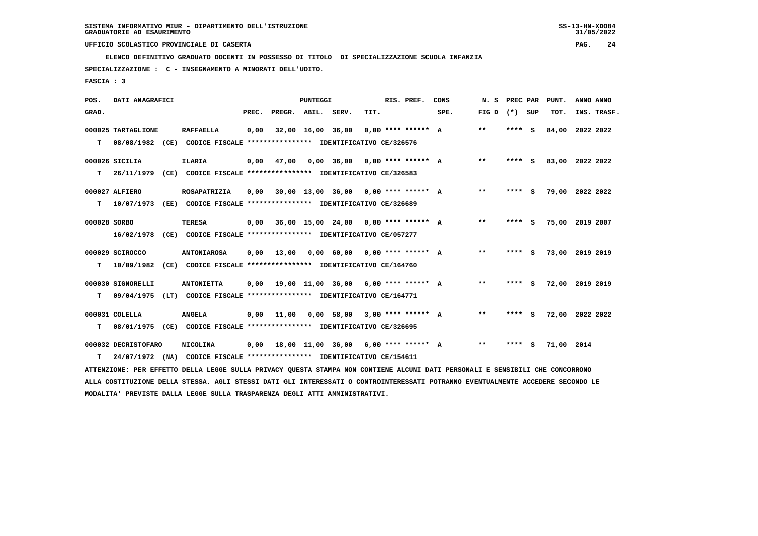**ELENCO DEFINITIVO GRADUATO DOCENTI IN POSSESSO DI TITOLO DI SPECIALIZZAZIONE SCUOLA INFANZIA**

 **SPECIALIZZAZIONE : C - INSEGNAMENTO A MINORATI DELL'UDITO.**

 **FASCIA : 3**

| POS.         | DATI ANAGRAFICI     |                                                                                                                                 |       |                    | <b>PUNTEGGI</b>   |                   |                                        | RIS. PREF.           | CONS | N. S            | PREC PAR |     | PUNT.           | ANNO ANNO   |  |
|--------------|---------------------|---------------------------------------------------------------------------------------------------------------------------------|-------|--------------------|-------------------|-------------------|----------------------------------------|----------------------|------|-----------------|----------|-----|-----------------|-------------|--|
| GRAD.        |                     |                                                                                                                                 | PREC. | PREGR. ABIL. SERV. |                   |                   | TIT.                                   |                      | SPE. | FIG D $(*)$ SUP |          |     | TOT.            | INS. TRASF. |  |
|              | 000025 TARTAGLIONE  | <b>RAFFAELLA</b>                                                                                                                | 0,00  |                    | 32,00 16,00 36,00 |                   |                                        | $0.00$ **** ****** A |      | $* *$           | ****     | - S | 84,00           | 2022 2022   |  |
| т            | 08/08/1982          | (CE) CODICE FISCALE **************** IDENTIFICATIVO CE/326576                                                                   |       |                    |                   |                   |                                        |                      |      |                 |          |     |                 |             |  |
|              | 000026 SICILIA      | <b>ILARIA</b>                                                                                                                   | 0,00  | 47,00              |                   | $0,00$ 36,00      | 0,00 **** ****** A                     |                      |      | $* *$           | ****     | - S | 83,00 2022 2022 |             |  |
| т            | 26/11/1979          | (CE) CODICE FISCALE **************** IDENTIFICATIVO CE/326583                                                                   |       |                    |                   |                   |                                        |                      |      |                 |          |     |                 |             |  |
|              | 000027 ALFIERO      | ROSAPATRIZIA                                                                                                                    | 0,00  |                    |                   |                   | $30,00$ 13,00 36,00 0,00 **** ****** A |                      |      | $* *$           | **** S   |     | 79,00 2022 2022 |             |  |
| т            | 10/07/1973          | (EE) CODICE FISCALE **************** IDENTIFICATIVO CE/326689                                                                   |       |                    |                   |                   |                                        |                      |      |                 |          |     |                 |             |  |
| 000028 SORBO |                     | <b>TERESA</b>                                                                                                                   | 0,00  |                    |                   |                   | $36,00$ 15,00 24,00 0,00 **** ****** A |                      |      | $* *$           | ****     | - S | 75,00 2019 2007 |             |  |
|              | 16/02/1978          | CODICE FISCALE **************** IDENTIFICATIVO CE/057277<br>(CE)                                                                |       |                    |                   |                   |                                        |                      |      |                 |          |     |                 |             |  |
|              | 000029 SCIROCCO     | <b>ANTONIAROSA</b>                                                                                                              | 0,00  | 13,00              |                   | 0,00 60,00        | $0.00$ **** ****** A                   |                      |      | $* *$           | **** S   |     | 73,00 2019 2019 |             |  |
| т            | 10/09/1982          | (CE) CODICE FISCALE **************** IDENTIFICATIVO CE/164760                                                                   |       |                    |                   |                   |                                        |                      |      |                 |          |     |                 |             |  |
|              | 000030 SIGNORELLI   | <b>ANTONIETTA</b>                                                                                                               | 0,00  |                    |                   | 19,00 11,00 36,00 | 6,00 **** ****** A                     |                      |      | $* *$           | **** S   |     | 72,00 2019 2019 |             |  |
| т            | 09/04/1975          | (LT) CODICE FISCALE **************** IDENTIFICATIVO CE/164771                                                                   |       |                    |                   |                   |                                        |                      |      |                 |          |     |                 |             |  |
|              | 000031 COLELLA      | <b>ANGELA</b>                                                                                                                   | 0,00  | 11,00              |                   | $0,00$ 58,00      |                                        | $3.00*********$ A    |      | $* *$           | **** S   |     | 72,00 2022 2022 |             |  |
| т            | 08/01/1975          | (CE) CODICE FISCALE **************** IDENTIFICATIVO CE/326695                                                                   |       |                    |                   |                   |                                        |                      |      |                 |          |     |                 |             |  |
|              | 000032 DECRISTOFARO | <b>NICOLINA</b>                                                                                                                 | 0,00  |                    |                   |                   | 18,00 11,00 36,00 6,00 **** ****** A   |                      |      | $***$           | **** S   |     | 71,00 2014      |             |  |
| т            | 24/07/1972          | (NA) CODICE FISCALE **************** IDENTIFICATIVO CE/154611                                                                   |       |                    |                   |                   |                                        |                      |      |                 |          |     |                 |             |  |
|              |                     | ATTENZIONE: PER EFFETTO DELLA LEGGE SULLA PRIVACY QUESTA STAMPA NON CONTIENE ALCUNI DATI PERSONALI E SENSIBILI CHE CONCORRONO   |       |                    |                   |                   |                                        |                      |      |                 |          |     |                 |             |  |
|              |                     | ALLA COSTITUZIONE DELLA STESSA. AGLI STESSI DATI GLI INTERESSATI O CONTROINTERESSATI POTRANNO EVENTUALMENTE ACCEDERE SECONDO LE |       |                    |                   |                   |                                        |                      |      |                 |          |     |                 |             |  |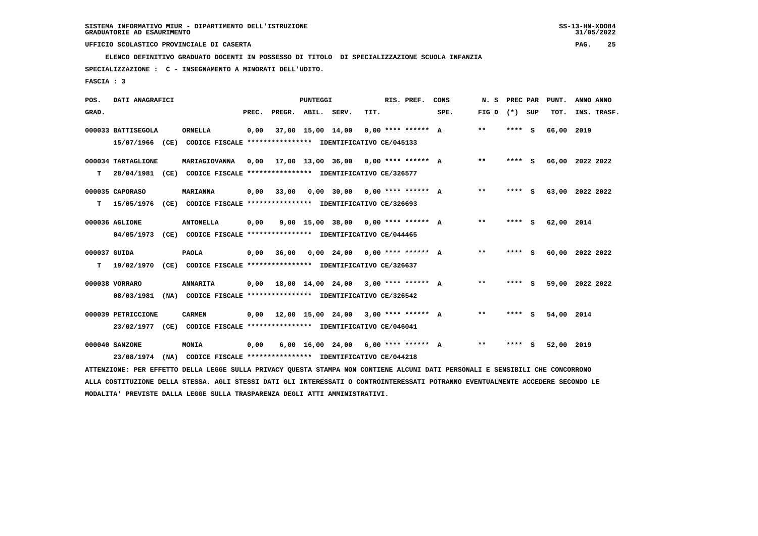**ELENCO DEFINITIVO GRADUATO DOCENTI IN POSSESSO DI TITOLO DI SPECIALIZZAZIONE SCUOLA INFANZIA**

 **SPECIALIZZAZIONE : C - INSEGNAMENTO A MINORATI DELL'UDITO.**

 **FASCIA : 3**

| POS.         | DATI ANAGRAFICI    |      |                                                                                                                               |       |                    | <b>PUNTEGGI</b>   |                                             |      | RIS. PREF.           | CONS | N. S            | PREC PAR | PUNT.           | ANNO ANNO |             |
|--------------|--------------------|------|-------------------------------------------------------------------------------------------------------------------------------|-------|--------------------|-------------------|---------------------------------------------|------|----------------------|------|-----------------|----------|-----------------|-----------|-------------|
| GRAD.        |                    |      |                                                                                                                               | PREC. | PREGR. ABIL. SERV. |                   |                                             | TIT. |                      | SPE. | FIG D $(*)$ SUP |          | TOT.            |           | INS. TRASF. |
|              | 000033 BATTISEGOLA |      | <b>ORNELLA</b>                                                                                                                | 0,00  |                    | 37,00 15,00 14,00 |                                             |      | $0.00$ **** ****** A |      | $* *$           | **** S   | 66,00 2019      |           |             |
|              | 15/07/1966         | (CE) | CODICE FISCALE **************** IDENTIFICATIVO CE/045133                                                                      |       |                    |                   |                                             |      |                      |      |                 |          |                 |           |             |
|              | 000034 TARTAGLIONE |      | MARIAGIOVANNA                                                                                                                 | 0.00  |                    |                   | 17,00 13,00 36,00 0,00 **** ****** A        |      |                      |      | $***$           | $***$ S  | 66,00 2022 2022 |           |             |
| т            |                    |      | 28/04/1981 (CE) CODICE FISCALE **************** IDENTIFICATIVO CE/326577                                                      |       |                    |                   |                                             |      |                      |      |                 |          |                 |           |             |
|              | 000035 CAPORASO    |      | <b>MARIANNA</b>                                                                                                               | 0,00  | 33,00              |                   | $0,00$ 30,00 0,00 **** ****** A             |      |                      |      | $* *$           | **** S   | 63,00 2022 2022 |           |             |
| т            | 15/05/1976         |      | (CE) CODICE FISCALE **************** IDENTIFICATIVO CE/326693                                                                 |       |                    |                   |                                             |      |                      |      |                 |          |                 |           |             |
|              | 000036 AGLIONE     |      | <b>ANTONELLA</b>                                                                                                              | 0,00  |                    |                   | 9,00 15,00 38,00 0,00 **** ****** A         |      |                      |      | $* *$           | **** S   | 62,00 2014      |           |             |
|              | 04/05/1973         |      | (CE) CODICE FISCALE **************** IDENTIFICATIVO CE/044465                                                                 |       |                    |                   |                                             |      |                      |      |                 |          |                 |           |             |
| 000037 GUIDA |                    |      | <b>PAOLA</b>                                                                                                                  | 0,00  | 36,00              |                   | $0,00$ 24,00 0,00 **** ****** A             |      |                      |      | $***$           | $***5$   | 60,00 2022 2022 |           |             |
| т            | 19/02/1970         |      | (CE) CODICE FISCALE *************** IDENTIFICATIVO CE/326637                                                                  |       |                    |                   |                                             |      |                      |      |                 |          |                 |           |             |
|              | 000038 VORRARO     |      | <b>ANNARITA</b>                                                                                                               | 0,00  |                    |                   | 18,00 14,00 24,00 3,00 **** ****** A        |      |                      |      | $***$           | **** S   | 59,00 2022 2022 |           |             |
|              | 08/03/1981         |      | (NA) CODICE FISCALE **************** IDENTIFICATIVO CE/326542                                                                 |       |                    |                   |                                             |      |                      |      |                 |          |                 |           |             |
|              | 000039 PETRICCIONE |      | <b>CARMEN</b>                                                                                                                 |       |                    |                   | $0,00$ 12,00 15,00 24,00 3,00 **** ****** A |      |                      |      | **              | **** S   | 54,00 2014      |           |             |
|              |                    |      | 23/02/1977 (CE) CODICE FISCALE *************** IDENTIFICATIVO CE/046041                                                       |       |                    |                   |                                             |      |                      |      |                 |          |                 |           |             |
|              | 000040 SANZONE     |      | MONIA                                                                                                                         | 0,00  |                    |                   | $6,00$ 16,00 24,00 6,00 **** ****** A       |      |                      |      | $* *$           | **** S   | 52,00 2019      |           |             |
|              | 23/08/1974         | (NA) | CODICE FISCALE **************** IDENTIFICATIVO CE/044218                                                                      |       |                    |                   |                                             |      |                      |      |                 |          |                 |           |             |
|              |                    |      | ATTENZIONE: PER EFFETTO DELLA LEGGE SULLA PRIVACY QUESTA STAMPA NON CONTIENE ALCUNI DATI PERSONALI E SENSIBILI CHE CONCORRONO |       |                    |                   |                                             |      |                      |      |                 |          |                 |           |             |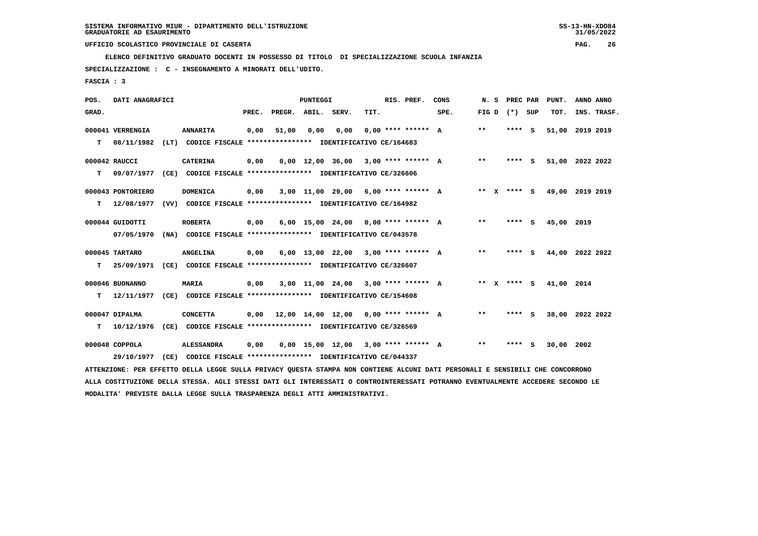**ELENCO DEFINITIVO GRADUATO DOCENTI IN POSSESSO DI TITOLO DI SPECIALIZZAZIONE SCUOLA INFANZIA**

 **SPECIALIZZAZIONE : C - INSEGNAMENTO A MINORATI DELL'UDITO.**

 **FASCIA : 3**

| POS.  | DATI ANAGRAFICI   |      |                                                                                                                               |       |                    | <b>PUNTEGGI</b> |                                       |      | RIS. PREF.           | CONS | N. S  | PREC PAR          | PUNT.           | ANNO ANNO |             |
|-------|-------------------|------|-------------------------------------------------------------------------------------------------------------------------------|-------|--------------------|-----------------|---------------------------------------|------|----------------------|------|-------|-------------------|-----------------|-----------|-------------|
| GRAD. |                   |      |                                                                                                                               | PREC. | PREGR. ABIL. SERV. |                 |                                       | TIT. |                      | SPE. |       | FIG $D$ $(*)$ SUP | TOT.            |           | INS. TRASF. |
|       | 000041 VERRENGIA  |      | <b>ANNARITA</b>                                                                                                               | 0,00  | 51,00              | 0,00            | 0,00                                  |      | $0.00$ **** ****** A |      | $* *$ | **** S            | 51,00           | 2019 2019 |             |
| т     | 08/11/1982        | (LT) | CODICE FISCALE **************** IDENTIFICATIVO CE/164683                                                                      |       |                    |                 |                                       |      |                      |      |       |                   |                 |           |             |
|       | 000042 RAUCCI     |      | <b>CATERINA</b>                                                                                                               | 0,00  |                    |                 | $0,00$ 12,00 36,00 3,00 **** ****** A |      |                      |      | $* *$ | **** S            | 51,00 2022 2022 |           |             |
| т     | 09/07/1977        |      | (CE) CODICE FISCALE **************** IDENTIFICATIVO CE/326606                                                                 |       |                    |                 |                                       |      |                      |      |       |                   |                 |           |             |
|       | 000043 PONTORIERO |      | <b>DOMENICA</b>                                                                                                               | 0,00  |                    |                 | $3,00$ 11,00 29,00 6,00 **** ****** A |      |                      |      |       | ** x **** s       | 49,00 2019 2019 |           |             |
| т     | 12/08/1977        |      | (VV) CODICE FISCALE **************** IDENTIFICATIVO CE/164982                                                                 |       |                    |                 |                                       |      |                      |      |       |                   |                 |           |             |
|       | 000044 GUIDOTTI   |      | <b>ROBERTA</b>                                                                                                                | 0,00  |                    |                 | $6,00$ 15,00 24,00 0,00 **** ****** A |      |                      |      | $***$ | **** S            | 45,00           | 2019      |             |
|       | 07/05/1970        |      | (NA) CODICE FISCALE **************** IDENTIFICATIVO CE/043578                                                                 |       |                    |                 |                                       |      |                      |      |       |                   |                 |           |             |
|       | 000045 TARTARO    |      | <b>ANGELINA</b>                                                                                                               | 0,00  |                    |                 | $6.00$ 13.00 22.00 3.00 **** ****** A |      |                      |      | $***$ | **** S            | 44,00 2022 2022 |           |             |
| т     | 25/09/1971        |      | (CE) CODICE FISCALE **************** IDENTIFICATIVO CE/326607                                                                 |       |                    |                 |                                       |      |                      |      |       |                   |                 |           |             |
|       | 000046 BUONANNO   |      | <b>MARIA</b>                                                                                                                  | 0,00  |                    |                 | $3,00$ 11,00 24,00 3,00 **** ****** A |      |                      |      |       | ** x **** S       | 41,00 2014      |           |             |
| т     | 12/11/1977        |      | (CE) CODICE FISCALE **************** IDENTIFICATIVO CE/154608                                                                 |       |                    |                 |                                       |      |                      |      |       |                   |                 |           |             |
|       | 000047 DIPALMA    |      | <b>CONCETTA</b>                                                                                                               | 0,00  |                    |                 | 12,00 14,00 12,00 0,00 **** ****** A  |      |                      |      | $***$ | **** S            | 38,00           | 2022 2022 |             |
| т     | 10/12/1976        |      | (CE) CODICE FISCALE **************** IDENTIFICATIVO CE/326569                                                                 |       |                    |                 |                                       |      |                      |      |       |                   |                 |           |             |
|       | 000048 COPPOLA    |      | <b>ALESSANDRA</b>                                                                                                             | 0,00  |                    |                 | $0,00$ 15,00 12,00 3,00 **** ****** A |      |                      |      | $***$ | **** S            | 30,00 2002      |           |             |
|       | 29/10/1977        | (CE) | CODICE FISCALE **************** IDENTIFICATIVO CE/044337                                                                      |       |                    |                 |                                       |      |                      |      |       |                   |                 |           |             |
|       |                   |      | ATTENZIONE: PER EFFETTO DELLA LEGGE SULLA PRIVACY QUESTA STAMPA NON CONTIENE ALCUNI DATI PERSONALI E SENSIBILI CHE CONCORRONO |       |                    |                 |                                       |      |                      |      |       |                   |                 |           |             |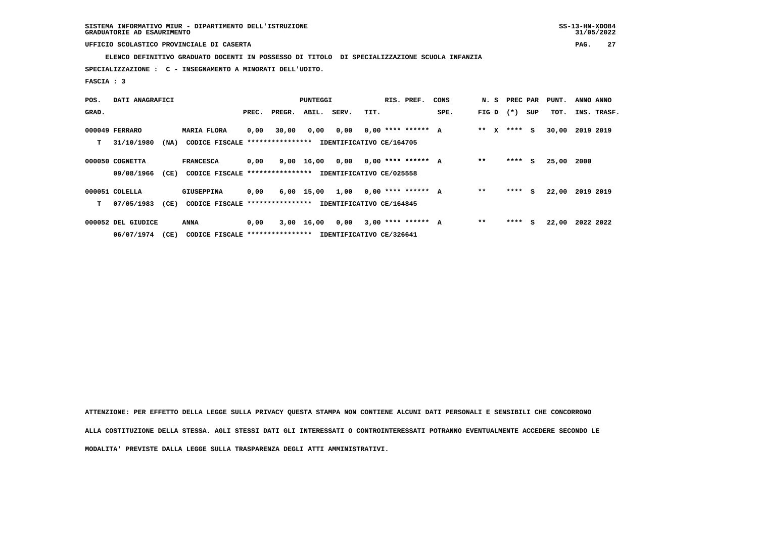**ELENCO DEFINITIVO GRADUATO DOCENTI IN POSSESSO DI TITOLO DI SPECIALIZZAZIONE SCUOLA INFANZIA**

 **SPECIALIZZAZIONE : C - INSEGNAMENTO A MINORATI DELL'UDITO.**

 **FASCIA : 3**

| POS.  | DATI ANAGRAFICI    |      |                                  |       |        | <b>PUNTEGGI</b> |                          |      | RIS. PREF.           | CONS | N. S    |        | PREC PAR | PUNT. | ANNO ANNO   |
|-------|--------------------|------|----------------------------------|-------|--------|-----------------|--------------------------|------|----------------------|------|---------|--------|----------|-------|-------------|
| GRAD. |                    |      |                                  | PREC. | PREGR. | ABIL.           | SERV.                    | TIT. |                      | SPE. | FIG D   | $(* )$ | SUP      | TOT.  | INS. TRASF. |
|       | 000049 FERRARO     |      | <b>MARIA FLORA</b>               | 0,00  | 30,00  | 0,00            | 0,00                     |      | $0.00$ **** ****** A |      | $***$ X |        | **** S   | 30,00 | 2019 2019   |
| т     | 31/10/1980         | (NA) | CODICE FISCALE ***************** |       |        |                 | IDENTIFICATIVO CE/164705 |      |                      |      |         |        |          |       |             |
|       | 000050 COGNETTA    |      | <b>FRANCESCA</b>                 | 0,00  |        | 9,00 16,00 0,00 |                          |      | $0,00$ **** ****** A |      | $* *$   | ****   | S.       | 25,00 | 2000        |
|       | 09/08/1966         | (CE) | CODICE FISCALE ***************** |       |        |                 | IDENTIFICATIVO CE/025558 |      |                      |      |         |        |          |       |             |
|       | 000051 COLELLA     |      | <b>GIUSEPPINA</b>                | 0,00  |        | 6,00 15,00      | 1,00                     |      | $0.00$ **** ****** A |      | $* *$   | ****   | S.       | 22,00 | 2019 2019   |
| т     | 07/05/1983         | (CE) | CODICE FISCALE ***************** |       |        |                 | IDENTIFICATIVO CE/164845 |      |                      |      |         |        |          |       |             |
|       | 000052 DEL GIUDICE |      | ANNA                             | 0,00  |        | $3,00$ 16,00    | 0,00                     |      | $3,00$ **** ****** A |      | $* *$   | ****   | S.       | 22,00 | 2022 2022   |
|       | 06/07/1974         | (CE) | CODICE FISCALE ***************** |       |        |                 | IDENTIFICATIVO CE/326641 |      |                      |      |         |        |          |       |             |

 **ATTENZIONE: PER EFFETTO DELLA LEGGE SULLA PRIVACY QUESTA STAMPA NON CONTIENE ALCUNI DATI PERSONALI E SENSIBILI CHE CONCORRONO ALLA COSTITUZIONE DELLA STESSA. AGLI STESSI DATI GLI INTERESSATI O CONTROINTERESSATI POTRANNO EVENTUALMENTE ACCEDERE SECONDO LE MODALITA' PREVISTE DALLA LEGGE SULLA TRASPARENZA DEGLI ATTI AMMINISTRATIVI.**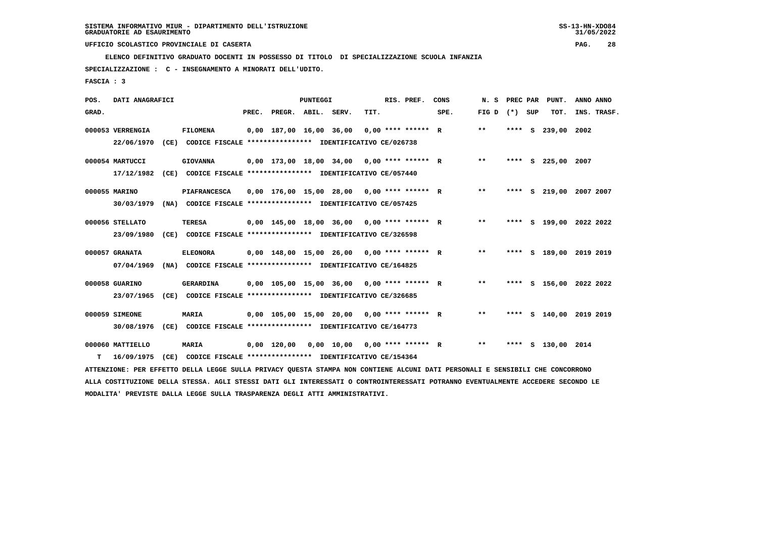**ELENCO DEFINITIVO GRADUATO DOCENTI IN POSSESSO DI TITOLO DI SPECIALIZZAZIONE SCUOLA INFANZIA**

 **SPECIALIZZAZIONE : C - INSEGNAMENTO A MINORATI DELL'UDITO.**

 **FASCIA : 3**

| POS.  | DATI ANAGRAFICI  |      |                                                                                                                               |                          | <b>PUNTEGGI</b> |                                              |      | RIS. PREF.           | CONS | N.S   | PREC PAR |     | PUNT.                   | ANNO ANNO |             |
|-------|------------------|------|-------------------------------------------------------------------------------------------------------------------------------|--------------------------|-----------------|----------------------------------------------|------|----------------------|------|-------|----------|-----|-------------------------|-----------|-------------|
| GRAD. |                  |      |                                                                                                                               | PREC. PREGR. ABIL. SERV. |                 |                                              | TIT. |                      | SPE. | FIG D | $(* )$   | SUP | TOT.                    |           | INS. TRASF. |
|       | 000053 VERRENGIA |      | <b>FILOMENA</b>                                                                                                               | 0,00 187,00 16,00 36,00  |                 |                                              |      | $0.00$ **** ****** R |      | $* *$ | ****     | s   | 239,00                  | 2002      |             |
|       | 22/06/1970       | (CE) | CODICE FISCALE **************** IDENTIFICATIVO CE/026738                                                                      |                          |                 |                                              |      |                      |      |       |          |     |                         |           |             |
|       | 000054 MARTUCCI  |      | <b>GIOVANNA</b>                                                                                                               |                          |                 | $0,00$ 173,00 18,00 34,00 0,00 **** ****** R |      |                      |      | $***$ |          |     | **** S 225,00           | 2007      |             |
|       | 17/12/1982       | (CE) | CODICE FISCALE **************** IDENTIFICATIVO CE/057440                                                                      |                          |                 |                                              |      |                      |      |       |          |     |                         |           |             |
|       | 000055 MARINO    |      | <b>PIAFRANCESCA</b>                                                                                                           |                          |                 | $0,00$ 176,00 15,00 28,00 0,00 **** ****** R |      |                      |      | $***$ |          |     | **** S 219,00 2007 2007 |           |             |
|       | 30/03/1979       |      | (NA) CODICE FISCALE **************** IDENTIFICATIVO CE/057425                                                                 |                          |                 |                                              |      |                      |      |       |          |     |                         |           |             |
|       | 000056 STELLATO  |      | <b>TERESA</b>                                                                                                                 |                          |                 | $0,00$ 145,00 18,00 36,00 0,00 **** ****** R |      |                      |      | $***$ |          |     | **** S 199,00 2022 2022 |           |             |
|       | 23/09/1980       |      | (CE) CODICE FISCALE **************** IDENTIFICATIVO CE/326598                                                                 |                          |                 |                                              |      |                      |      |       |          |     |                         |           |             |
|       | 000057 GRANATA   |      | <b>ELEONORA</b>                                                                                                               |                          |                 | $0,00$ 148,00 15,00 26,00 0,00 **** ****** R |      |                      |      | $***$ |          |     | **** S 189,00 2019 2019 |           |             |
|       | 07/04/1969       |      | (NA) CODICE FISCALE **************** IDENTIFICATIVO CE/164825                                                                 |                          |                 |                                              |      |                      |      |       |          |     |                         |           |             |
|       | 000058 GUARINO   |      | GERARDINA                                                                                                                     |                          |                 | $0,00$ 105,00 15,00 36,00 0,00 **** ****** R |      |                      |      | $***$ |          |     | **** S 156,00 2022 2022 |           |             |
|       | 23/07/1965       |      | (CE) CODICE FISCALE **************** IDENTIFICATIVO CE/326685                                                                 |                          |                 |                                              |      |                      |      |       |          |     |                         |           |             |
|       |                  |      |                                                                                                                               |                          |                 |                                              |      |                      |      | $* *$ |          |     |                         |           |             |
|       | 000059 SIMEONE   |      | <b>MARIA</b>                                                                                                                  |                          |                 | $0,00$ 105,00 15,00 20,00 0,00 **** ****** R |      |                      |      |       |          |     | **** S 140,00 2019 2019 |           |             |
|       | 30/08/1976       |      | (CE) CODICE FISCALE **************** IDENTIFICATIVO CE/164773                                                                 |                          |                 |                                              |      |                      |      |       |          |     |                         |           |             |
|       | 000060 MATTIELLO |      | <b>MARIA</b>                                                                                                                  | 0,00 120,00              |                 | $0,00$ $10,00$ $0,00$ $***$ **** *****       |      |                      |      | $***$ |          |     | **** S 130,00 2014      |           |             |
| т     | 16/09/1975       | (CE) | CODICE FISCALE **************** IDENTIFICATIVO CE/154364                                                                      |                          |                 |                                              |      |                      |      |       |          |     |                         |           |             |
|       |                  |      | ATTENZIONE: PER EFFETTO DELLA LEGGE SULLA PRIVACY QUESTA STAMPA NON CONTIENE ALCUNI DATI PERSONALI E SENSIBILI CHE CONCORRONO |                          |                 |                                              |      |                      |      |       |          |     |                         |           |             |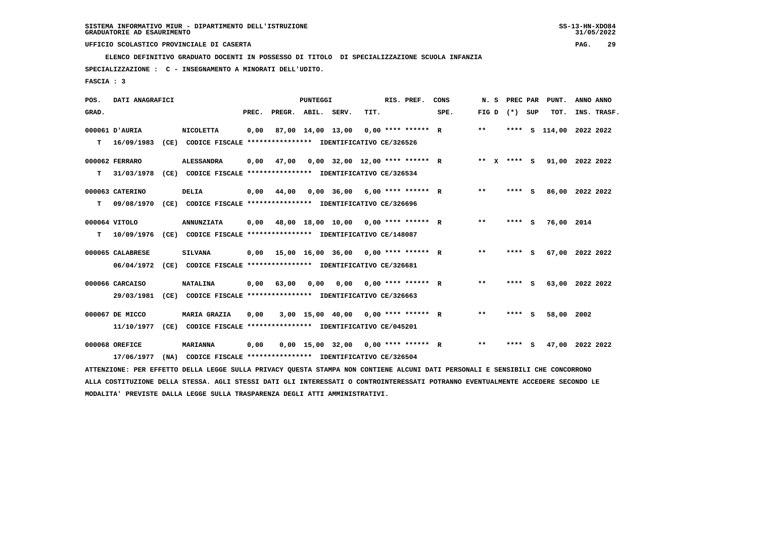**ELENCO DEFINITIVO GRADUATO DOCENTI IN POSSESSO DI TITOLO DI SPECIALIZZAZIONE SCUOLA INFANZIA**

 **SPECIALIZZAZIONE : C - INSEGNAMENTO A MINORATI DELL'UDITO.**

 **FASCIA : 3**

| POS.  | DATI ANAGRAFICI  |                                                                                                                                 |       |                    | PUNTEGGI |                   |      | RIS. PREF.                            | CONS | N.S             | <b>PREC PAR</b> | PUNT.                       | ANNO ANNO |             |
|-------|------------------|---------------------------------------------------------------------------------------------------------------------------------|-------|--------------------|----------|-------------------|------|---------------------------------------|------|-----------------|-----------------|-----------------------------|-----------|-------------|
| GRAD. |                  |                                                                                                                                 | PREC. | PREGR. ABIL. SERV. |          |                   | TIT. |                                       | SPE. | FIG D $(*)$ SUP |                 | TOT.                        |           | INS. TRASF. |
|       | 000061 D'AURIA   | <b>NICOLETTA</b>                                                                                                                | 0,00  |                    |          | 87,00 14,00 13,00 |      | $0.00$ **** ****** R                  |      | $***$           | ****            | S 114,00 2022 2022          |           |             |
| т     | 16/09/1983       | (CE) CODICE FISCALE **************** IDENTIFICATIVO CE/326526                                                                   |       |                    |          |                   |      |                                       |      |                 |                 |                             |           |             |
|       | 000062 FERRARO   | <b>ALESSANDRA</b>                                                                                                               | 0,00  | 47,00              |          |                   |      | $0,00$ 32,00 12,00 **** ****** R      |      |                 |                 | ** X **** S 91,00 2022 2022 |           |             |
| т     | 31/03/1978       | (CE) CODICE FISCALE **************** IDENTIFICATIVO CE/326534                                                                   |       |                    |          |                   |      |                                       |      |                 |                 |                             |           |             |
|       | 000063 CATERINO  | <b>DELIA</b>                                                                                                                    | 0,00  | 44,00              |          |                   |      | $0,00$ 36,00 6,00 **** ****** R       |      | $***$           | **** S          | 86,00 2022 2022             |           |             |
| т     | 09/08/1970       | (CE) CODICE FISCALE **************** IDENTIFICATIVO CE/326696                                                                   |       |                    |          |                   |      |                                       |      |                 |                 |                             |           |             |
|       | 000064 VITOLO    | <b>ANNUNZIATA</b>                                                                                                               | 0,00  |                    |          |                   |      | 48,00 18,00 10,00 0,00 **** ****** R  |      | $* *$           | **** S          | 76,00 2014                  |           |             |
| т     | 10/09/1976       | (CE) CODICE FISCALE **************** IDENTIFICATIVO CE/148087                                                                   |       |                    |          |                   |      |                                       |      |                 |                 |                             |           |             |
|       | 000065 CALABRESE | <b>SILVANA</b>                                                                                                                  | 0,00  |                    |          |                   |      | 15,00 16,00 36,00 0,00 **** ****** R  |      | $* *$           | **** S          | 67,00 2022 2022             |           |             |
|       | 06/04/1972       | (CE) CODICE FISCALE **************** IDENTIFICATIVO CE/326681                                                                   |       |                    |          |                   |      |                                       |      |                 |                 |                             |           |             |
|       | 000066 CARCAISO  | <b>NATALINA</b>                                                                                                                 | 0,00  | 63,00              | 0,00     |                   |      | $0.00$ $0.00$ **** ****** R           |      | $* *$           | **** S          | 63,00 2022 2022             |           |             |
|       | 29/03/1981       | (CE) CODICE FISCALE **************** IDENTIFICATIVO CE/326663                                                                   |       |                    |          |                   |      |                                       |      |                 |                 |                             |           |             |
|       | 000067 DE MICCO  | <b>MARIA GRAZIA</b>                                                                                                             | 0,00  |                    |          |                   |      | $3.00$ 15.00 40.00 0.00 **** ****** R |      | **              | **** S          | 58,00                       | 2002      |             |
|       | 11/10/1977       | (CE) CODICE FISCALE **************** IDENTIFICATIVO CE/045201                                                                   |       |                    |          |                   |      |                                       |      |                 |                 |                             |           |             |
|       | 000068 OREFICE   | <b>MARIANNA</b>                                                                                                                 | 0,00  |                    |          |                   |      | $0,00$ 15,00 32,00 0,00 **** ****** R |      | $* *$           | **** S          | 47,00 2022 2022             |           |             |
|       | 17/06/1977       | (NA) CODICE FISCALE **************** IDENTIFICATIVO CE/326504                                                                   |       |                    |          |                   |      |                                       |      |                 |                 |                             |           |             |
|       |                  | ATTENZIONE: PER EFFETTO DELLA LEGGE SULLA PRIVACY QUESTA STAMPA NON CONTIENE ALCUNI DATI PERSONALI E SENSIBILI CHE CONCORRONO   |       |                    |          |                   |      |                                       |      |                 |                 |                             |           |             |
|       |                  | ALLA COSTITUZIONE DELLA STESSA. AGLI STESSI DATI GLI INTERESSATI O CONTROINTERESSATI POTRANNO EVENTUALMENTE ACCEDERE SECONDO LE |       |                    |          |                   |      |                                       |      |                 |                 |                             |           |             |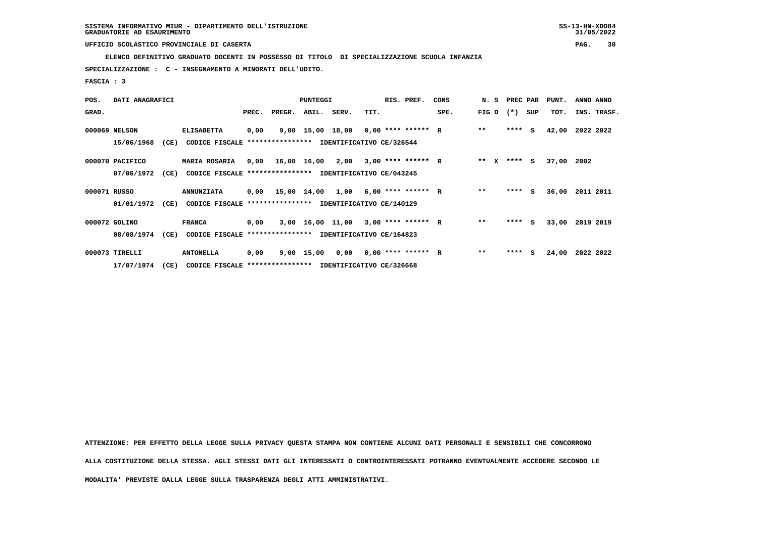**ELENCO DEFINITIVO GRADUATO DOCENTI IN POSSESSO DI TITOLO DI SPECIALIZZAZIONE SCUOLA INFANZIA**

 **SPECIALIZZAZIONE : C - INSEGNAMENTO A MINORATI DELL'UDITO.**

 **FASCIA : 3**

| POS.         | DATI ANAGRAFICI |      |                                                          |       |                                            | PUNTEGGI |                                      |      | RIS. PREF.           | CONS | N. S  |        | PREC PAR | PUNT. | ANNO ANNO   |
|--------------|-----------------|------|----------------------------------------------------------|-------|--------------------------------------------|----------|--------------------------------------|------|----------------------|------|-------|--------|----------|-------|-------------|
| GRAD.        |                 |      |                                                          | PREC. | PREGR.                                     | ABIL.    | SERV.                                | TIT. |                      | SPE. | FIG D | $(* )$ | SUP      | TOT.  | INS. TRASF. |
|              | 000069 NELSON   |      | <b>ELISABETTA</b>                                        | 0,00  |                                            |          | 9,00 15,00 18,00 0,00 **** ****** R  |      |                      |      | $* *$ |        | $***$ S  | 42,00 | 2022 2022   |
|              | 15/06/1968      | (CE) | CODICE FISCALE **************** IDENTIFICATIVO CE/326544 |       |                                            |          |                                      |      |                      |      |       |        |          |       |             |
|              | 000070 PACIFICO |      | <b>MARIA ROSARIA</b>                                     |       | $0,00$ 16,00 16,00 2,00 3,00 **** ****** R |          |                                      |      |                      |      | ** X  |        | $***$ S  | 37,00 | 2002        |
|              | 07/06/1972      | (CE) | CODICE FISCALE **************** IDENTIFICATIVO CE/043245 |       |                                            |          |                                      |      |                      |      |       |        |          |       |             |
| 000071 RUSSO |                 |      | <b>ANNUNZIATA</b>                                        |       | $0,00$ 15,00 14,00 1,00 6,00 **** ****** R |          |                                      |      |                      |      | $* *$ |        | $***$ S  | 36,00 | 2011 2011   |
|              | 01/01/1972      | (CE) | CODICE FISCALE                                           |       | **************** IDENTIFICATIVO CE/140129  |          |                                      |      |                      |      |       |        |          |       |             |
|              | 000072 GOLINO   |      | <b>FRANCA</b>                                            | 0,00  |                                            |          | 3,00 16,00 11,00                     |      | $3,00$ **** ****** R |      | $* *$ | ****   | - S      | 33,00 | 2019 2019   |
|              | 08/08/1974      | (CE) | CODICE FISCALE **************** IDENTIFICATIVO CE/164823 |       |                                            |          |                                      |      |                      |      |       |        |          |       |             |
|              | 000073 TIRELLI  |      | <b>ANTONELLA</b>                                         | 0,00  |                                            |          | $9,00$ 15,00 0,00 0,00 **** ****** R |      |                      |      | $**$  | ****   | s        | 24,00 | 2022 2022   |
|              | 17/07/1974      | (CE) | CODICE FISCALE **************** IDENTIFICATIVO CE/326668 |       |                                            |          |                                      |      |                      |      |       |        |          |       |             |

 **ATTENZIONE: PER EFFETTO DELLA LEGGE SULLA PRIVACY QUESTA STAMPA NON CONTIENE ALCUNI DATI PERSONALI E SENSIBILI CHE CONCORRONO ALLA COSTITUZIONE DELLA STESSA. AGLI STESSI DATI GLI INTERESSATI O CONTROINTERESSATI POTRANNO EVENTUALMENTE ACCEDERE SECONDO LE MODALITA' PREVISTE DALLA LEGGE SULLA TRASPARENZA DEGLI ATTI AMMINISTRATIVI.**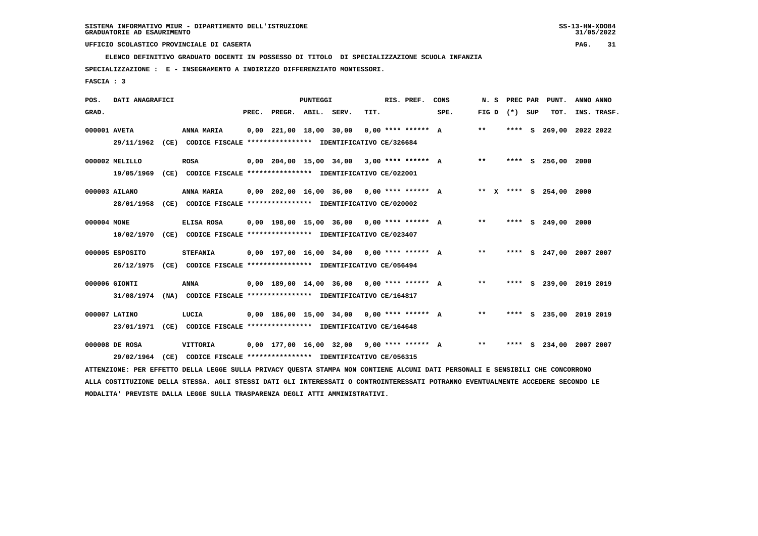**ELENCO DEFINITIVO GRADUATO DOCENTI IN POSSESSO DI TITOLO DI SPECIALIZZAZIONE SCUOLA INFANZIA**

 **SPECIALIZZAZIONE : E - INSEGNAMENTO A INDIRIZZO DIFFERENZIATO MONTESSORI.**

 **FASCIA : 3**

| POS.         | DATI ANAGRAFICI |      |                                                                                                                               |       |                                 | <b>PUNTEGGI</b> |                                              |      | RIS. PREF.           | CONS | N. S         | PREC PAR |     | PUNT.                   | ANNO ANNO |             |
|--------------|-----------------|------|-------------------------------------------------------------------------------------------------------------------------------|-------|---------------------------------|-----------------|----------------------------------------------|------|----------------------|------|--------------|----------|-----|-------------------------|-----------|-------------|
| GRAD.        |                 |      |                                                                                                                               | PREC. | PREGR. ABIL. SERV.              |                 |                                              | TIT. |                      | SPE. | FIG D        | $(*)$    | SUP | TOT.                    |           | INS. TRASF. |
| 000001 AVETA |                 |      | ANNA MARIA                                                                                                                    |       | $0.00$ $221.00$ $18.00$ $30.00$ |                 |                                              |      | $0.00$ **** ****** A |      | $***$        | **** S   |     | 269,00                  | 2022 2022 |             |
|              | 29/11/1962      |      | (CE) CODICE FISCALE **************** IDENTIFICATIVO CE/326684                                                                 |       |                                 |                 |                                              |      |                      |      |              |          |     |                         |           |             |
|              | 000002 MELILLO  |      | <b>ROSA</b>                                                                                                                   |       |                                 |                 | $0,00$ 204,00 15,00 34,00 3,00 **** ****** A |      |                      |      | **           |          |     | **** S 256,00 2000      |           |             |
|              | 19/05/1969      |      | (CE) CODICE FISCALE **************** IDENTIFICATIVO CE/022001                                                                 |       |                                 |                 |                                              |      |                      |      |              |          |     |                         |           |             |
|              | 000003 AILANO   |      | ANNA MARIA                                                                                                                    |       |                                 |                 | $0,00$ 202,00 16,00 36,00 0,00 **** ****** A |      |                      |      |              |          |     | ** X **** S 254,00 2000 |           |             |
|              | 28/01/1958      |      | (CE) CODICE FISCALE **************** IDENTIFICATIVO CE/020002                                                                 |       |                                 |                 |                                              |      |                      |      |              |          |     |                         |           |             |
| 000004 MONE  |                 |      | ELISA ROSA                                                                                                                    |       |                                 |                 | $0,00$ 198,00 15,00 36,00 0,00 **** ****** A |      |                      |      | $* *$        |          |     | **** S 249,00 2000      |           |             |
|              | 10/02/1970      |      | (CE) CODICE FISCALE **************** IDENTIFICATIVO CE/023407                                                                 |       |                                 |                 |                                              |      |                      |      |              |          |     |                         |           |             |
|              | 000005 ESPOSITO |      | <b>STEFANIA</b>                                                                                                               |       |                                 |                 | $0,00$ 197,00 16,00 34,00 0,00 **** ****** A |      |                      |      | $***$        |          |     | **** S 247,00 2007 2007 |           |             |
|              | 26/12/1975      |      | (CE) CODICE FISCALE **************** IDENTIFICATIVO CE/056494                                                                 |       |                                 |                 |                                              |      |                      |      |              |          |     |                         |           |             |
|              | 000006 GIONTI   |      | <b>ANNA</b>                                                                                                                   |       |                                 |                 | $0,00$ 189,00 14,00 36,00 0,00 **** ****** A |      |                      |      | $\star\star$ |          |     | **** S 239,00 2019 2019 |           |             |
|              | 31/08/1974      |      | (NA) CODICE FISCALE **************** IDENTIFICATIVO CE/164817                                                                 |       |                                 |                 |                                              |      |                      |      |              |          |     |                         |           |             |
|              | 000007 LATINO   |      | LUCIA                                                                                                                         |       |                                 |                 | $0,00$ 186,00 15,00 34,00 0,00 **** ****** A |      |                      |      | $***$        |          |     | **** S 235,00 2019 2019 |           |             |
|              | 23/01/1971      |      | (CE) CODICE FISCALE **************** IDENTIFICATIVO CE/164648                                                                 |       |                                 |                 |                                              |      |                      |      |              |          |     |                         |           |             |
|              | 000008 DE ROSA  |      | VITTORIA                                                                                                                      |       |                                 |                 | $0,00$ 177,00 16,00 32,00 9,00 **** ****** A |      |                      |      | $**$         |          |     | **** S 234,00 2007 2007 |           |             |
|              | 29/02/1964      | (CE) | CODICE FISCALE **************** IDENTIFICATIVO CE/056315                                                                      |       |                                 |                 |                                              |      |                      |      |              |          |     |                         |           |             |
|              |                 |      | ATTENZIONE: PER EFFETTO DELLA LEGGE SULLA PRIVACY OUESTA STAMPA NON CONTIENE ALCUNI DATI PERSONALI E SENSIBILI CHE CONCORRONO |       |                                 |                 |                                              |      |                      |      |              |          |     |                         |           |             |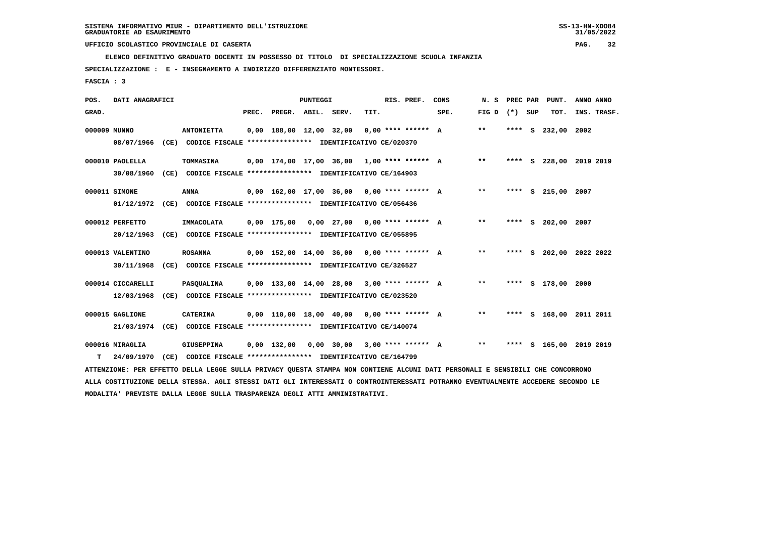**ELENCO DEFINITIVO GRADUATO DOCENTI IN POSSESSO DI TITOLO DI SPECIALIZZAZIONE SCUOLA INFANZIA**

 **SPECIALIZZAZIONE : E - INSEGNAMENTO A INDIRIZZO DIFFERENZIATO MONTESSORI.**

 **FASCIA : 3**

| POS.         | DATI ANAGRAFICI   |                                                                                                                                 |       |                         | PUNTEGGI |                                              |      | RIS. PREF.           | CONS | N. S        | PREC PAR |     | PUNT.                   | ANNO ANNO |             |
|--------------|-------------------|---------------------------------------------------------------------------------------------------------------------------------|-------|-------------------------|----------|----------------------------------------------|------|----------------------|------|-------------|----------|-----|-------------------------|-----------|-------------|
| GRAD.        |                   |                                                                                                                                 | PREC. | PREGR. ABIL. SERV.      |          |                                              | TIT. |                      | SPE. | FIG D $(*)$ |          | SUP | TOT.                    |           | INS. TRASF. |
| 000009 MUNNO |                   | <b>ANTONIETTA</b>                                                                                                               |       | 0,00 188,00 12,00 32,00 |          |                                              |      | $0.00$ **** ****** A |      | $* *$       |          |     | **** S 232,00           | 2002      |             |
|              | 08/07/1966        | (CE) CODICE FISCALE **************** IDENTIFICATIVO CE/020370                                                                   |       |                         |          |                                              |      |                      |      |             |          |     |                         |           |             |
|              | 000010 PAOLELLA   | TOMMASINA                                                                                                                       |       |                         |          | $0,00$ 174,00 17,00 36,00 1,00 **** ****** A |      |                      |      | $***$       | **** S   |     | 228,00 2019 2019        |           |             |
|              | 30/08/1960        | (CE) CODICE FISCALE **************** IDENTIFICATIVO CE/164903                                                                   |       |                         |          |                                              |      |                      |      |             |          |     |                         |           |             |
|              | 000011 SIMONE     | <b>ANNA</b>                                                                                                                     |       |                         |          | $0,00$ 162,00 17,00 36,00 0,00 **** ****** A |      |                      |      | $***$       |          |     | **** S 215,00 2007      |           |             |
|              | 01/12/1972        | (CE) CODICE FISCALE **************** IDENTIFICATIVO CE/056436                                                                   |       |                         |          |                                              |      |                      |      |             |          |     |                         |           |             |
|              | 000012 PERFETTO   | <b>IMMACOLATA</b>                                                                                                               |       | $0,00$ 175,00           |          | $0,00$ 27,00 0,00 **** ****** A              |      |                      |      | $* *$       |          |     | **** S 202,00 2007      |           |             |
|              | 20/12/1963        | (CE) CODICE FISCALE **************** IDENTIFICATIVO CE/055895                                                                   |       |                         |          |                                              |      |                      |      |             |          |     |                         |           |             |
|              | 000013 VALENTINO  | <b>ROSANNA</b>                                                                                                                  |       |                         |          | $0,00$ 152,00 14,00 36,00 0,00 **** ****** A |      |                      |      | $***$       |          |     | **** S 202,00 2022 2022 |           |             |
|              | 30/11/1968        | (CE) CODICE FISCALE **************** IDENTIFICATIVO CE/326527                                                                   |       |                         |          |                                              |      |                      |      |             |          |     |                         |           |             |
|              | 000014 CICCARELLI | PASQUALINA                                                                                                                      |       |                         |          | $0,00$ 133,00 14,00 28,00 3,00 **** ****** A |      |                      |      | $***$       |          |     | **** S 178,00           | 2000      |             |
|              | 12/03/1968        | (CE) CODICE FISCALE **************** IDENTIFICATIVO CE/023520                                                                   |       |                         |          |                                              |      |                      |      |             |          |     |                         |           |             |
|              | 000015 GAGLIONE   | <b>CATERINA</b>                                                                                                                 |       |                         |          | $0.00$ 110.00 18.00 40.00 0.00 **** ****** A |      |                      |      | $* *$       |          |     | **** S 168,00 2011 2011 |           |             |
|              | 21/03/1974        | (CE) CODICE FISCALE **************** IDENTIFICATIVO CE/140074                                                                   |       |                         |          |                                              |      |                      |      |             |          |     |                         |           |             |
|              | 000016 MIRAGLIA   | GIUSEPPINA                                                                                                                      |       | 0,00 132,00             |          | $0,00$ 30,00 3,00 **** ****** A              |      |                      |      | $* *$       |          |     | **** S 165,00 2019 2019 |           |             |
| т            | 24/09/1970        | (CE) CODICE FISCALE **************** IDENTIFICATIVO CE/164799                                                                   |       |                         |          |                                              |      |                      |      |             |          |     |                         |           |             |
|              |                   | ATTENZIONE: PER EFFETTO DELLA LEGGE SULLA PRIVACY QUESTA STAMPA NON CONTIENE ALCUNI DATI PERSONALI E SENSIBILI CHE CONCORRONO   |       |                         |          |                                              |      |                      |      |             |          |     |                         |           |             |
|              |                   | ALLA COSTITUZIONE DELLA STESSA. AGLI STESSI DATI GLI INTERESSATI O CONTROINTERESSATI POTRANNO EVENTUALMENTE ACCEDERE SECONDO LE |       |                         |          |                                              |      |                      |      |             |          |     |                         |           |             |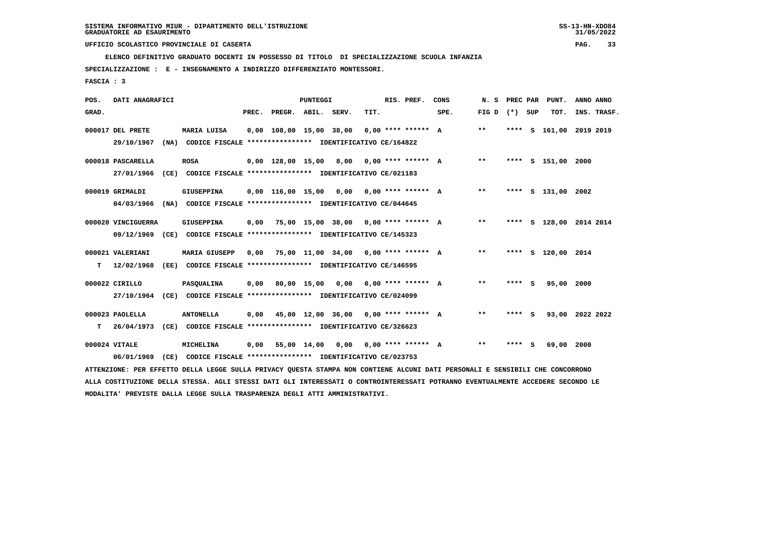**ELENCO DEFINITIVO GRADUATO DOCENTI IN POSSESSO DI TITOLO DI SPECIALIZZAZIONE SCUOLA INFANZIA**

 **SPECIALIZZAZIONE : E - INSEGNAMENTO A INDIRIZZO DIFFERENZIATO MONTESSORI.**

 **FASCIA : 3**

| POS.  | DATI ANAGRAFICI    |      |                                                                                                                               |       |                    | <b>PUNTEGGI</b> |                                              |      | RIS. PREF. | CONS | N. S            |        | PREC PAR PUNT.          | ANNO ANNO |             |
|-------|--------------------|------|-------------------------------------------------------------------------------------------------------------------------------|-------|--------------------|-----------------|----------------------------------------------|------|------------|------|-----------------|--------|-------------------------|-----------|-------------|
| GRAD. |                    |      |                                                                                                                               | PREC. | PREGR. ABIL. SERV. |                 |                                              | TIT. |            | SPE. | FIG D $(*)$ SUP |        | TOT.                    |           | INS. TRASF. |
|       | 000017 DEL PRETE   |      | MARIA LUISA                                                                                                                   |       |                    |                 | $0,00$ 108,00 15,00 38,00 0,00 **** ****** A |      |            |      | $***$           |        | **** S 161,00 2019 2019 |           |             |
|       | 29/10/1967         |      | (NA) CODICE FISCALE **************** IDENTIFICATIVO CE/164822                                                                 |       |                    |                 |                                              |      |            |      |                 |        |                         |           |             |
|       | 000018 PASCARELLA  |      | ROSA                                                                                                                          |       |                    |                 | $0,00$ 128,00 15,00 8,00 0,00 **** ****** A  |      |            |      | $***$           |        | **** S 151,00 2000      |           |             |
|       | 27/01/1966         |      | (CE) CODICE FISCALE **************** IDENTIFICATIVO CE/021183                                                                 |       |                    |                 |                                              |      |            |      |                 |        |                         |           |             |
|       | 000019 GRIMALDI    |      | GIUSEPPINA                                                                                                                    |       |                    |                 | $0,00$ 116,00 15,00 0,00 0,00 **** ****** A  |      |            |      | $***$           |        | **** S 131,00 2002      |           |             |
|       | 04/03/1966         |      | (NA) CODICE FISCALE **************** IDENTIFICATIVO CE/044645                                                                 |       |                    |                 |                                              |      |            |      |                 |        |                         |           |             |
|       | 000020 VINCIGUERRA |      | GIUSEPPINA                                                                                                                    |       |                    |                 | $0,00$ 75,00 15,00 38,00 0,00 **** ****** A  |      |            |      | $***$           |        | **** S 128,00 2014 2014 |           |             |
|       |                    |      | 09/12/1969 (CE) CODICE FISCALE *************** IDENTIFICATIVO CE/145323                                                       |       |                    |                 |                                              |      |            |      |                 |        |                         |           |             |
|       | 000021 VALERIANI   |      | <b>MARIA GIUSEPP</b>                                                                                                          | 0.00  |                    |                 | 75,00 11,00 34,00 0,00 **** ****** A         |      |            |      | $***$           |        | **** S 120,00 2014      |           |             |
| т     | 12/02/1968         |      | (EE) CODICE FISCALE **************** IDENTIFICATIVO CE/146595                                                                 |       |                    |                 |                                              |      |            |      |                 |        |                         |           |             |
|       | 000022 CIRILLO     |      | PASOUALINA                                                                                                                    | 0.00  |                    |                 | 80,00 15,00 0,00 0,00 **** ****** A          |      |            |      | $**$            | **** S | 95,00 2000              |           |             |
|       | 27/10/1964         |      | (CE) CODICE FISCALE **************** IDENTIFICATIVO CE/024099                                                                 |       |                    |                 |                                              |      |            |      |                 |        |                         |           |             |
|       | 000023 PAOLELLA    |      | <b>ANTONELLA</b>                                                                                                              | 0,00  |                    |                 | 45,00 12,00 36,00 0,00 **** ****** A         |      |            |      | $***$           | **** S | 93,00 2022 2022         |           |             |
| т     | 26/04/1973         |      | (CE) CODICE FISCALE **************** IDENTIFICATIVO CE/326623                                                                 |       |                    |                 |                                              |      |            |      |                 |        |                         |           |             |
|       | 000024 VITALE      |      | MICHELINA                                                                                                                     |       |                    |                 | $0,00$ 55,00 14,00 0,00 0,00 **** ****** A   |      |            |      | $***$           | **** S | 69,00 2000              |           |             |
|       | 06/01/1969         | (CE) | CODICE FISCALE **************** IDENTIFICATIVO CE/023753                                                                      |       |                    |                 |                                              |      |            |      |                 |        |                         |           |             |
|       |                    |      | ATTENZIONE: PER EFFETTO DELLA LEGGE SULLA PRIVACY QUESTA STAMPA NON CONTIENE ALCUNI DATI PERSONALI E SENSIBILI CHE CONCORRONO |       |                    |                 |                                              |      |            |      |                 |        |                         |           |             |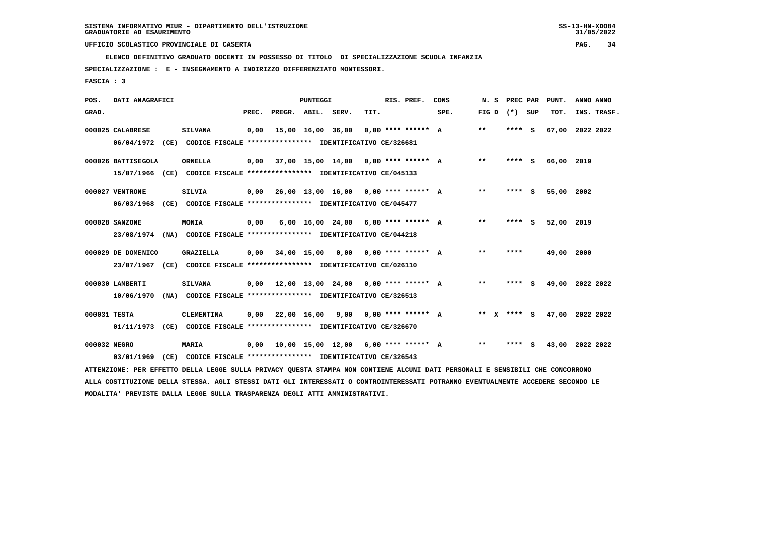**ELENCO DEFINITIVO GRADUATO DOCENTI IN POSSESSO DI TITOLO DI SPECIALIZZAZIONE SCUOLA INFANZIA**

 **SPECIALIZZAZIONE : E - INSEGNAMENTO A INDIRIZZO DIFFERENZIATO MONTESSORI.**

 **FASCIA : 3**

| POS.         | DATI ANAGRAFICI                  |      |                                                                                                                               |       |                    | <b>PUNTEGGI</b> |                                      |      | RIS. PREF.              | CONS                                 | N. S  | PREC PAR |     | PUNT.           | ANNO ANNO |             |
|--------------|----------------------------------|------|-------------------------------------------------------------------------------------------------------------------------------|-------|--------------------|-----------------|--------------------------------------|------|-------------------------|--------------------------------------|-------|----------|-----|-----------------|-----------|-------------|
| GRAD.        |                                  |      |                                                                                                                               | PREC. | PREGR. ABIL. SERV. |                 |                                      | TIT. |                         | SPE.                                 | FIG D | $(*)$    | SUP | TOT.            |           | INS. TRASF. |
|              | 000025 CALABRESE                 |      | <b>SILVANA</b>                                                                                                                | 0.00  |                    |                 | 15,00 16,00 36,00                    |      | $0,00$ **** ****** A    |                                      | $***$ | **** S   |     | 67,00           | 2022 2022 |             |
|              | 06/04/1972                       |      | (CE) CODICE FISCALE **************** IDENTIFICATIVO CE/326681                                                                 |       |                    |                 |                                      |      |                         |                                      |       |          |     |                 |           |             |
|              | 000026 BATTISEGOLA               |      | <b>ORNELLA</b>                                                                                                                | 0,00  |                    |                 | 37,00 15,00 14,00 0,00 **** ****** A |      |                         |                                      | **    | **** S   |     | 66,00 2019      |           |             |
|              | 15/07/1966                       |      | (CE) CODICE FISCALE **************** IDENTIFICATIVO CE/045133                                                                 |       |                    |                 |                                      |      |                         |                                      |       |          |     |                 |           |             |
|              | 000027 VENTRONE                  |      | <b>SILVIA</b>                                                                                                                 | 0,00  |                    |                 | 26,00 13,00 16,00 0,00 **** ****** A |      |                         |                                      | $***$ | **** S   |     | 55,00 2002      |           |             |
|              | 06/03/1968                       |      | (CE) CODICE FISCALE **************** IDENTIFICATIVO CE/045477                                                                 |       |                    |                 |                                      |      |                         |                                      |       |          |     |                 |           |             |
|              | 000028 SANZONE                   |      | MONIA                                                                                                                         | 0,00  |                    |                 | 6,00 16,00 24,00 6,00 **** ****** A  |      |                         |                                      | **    | **** S   |     | 52,00 2019      |           |             |
|              |                                  |      | 23/08/1974 (NA) CODICE FISCALE **************** IDENTIFICATIVO CE/044218                                                      |       |                    |                 |                                      |      |                         |                                      |       |          |     |                 |           |             |
|              |                                  |      |                                                                                                                               |       |                    |                 |                                      |      |                         |                                      | $* *$ | ****     |     |                 |           |             |
|              | 000029 DE DOMENICO<br>23/07/1967 |      | GRAZIELLA<br>(CE) CODICE FISCALE **************** IDENTIFICATIVO CE/026110                                                    | 0,00  |                    | 34,00 15,00     | 0,00                                 |      | $0.00$ **** ****** A    |                                      |       |          |     | 49,00 2000      |           |             |
|              |                                  |      |                                                                                                                               |       |                    |                 |                                      |      |                         |                                      |       |          |     |                 |           |             |
|              | 000030 LAMBERTI                  |      | <b>SILVANA</b>                                                                                                                | 0,00  |                    |                 | 12,00 13,00 24,00 0,00 **** ****** A |      |                         |                                      | $***$ | **** S   |     | 49,00 2022 2022 |           |             |
|              | 10/06/1970                       |      | (NA) CODICE FISCALE **************** IDENTIFICATIVO CE/326513                                                                 |       |                    |                 |                                      |      |                         |                                      |       |          |     |                 |           |             |
| 000031 TESTA |                                  |      | <b>CLEMENTINA</b>                                                                                                             | 0,00  | 22,00 16,00        |                 |                                      |      | 9,00 0,00 **** ****** A |                                      | ** X  | **** S   |     | 47,00 2022 2022 |           |             |
|              | 01/11/1973                       |      | (CE) CODICE FISCALE *************** IDENTIFICATIVO CE/326670                                                                  |       |                    |                 |                                      |      |                         |                                      |       |          |     |                 |           |             |
| 000032 NEGRO |                                  |      | MARIA                                                                                                                         | 0,00  |                    |                 |                                      |      |                         | 10,00 15,00 12,00 6,00 **** ****** A | $***$ | **** S   |     | 43,00 2022 2022 |           |             |
|              | 03/01/1969                       | (CE) | CODICE FISCALE **************** IDENTIFICATIVO CE/326543                                                                      |       |                    |                 |                                      |      |                         |                                      |       |          |     |                 |           |             |
|              |                                  |      | ATTENZIONE: PER EFFETTO DELLA LEGGE SULLA PRIVACY OUESTA STAMPA NON CONTIENE ALCUNI DATI PERSONALI E SENSIBILI CHE CONCORRONO |       |                    |                 |                                      |      |                         |                                      |       |          |     |                 |           |             |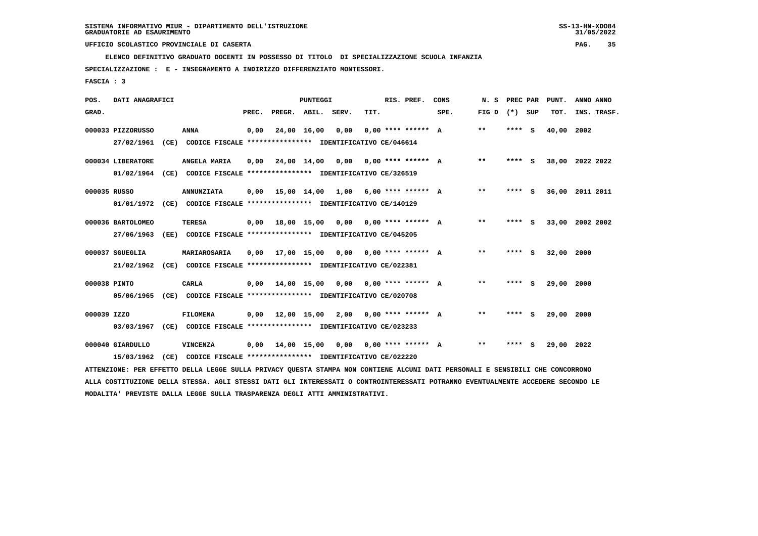**ELENCO DEFINITIVO GRADUATO DOCENTI IN POSSESSO DI TITOLO DI SPECIALIZZAZIONE SCUOLA INFANZIA**

 **SPECIALIZZAZIONE : E - INSEGNAMENTO A INDIRIZZO DIFFERENZIATO MONTESSORI.**

 **FASCIA : 3**

| POS.         | DATI ANAGRAFICI                |                                                                                                                                                                                                                   |       |                    | <b>PUNTEGGI</b> |                                            |      | RIS. PREF.           | CONS | N.S               | PREC PAR | PUNT.      | ANNO ANNO       |
|--------------|--------------------------------|-------------------------------------------------------------------------------------------------------------------------------------------------------------------------------------------------------------------|-------|--------------------|-----------------|--------------------------------------------|------|----------------------|------|-------------------|----------|------------|-----------------|
| GRAD.        |                                |                                                                                                                                                                                                                   | PREC. | PREGR. ABIL. SERV. |                 |                                            | TIT. |                      | SPE. | FIG $D$ $(*)$ SUP |          | TOT.       | INS. TRASF.     |
|              | 000033 PIZZORUSSO              | ANNA                                                                                                                                                                                                              | 0,00  |                    | 24,00 16,00     | 0,00                                       |      | $0.00$ **** ****** A |      | $***$             | **** S   | 40,00 2002 |                 |
|              |                                | 27/02/1961 (CE) CODICE FISCALE *************** IDENTIFICATIVO CE/046614                                                                                                                                           |       |                    |                 |                                            |      |                      |      |                   |          |            |                 |
|              | 000034 LIBERATORE              | ANGELA MARIA                                                                                                                                                                                                      | 0,00  |                    |                 | 24,00 14,00 0,00 0,00 **** ****** A        |      |                      |      | $* *$             | **** S   |            | 38,00 2022 2022 |
|              |                                | 01/02/1964 (CE) CODICE FISCALE *************** IDENTIFICATIVO CE/326519                                                                                                                                           |       |                    |                 |                                            |      |                      |      |                   |          |            |                 |
| 000035 RUSSO |                                | <b>ANNUNZIATA</b>                                                                                                                                                                                                 | 0,00  |                    |                 | 15,00 14,00 1,00 6,00 **** ****** A        |      |                      |      | $***$             | **** S   |            | 36,00 2011 2011 |
|              |                                | 01/01/1972 (CE) CODICE FISCALE **************** IDENTIFICATIVO CE/140129                                                                                                                                          |       |                    |                 |                                            |      |                      |      |                   |          |            |                 |
|              | 000036 BARTOLOMEO              | <b>TERESA</b>                                                                                                                                                                                                     |       |                    |                 | $0,00$ 18,00 15,00 0,00 0,00 **** ****** A |      |                      |      | $* *$             | **** S   |            | 33,00 2002 2002 |
|              | 27/06/1963                     | (EE) CODICE FISCALE **************** IDENTIFICATIVO CE/045205                                                                                                                                                     |       |                    |                 |                                            |      |                      |      |                   |          |            |                 |
|              | 000037 SGUEGLIA                | MARIAROSARIA                                                                                                                                                                                                      | 0,00  |                    |                 | 17,00 15,00 0,00 0,00 **** ****** A        |      |                      |      | $* *$             | **** S   | 32,00 2000 |                 |
|              | 21/02/1962                     | (CE) CODICE FISCALE **************** IDENTIFICATIVO CE/022381                                                                                                                                                     |       |                    |                 |                                            |      |                      |      |                   |          |            |                 |
| 000038 PINTO |                                | <b>CARLA</b>                                                                                                                                                                                                      | 0,00  |                    |                 | 14,00 15,00 0,00 0,00 **** ****** A        |      |                      |      | **                | **** S   | 29,00 2000 |                 |
|              | 05/06/1965                     | (CE) CODICE FISCALE **************** IDENTIFICATIVO CE/020708                                                                                                                                                     |       |                    |                 |                                            |      |                      |      |                   |          |            |                 |
| 000039 IZZO  |                                | <b>FILOMENA</b>                                                                                                                                                                                                   | 0,00  | 12,00 15,00 2,00   |                 |                                            |      | $0.00$ **** ****** A |      | $***$             | **** S   | 29,00      | 2000            |
|              | 03/03/1967                     | (CE) CODICE FISCALE **************** IDENTIFICATIVO CE/023233                                                                                                                                                     |       |                    |                 |                                            |      |                      |      |                   |          |            |                 |
|              |                                |                                                                                                                                                                                                                   |       |                    |                 |                                            |      |                      |      |                   |          |            |                 |
|              |                                |                                                                                                                                                                                                                   |       |                    |                 |                                            |      |                      |      |                   |          |            |                 |
|              |                                |                                                                                                                                                                                                                   |       |                    |                 |                                            |      |                      |      |                   |          |            |                 |
|              | 000040 GIARDULLO<br>15/03/1962 | <b>VINCENZA</b><br>(CE) CODICE FISCALE **************** IDENTIFICATIVO CE/022220<br>ATTENZIONE: PER EFFETTO DELLA LEGGE SULLA PRIVACY QUESTA STAMPA NON CONTIENE ALCUNI DATI PERSONALI E SENSIBILI CHE CONCORRONO | 0,00  | 14,00 15,00        |                 | 0,00                                       |      | $0.00$ **** ****** A |      | $***$             | **** S   | 29,00 2022 |                 |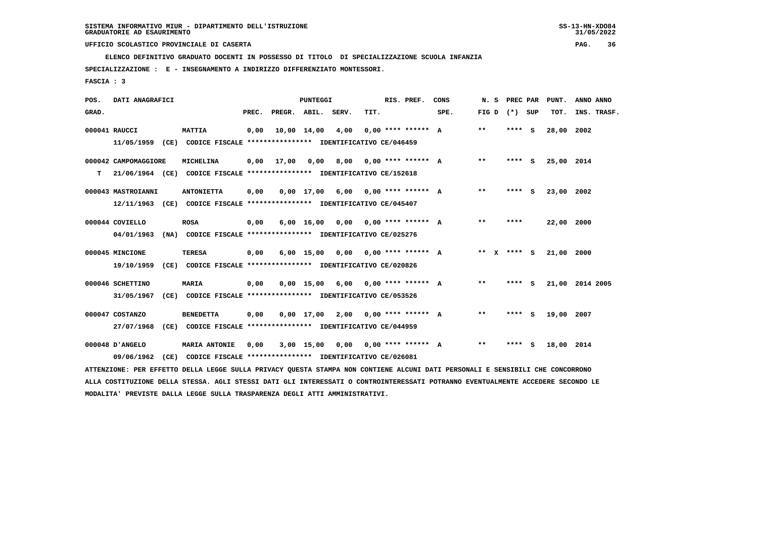**ELENCO DEFINITIVO GRADUATO DOCENTI IN POSSESSO DI TITOLO DI SPECIALIZZAZIONE SCUOLA INFANZIA**

 **SPECIALIZZAZIONE : E - INSEGNAMENTO A INDIRIZZO DIFFERENZIATO MONTESSORI.**

 **FASCIA : 3**

| POS.  | DATI ANAGRAFICI      |      |                                                                                                                               |       |                    | <b>PUNTEGGI</b>    |                                      |      | RIS. PREF.              | CONS | N.S               | PREC PAR | PUNT.      | ANNO ANNO       |
|-------|----------------------|------|-------------------------------------------------------------------------------------------------------------------------------|-------|--------------------|--------------------|--------------------------------------|------|-------------------------|------|-------------------|----------|------------|-----------------|
| GRAD. |                      |      |                                                                                                                               | PREC. | PREGR. ABIL. SERV. |                    |                                      | TIT. |                         | SPE. | FIG $D$ $(*)$ SUP |          | TOT.       | INS. TRASF.     |
|       | 000041 RAUCCI        |      | <b>MATTIA</b>                                                                                                                 | 0,00  |                    | 10,00 14,00        | 4,00                                 |      | $0.00$ **** ****** A    |      | $***$             | $***$ S  | 28,00 2002 |                 |
|       |                      |      | 11/05/1959 (CE) CODICE FISCALE *************** IDENTIFICATIVO CE/046459                                                       |       |                    |                    |                                      |      |                         |      |                   |          |            |                 |
|       | 000042 CAMPOMAGGIORE |      | MICHELINA                                                                                                                     | 0,00  | 17,00              | 0,00               |                                      |      | 8,00 0,00 **** ****** A |      | $***$             | **** S   | 25,00 2014 |                 |
| т     |                      |      | 21/06/1964 (CE) CODICE FISCALE **************** IDENTIFICATIVO CE/152618                                                      |       |                    |                    |                                      |      |                         |      |                   |          |            |                 |
|       | 000043 MASTROIANNI   |      | <b>ANTONIETTA</b>                                                                                                             | 0,00  |                    | $0.00$ 17.00       | 6,00 0,00 **** ****** A              |      |                         |      | $***$             | **** S   | 23,00 2002 |                 |
|       |                      |      | 12/11/1963 (CE) CODICE FISCALE *************** IDENTIFICATIVO CE/045407                                                       |       |                    |                    |                                      |      |                         |      |                   |          |            |                 |
|       | 000044 COVIELLO      |      | <b>ROSA</b>                                                                                                                   | 0,00  |                    | $6,00 \quad 16,00$ | $0,00$ $0,00$ **** ****** A          |      |                         |      | $* *$             | ****     | 22,00 2000 |                 |
|       | 04/01/1963           |      | (NA) CODICE FISCALE **************** IDENTIFICATIVO CE/025276                                                                 |       |                    |                    |                                      |      |                         |      |                   |          |            |                 |
|       | 000045 MINCIONE      |      | <b>TERESA</b>                                                                                                                 | 0,00  |                    |                    | $6,00$ 15,00 0,00 0,00 **** ****** A |      |                         |      | ** X              | **** S   | 21,00      | 2000            |
|       | 19/10/1959           |      | (CE) CODICE FISCALE **************** IDENTIFICATIVO CE/020826                                                                 |       |                    |                    |                                      |      |                         |      |                   |          |            |                 |
|       | 000046 SCHETTINO     |      | <b>MARIA</b>                                                                                                                  | 0,00  |                    |                    | $0,00$ 15,00 6,00 0,00 **** ****** A |      |                         |      | $***$             | **** S   |            | 21,00 2014 2005 |
|       | 31/05/1967           |      | (CE) CODICE FISCALE **************** IDENTIFICATIVO CE/053526                                                                 |       |                    |                    |                                      |      |                         |      |                   |          |            |                 |
|       | 000047 COSTANZO      |      | <b>BENEDETTA</b>                                                                                                              | 0,00  |                    |                    | $0,00$ 17,00 2,00 0,00 **** ****** A |      |                         |      | **                | **** S   | 19,00 2007 |                 |
|       | 27/07/1968           | (CE) | CODICE FISCALE **************** IDENTIFICATIVO CE/044959                                                                      |       |                    |                    |                                      |      |                         |      |                   |          |            |                 |
|       | 000048 D'ANGELO      |      | <b>MARIA ANTONIE</b>                                                                                                          | 0.00  |                    | 3,00 15,00         | 0,00                                 |      | $0.00$ **** ****** A    |      | $***$             | **** S   | 18,00 2014 |                 |
|       | 09/06/1962           | (CE) | CODICE FISCALE **************** IDENTIFICATIVO CE/026081                                                                      |       |                    |                    |                                      |      |                         |      |                   |          |            |                 |
|       |                      |      | ATTENZIONE: PER EFFETTO DELLA LEGGE SULLA PRIVACY QUESTA STAMPA NON CONTIENE ALCUNI DATI PERSONALI E SENSIBILI CHE CONCORRONO |       |                    |                    |                                      |      |                         |      |                   |          |            |                 |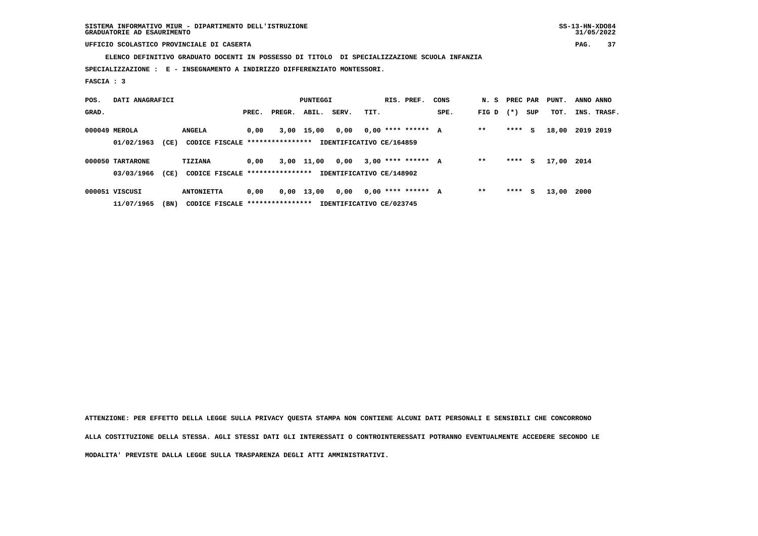**ELENCO DEFINITIVO GRADUATO DOCENTI IN POSSESSO DI TITOLO DI SPECIALIZZAZIONE SCUOLA INFANZIA**

 **SPECIALIZZAZIONE : E - INSEGNAMENTO A INDIRIZZO DIFFERENZIATO MONTESSORI.**

 **FASCIA : 3**

| POS.  | DATI ANAGRAFICI  |      |                                  |       |        | PUNTEGGI     |                          |      | RIS. PREF.           | CONS | N. S  | PREC PAR |     | PUNT.      | ANNO ANNO |             |
|-------|------------------|------|----------------------------------|-------|--------|--------------|--------------------------|------|----------------------|------|-------|----------|-----|------------|-----------|-------------|
| GRAD. |                  |      |                                  | PREC. | PREGR. | ABIL.        | SERV.                    | TIT. |                      | SPE. | FIG D | $(* )$   | SUP | TOT.       |           | INS. TRASF. |
|       | 000049 MEROLA    |      | <b>ANGELA</b>                    | 0,00  | 3,00   | 15,00        | 0,00                     |      | $0.00$ **** ****** A |      | $* *$ | ****     | s   | 18,00      | 2019 2019 |             |
|       | 01/02/1963       | (CE) | CODICE FISCALE ****************  |       |        |              | IDENTIFICATIVO CE/164859 |      |                      |      |       |          |     |            |           |             |
|       | 000050 TARTARONE |      | <b>TIZIANA</b>                   | 0,00  |        | 3,00 11,00   | 0,00                     |      | $3,00$ **** ****** A |      | $* *$ | ****     | s   | 17,00 2014 |           |             |
|       | 03/03/1966       | (CE) | CODICE FISCALE ****************  |       |        |              | IDENTIFICATIVO CE/148902 |      |                      |      |       |          |     |            |           |             |
|       | 000051 VISCUSI   |      | <b>ANTONIETTA</b>                | 0,00  |        | $0,00$ 13,00 | 0,00                     |      | $0.00$ **** ****** A |      | $* *$ | ****     | s   | 13,00      | 2000      |             |
|       | 11/07/1965       | (BN) | CODICE FISCALE ***************** |       |        |              | IDENTIFICATIVO CE/023745 |      |                      |      |       |          |     |            |           |             |

 **ATTENZIONE: PER EFFETTO DELLA LEGGE SULLA PRIVACY QUESTA STAMPA NON CONTIENE ALCUNI DATI PERSONALI E SENSIBILI CHE CONCORRONO ALLA COSTITUZIONE DELLA STESSA. AGLI STESSI DATI GLI INTERESSATI O CONTROINTERESSATI POTRANNO EVENTUALMENTE ACCEDERE SECONDO LE MODALITA' PREVISTE DALLA LEGGE SULLA TRASPARENZA DEGLI ATTI AMMINISTRATIVI.**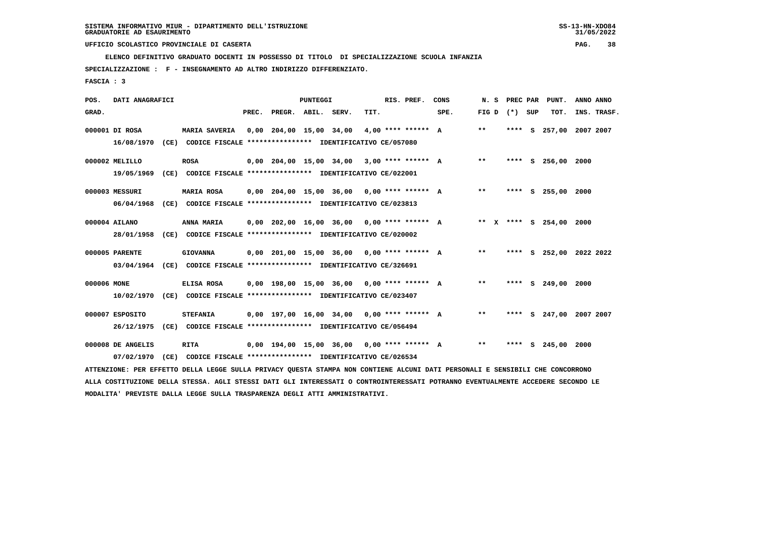**ELENCO DEFINITIVO GRADUATO DOCENTI IN POSSESSO DI TITOLO DI SPECIALIZZAZIONE SCUOLA INFANZIA**

 **SPECIALIZZAZIONE : F - INSEGNAMENTO AD ALTRO INDIRIZZO DIFFERENZIATO.**

 **FASCIA : 3**

| POS.        | DATI ANAGRAFICI   |                                                                                                                               |       |                    | PUNTEGGI |                                              |      | RIS. PREF. | CONS                                       | N. S              |  | PREC PAR PUNT.          | ANNO ANNO |             |
|-------------|-------------------|-------------------------------------------------------------------------------------------------------------------------------|-------|--------------------|----------|----------------------------------------------|------|------------|--------------------------------------------|-------------------|--|-------------------------|-----------|-------------|
| GRAD.       |                   |                                                                                                                               | PREC. | PREGR. ABIL. SERV. |          |                                              | TIT. |            | SPE.                                       | FIG $D$ $(*)$ SUP |  | TOT.                    |           | INS. TRASF. |
|             | 000001 DI ROSA    | <b>MARIA SAVERIA</b>                                                                                                          |       |                    |          | 0,00 204,00 15,00 34,00 4,00 **** ****** A   |      |            |                                            | $* *$             |  | **** S 257,00 2007 2007 |           |             |
|             | 16/08/1970        | (CE) CODICE FISCALE **************** IDENTIFICATIVO CE/057080                                                                 |       |                    |          |                                              |      |            |                                            |                   |  |                         |           |             |
|             | 000002 MELILLO    | ROSA                                                                                                                          |       |                    |          | 0,00 204,00 15,00 34,00 3,00 **** ****** A   |      |            |                                            | $***$             |  | **** S 256,00 2000      |           |             |
|             | 19/05/1969        | (CE) CODICE FISCALE **************** IDENTIFICATIVO CE/022001                                                                 |       |                    |          |                                              |      |            |                                            |                   |  |                         |           |             |
|             | 000003 MESSURI    | <b>MARIA ROSA</b>                                                                                                             |       |                    |          | 0,00 204,00 15,00 36,00 0,00 **** ****** A   |      |            |                                            | $***$             |  | **** S 255,00 2000      |           |             |
|             | 06/04/1968        | (CE) CODICE FISCALE **************** IDENTIFICATIVO CE/023813                                                                 |       |                    |          |                                              |      |            |                                            |                   |  |                         |           |             |
|             | 000004 AILANO     | ANNA MARIA                                                                                                                    |       |                    |          |                                              |      |            | 0,00 202,00 16,00 36,00 0,00 **** ****** A |                   |  | ** X **** S 254,00 2000 |           |             |
|             | 28/01/1958        | (CE) CODICE FISCALE **************** IDENTIFICATIVO CE/020002                                                                 |       |                    |          |                                              |      |            |                                            |                   |  |                         |           |             |
|             | 000005 PARENTE    | <b>GIOVANNA</b>                                                                                                               |       |                    |          |                                              |      |            | 0,00 201,00 15,00 36,00 0,00 **** ****** A | $***$             |  | **** S 252,00 2022 2022 |           |             |
|             | 03/04/1964        | (CE) CODICE FISCALE **************** IDENTIFICATIVO CE/326691                                                                 |       |                    |          |                                              |      |            |                                            |                   |  |                         |           |             |
| 000006 MONE |                   | ELISA ROSA                                                                                                                    |       |                    |          | $0.00$ 198.00 15.00 36.00 0.00 **** ****** A |      |            |                                            | $***$             |  | **** S 249,00           | 2000      |             |
|             | 10/02/1970        | (CE) CODICE FISCALE **************** IDENTIFICATIVO CE/023407                                                                 |       |                    |          |                                              |      |            |                                            |                   |  |                         |           |             |
|             | 000007 ESPOSITO   | <b>STEFANIA</b>                                                                                                               |       |                    |          | $0,00$ 197,00 16,00 34,00 0,00 **** ****** A |      |            |                                            | $***$             |  | **** S 247,00 2007 2007 |           |             |
|             | 26/12/1975        | (CE) CODICE FISCALE **************** IDENTIFICATIVO CE/056494                                                                 |       |                    |          |                                              |      |            |                                            |                   |  |                         |           |             |
|             | 000008 DE ANGELIS | <b>RITA</b>                                                                                                                   |       |                    |          | $0,00$ 194,00 15,00 36,00 0,00 **** ****** A |      |            |                                            | $* *$             |  | **** S 245,00 2000      |           |             |
|             | 07/02/1970        | (CE) CODICE FISCALE **************** IDENTIFICATIVO CE/026534                                                                 |       |                    |          |                                              |      |            |                                            |                   |  |                         |           |             |
|             |                   | ATTENZIONE: PER EFFETTO DELLA LEGGE SULLA PRIVACY QUESTA STAMPA NON CONTIENE ALCUNI DATI PERSONALI E SENSIBILI CHE CONCORRONO |       |                    |          |                                              |      |            |                                            |                   |  |                         |           |             |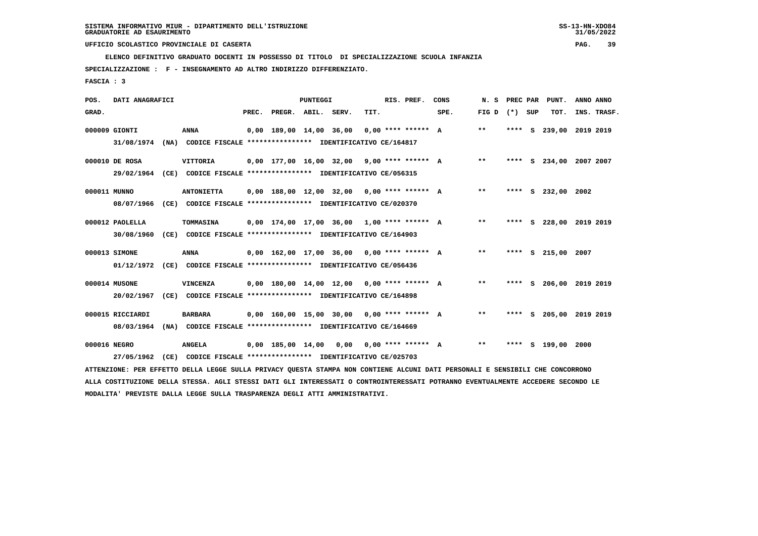**ELENCO DEFINITIVO GRADUATO DOCENTI IN POSSESSO DI TITOLO DI SPECIALIZZAZIONE SCUOLA INFANZIA**

 **SPECIALIZZAZIONE : F - INSEGNAMENTO AD ALTRO INDIRIZZO DIFFERENZIATO.**

 **FASCIA : 3**

| POS.         | DATI ANAGRAFICI                |      |                                                                                                                               |       |                        | <b>PUNTEGGI</b> |                                              |      | RIS. PREF.           | CONS | N. S              |  | PREC PAR PUNT.          | ANNO ANNO |             |
|--------------|--------------------------------|------|-------------------------------------------------------------------------------------------------------------------------------|-------|------------------------|-----------------|----------------------------------------------|------|----------------------|------|-------------------|--|-------------------------|-----------|-------------|
| GRAD.        |                                |      |                                                                                                                               | PREC. | PREGR. ABIL. SERV.     |                 |                                              | TIT. |                      | SPE. | FIG $D$ $(*)$ SUP |  | TOT.                    |           | INS. TRASF. |
|              | 000009 GIONTI<br>31/08/1974    |      | <b>ANNA</b><br>(NA) CODICE FISCALE **************** IDENTIFICATIVO CE/164817                                                  |       |                        |                 | $0,00$ 189,00 14,00 36,00 0,00 **** ****** A |      |                      |      | $***$             |  | **** S 239,00 2019 2019 |           |             |
|              | 000010 DE ROSA                 |      | VITTORIA<br>29/02/1964 (CE) CODICE FISCALE *************** IDENTIFICATIVO CE/056315                                           |       |                        |                 | $0,00$ 177,00 16,00 32,00 9,00 **** ****** A |      |                      |      | $***$             |  | **** S 234,00 2007 2007 |           |             |
| 000011 MUNNO | 08/07/1966                     |      | <b>ANTONIETTA</b><br>(CE) CODICE FISCALE **************** IDENTIFICATIVO CE/020370                                            |       |                        |                 | $0,00$ 188,00 12,00 32,00 0,00 **** ****** A |      |                      |      | $***$             |  | **** S 232,00 2002      |           |             |
|              | 000012 PAOLELLA<br>30/08/1960  |      | TOMMASINA<br>(CE) CODICE FISCALE **************** IDENTIFICATIVO CE/164903                                                    |       |                        |                 | $0,00$ 174,00 17,00 36,00 1,00 **** ****** A |      |                      |      | $***$             |  | **** S 228,00 2019 2019 |           |             |
|              | 000013 SIMONE                  |      | <b>ANNA</b><br>01/12/1972 (CE) CODICE FISCALE *************** IDENTIFICATIVO CE/056436                                        |       |                        |                 | $0,00$ 162,00 17,00 36,00 0,00 **** ****** A |      |                      |      | $* *$             |  | **** S 215,00 2007      |           |             |
|              | 000014 MUSONE<br>20/02/1967    |      | VINCENZA<br>(CE) CODICE FISCALE **************** IDENTIFICATIVO CE/164898                                                     |       |                        |                 | $0,00$ 180,00 14,00 12,00 0,00 **** ****** A |      |                      |      | $**$              |  | **** S 206,00 2019 2019 |           |             |
|              | 000015 RICCIARDI<br>08/03/1964 |      | <b>BARBARA</b><br>(NA) CODICE FISCALE **************** IDENTIFICATIVO CE/164669                                               |       |                        |                 | $0,00$ 160,00 15,00 30,00 0,00 **** ****** A |      |                      |      | $***$             |  | **** S 205,00 2019 2019 |           |             |
| 000016 NEGRO | 27/05/1962                     | (CE) | <b>ANGELA</b><br>CODICE FISCALE **************** IDENTIFICATIVO CE/025703                                                     |       | 0,00 185,00 14,00 0,00 |                 |                                              |      | $0.00$ **** ****** A |      | $***$             |  | **** S 199,00 2000      |           |             |
|              |                                |      | ATTENZIONE: PER EFFETTO DELLA LEGGE SULLA PRIVACY QUESTA STAMPA NON CONTIENE ALCUNI DATI PERSONALI E SENSIBILI CHE CONCORRONO |       |                        |                 |                                              |      |                      |      |                   |  |                         |           |             |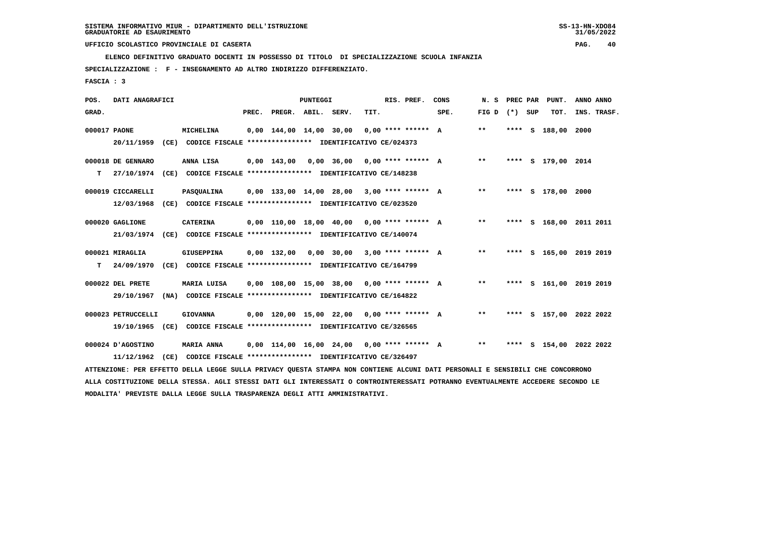**ELENCO DEFINITIVO GRADUATO DOCENTI IN POSSESSO DI TITOLO DI SPECIALIZZAZIONE SCUOLA INFANZIA**

 **SPECIALIZZAZIONE : F - INSEGNAMENTO AD ALTRO INDIRIZZO DIFFERENZIATO.**

 **FASCIA : 3**

| POS.         | DATI ANAGRAFICI    |      |                                                                                                                               |       |                                              | <b>PUNTEGGI</b> |                                 |      | RIS. PREF.           | CONS | N.S             | PREC PAR | PUNT.              | ANNO ANNO               |
|--------------|--------------------|------|-------------------------------------------------------------------------------------------------------------------------------|-------|----------------------------------------------|-----------------|---------------------------------|------|----------------------|------|-----------------|----------|--------------------|-------------------------|
| GRAD.        |                    |      |                                                                                                                               | PREC. | PREGR. ABIL. SERV.                           |                 |                                 | TIT. |                      | SPE. | FIG D $(*)$ SUP |          | TOT.               | INS. TRASF.             |
| 000017 PAONE | 20/11/1959         |      | MICHELINA<br>(CE) CODICE FISCALE **************** IDENTIFICATIVO CE/024373                                                    |       | 0,00 144,00 14,00 30,00                      |                 |                                 |      | $0,00$ **** ****** A |      | $***$           |          | **** S 188,00 2000 |                         |
|              |                    |      |                                                                                                                               |       |                                              |                 |                                 |      |                      |      |                 |          |                    |                         |
|              | 000018 DE GENNARO  |      | ANNA LISA                                                                                                                     |       | $0.00$ 143.00 0.00 36.00 0.00 **** ****** A  |                 |                                 |      |                      |      | $***$           |          | **** S 179,00 2014 |                         |
| т            |                    |      | 27/10/1974 (CE) CODICE FISCALE **************** IDENTIFICATIVO CE/148238                                                      |       |                                              |                 |                                 |      |                      |      |                 |          |                    |                         |
|              | 000019 CICCARELLI  |      | PASQUALINA                                                                                                                    |       | $0.00$ 133.00 14.00 28.00 3.00 **** ****** A |                 |                                 |      |                      |      | $***$           |          | **** S 178,00 2000 |                         |
|              | 12/03/1968         |      | (CE) CODICE FISCALE **************** IDENTIFICATIVO CE/023520                                                                 |       |                                              |                 |                                 |      |                      |      |                 |          |                    |                         |
|              | 000020 GAGLIONE    |      | <b>CATERINA</b>                                                                                                               |       | $0.00$ 110.00 18.00 40.00 0.00 **** ****** A |                 |                                 |      |                      |      | $***$           |          |                    | **** S 168,00 2011 2011 |
|              | 21/03/1974         |      | (CE) CODICE FISCALE **************** IDENTIFICATIVO CE/140074                                                                 |       |                                              |                 |                                 |      |                      |      |                 |          |                    |                         |
|              | 000021 MIRAGLIA    |      | <b>GIUSEPPINA</b>                                                                                                             |       | $0.00$ 132.00                                |                 | $0,00$ 30,00 3,00 **** ****** A |      |                      |      | $***$           |          |                    | **** S 165,00 2019 2019 |
| т            | 24/09/1970         |      | (CE) CODICE FISCALE **************** IDENTIFICATIVO CE/164799                                                                 |       |                                              |                 |                                 |      |                      |      |                 |          |                    |                         |
|              | 000022 DEL PRETE   |      | MARIA LUISA                                                                                                                   |       | $0,00$ 108,00 15,00 38,00 0,00 **** ****** A |                 |                                 |      |                      |      | $**$            |          |                    | **** S 161,00 2019 2019 |
|              | 29/10/1967         |      | (NA) CODICE FISCALE **************** IDENTIFICATIVO CE/164822                                                                 |       |                                              |                 |                                 |      |                      |      |                 |          |                    |                         |
|              | 000023 PETRUCCELLI |      | <b>GIOVANNA</b>                                                                                                               |       | $0,00$ 120,00 15,00 22,00 0,00 **** ****** A |                 |                                 |      |                      |      | $***$           |          |                    | **** S 157,00 2022 2022 |
|              | 19/10/1965         |      | (CE) CODICE FISCALE **************** IDENTIFICATIVO CE/326565                                                                 |       |                                              |                 |                                 |      |                      |      |                 |          |                    |                         |
|              | 000024 D'AGOSTINO  |      | MARIA ANNA                                                                                                                    |       | $0,00$ 114,00 16,00 24,00 0,00 **** ****** A |                 |                                 |      |                      |      | $* *$           |          |                    | **** S 154,00 2022 2022 |
|              | 11/12/1962         | (CE) | CODICE FISCALE **************** IDENTIFICATIVO CE/326497                                                                      |       |                                              |                 |                                 |      |                      |      |                 |          |                    |                         |
|              |                    |      | ATTENZIONE: PER EFFETTO DELLA LEGGE SULLA PRIVACY QUESTA STAMPA NON CONTIENE ALCUNI DATI PERSONALI E SENSIBILI CHE CONCORRONO |       |                                              |                 |                                 |      |                      |      |                 |          |                    |                         |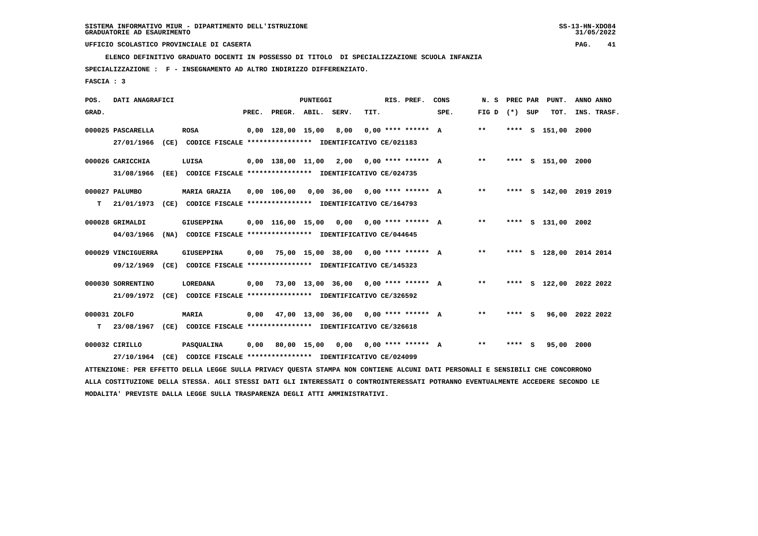**ELENCO DEFINITIVO GRADUATO DOCENTI IN POSSESSO DI TITOLO DI SPECIALIZZAZIONE SCUOLA INFANZIA**

 **SPECIALIZZAZIONE : F - INSEGNAMENTO AD ALTRO INDIRIZZO DIFFERENZIATO.**

 **FASCIA : 3**

| POS.         | DATI ANAGRAFICI    |                                                                                                                               |       |                                             | PUNTEGGI |      |      | RIS. PREF.           | CONS                                        | N. S            |         | PREC PAR PUNT.          | ANNO ANNO |             |
|--------------|--------------------|-------------------------------------------------------------------------------------------------------------------------------|-------|---------------------------------------------|----------|------|------|----------------------|---------------------------------------------|-----------------|---------|-------------------------|-----------|-------------|
| GRAD.        |                    |                                                                                                                               | PREC. | PREGR. ABIL. SERV.                          |          |      | TIT. |                      | SPE.                                        | FIG D $(*)$ SUP |         | тот.                    |           | INS. TRASF. |
|              | 000025 PASCARELLA  | <b>ROSA</b>                                                                                                                   |       | 0,00 128,00 15,00                           |          | 8,00 |      | $0.00$ **** ****** A |                                             | $***$           |         | **** S 151,00           | 2000      |             |
|              | 27/01/1966         | (CE) CODICE FISCALE **************** IDENTIFICATIVO CE/021183                                                                 |       |                                             |          |      |      |                      |                                             |                 |         |                         |           |             |
|              | 000026 CARICCHIA   | LUISA                                                                                                                         |       |                                             |          |      |      |                      | 0,00 138,00 11,00 2,00 0,00 **** ****** A   | $***$           |         | **** S 151,00 2000      |           |             |
|              | 31/08/1966         | (EE) CODICE FISCALE **************** IDENTIFICATIVO CE/024735                                                                 |       |                                             |          |      |      |                      |                                             |                 |         |                         |           |             |
|              | 000027 PALUMBO     | <b>MARIA GRAZIA</b>                                                                                                           |       |                                             |          |      |      |                      | 0,00 106,00 0,00 36,00 0,00 **** ****** A   | $***$           |         | **** S 142,00 2019 2019 |           |             |
| т            | 21/01/1973         | (CE) CODICE FISCALE **************** IDENTIFICATIVO CE/164793                                                                 |       |                                             |          |      |      |                      |                                             |                 |         |                         |           |             |
|              | 000028 GRIMALDI    | GIUSEPPINA                                                                                                                    |       |                                             |          |      |      |                      |                                             | $***$           |         | **** S 131,00 2002      |           |             |
|              | 04/03/1966         | (NA) CODICE FISCALE **************** IDENTIFICATIVO CE/044645                                                                 |       |                                             |          |      |      |                      |                                             |                 |         |                         |           |             |
|              | 000029 VINCIGUERRA | GIUSEPPINA                                                                                                                    |       |                                             |          |      |      |                      | 0,00 75,00 15,00 38,00 0,00 **** ****** A   | $***$           |         | **** S 128,00 2014 2014 |           |             |
|              |                    | 09/12/1969 (CE) CODICE FISCALE *************** IDENTIFICATIVO CE/145323                                                       |       |                                             |          |      |      |                      |                                             |                 |         |                         |           |             |
|              | 000030 SORRENTINO  | <b>LOREDANA</b>                                                                                                               |       |                                             |          |      |      |                      | $0.00$ 73.00 13.00 36.00 0.00 **** ****** A | $***$           |         | **** S 122,00 2022 2022 |           |             |
|              |                    | 21/09/1972 (CE) CODICE FISCALE *************** IDENTIFICATIVO CE/326592                                                       |       |                                             |          |      |      |                      |                                             |                 |         |                         |           |             |
| 000031 ZOLFO |                    | <b>MARIA</b>                                                                                                                  |       | $0,00$ 47,00 13,00 36,00 0,00 **** ****** A |          |      |      |                      |                                             | $* *$           | **** S  | 96,00 2022 2022         |           |             |
| т            |                    | 23/08/1967 (CE) CODICE FISCALE **************** IDENTIFICATIVO CE/326618                                                      |       |                                             |          |      |      |                      |                                             |                 |         |                         |           |             |
|              | 000032 CIRILLO     | PASQUALINA                                                                                                                    |       | $0,00$ 80,00 15,00 0,00 0,00 **** ****** A  |          |      |      |                      |                                             | $* *$           | $***$ S | 95,00                   | 2000      |             |
|              |                    | 27/10/1964 (CE) CODICE FISCALE *************** IDENTIFICATIVO CE/024099                                                       |       |                                             |          |      |      |                      |                                             |                 |         |                         |           |             |
|              |                    | ATTENZIONE: PER EFFETTO DELLA LEGGE SULLA PRIVACY QUESTA STAMPA NON CONTIENE ALCUNI DATI PERSONALI E SENSIBILI CHE CONCORRONO |       |                                             |          |      |      |                      |                                             |                 |         |                         |           |             |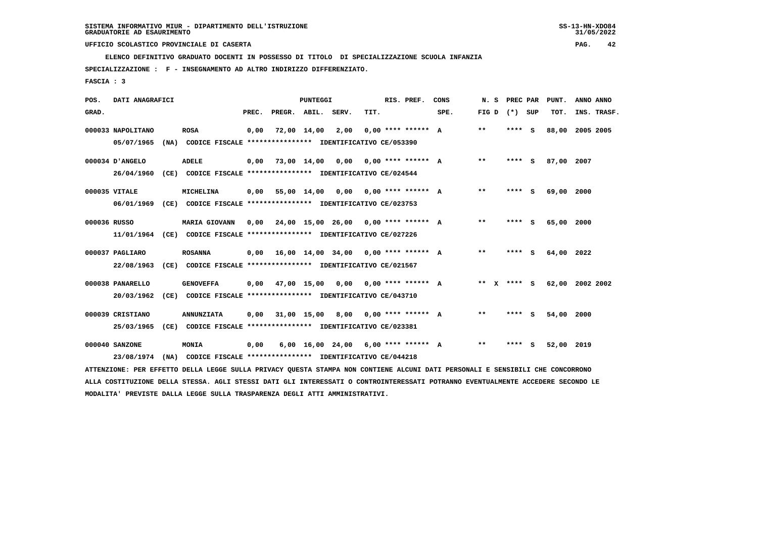**ELENCO DEFINITIVO GRADUATO DOCENTI IN POSSESSO DI TITOLO DI SPECIALIZZAZIONE SCUOLA INFANZIA**

 **SPECIALIZZAZIONE : F - INSEGNAMENTO AD ALTRO INDIRIZZO DIFFERENZIATO.**

 **FASCIA : 3**

| POS.         | DATI ANAGRAFICI   |                                                                                                                               |       |                    | <b>PUNTEGGI</b> |                                             |      | RIS. PREF.           | CONS | N.S               | PREC PAR | PUNT.      | ANNO ANNO       |
|--------------|-------------------|-------------------------------------------------------------------------------------------------------------------------------|-------|--------------------|-----------------|---------------------------------------------|------|----------------------|------|-------------------|----------|------------|-----------------|
| GRAD.        |                   |                                                                                                                               | PREC. | PREGR. ABIL. SERV. |                 |                                             | TIT. |                      | SPE. | FIG $D$ $(*)$ SUP |          | TOT.       | INS. TRASF.     |
|              | 000033 NAPOLITANO | <b>ROSA</b>                                                                                                                   | 0,00  |                    | 72,00 14,00     | 2,00                                        |      | $0.00$ **** ****** A |      | $***$             | **** S   |            | 88,00 2005 2005 |
|              | 05/07/1965        | (NA) CODICE FISCALE **************** IDENTIFICATIVO CE/053390                                                                 |       |                    |                 |                                             |      |                      |      |                   |          |            |                 |
|              | 000034 D'ANGELO   | <b>ADELE</b>                                                                                                                  |       |                    |                 | $0,00$ 73,00 14,00 0,00 0,00 **** ****** A  |      |                      |      | $* *$             | **** S   | 87,00 2007 |                 |
|              | 26/04/1960        | (CE) CODICE FISCALE **************** IDENTIFICATIVO CE/024544                                                                 |       |                    |                 |                                             |      |                      |      |                   |          |            |                 |
|              | 000035 VITALE     | MICHELINA                                                                                                                     | 0,00  |                    |                 | 55,00 14,00 0,00 0,00 **** ****** A         |      |                      |      | $***$             | **** S   | 69,00 2000 |                 |
|              | 06/01/1969        | (CE) CODICE FISCALE **************** IDENTIFICATIVO CE/023753                                                                 |       |                    |                 |                                             |      |                      |      |                   |          |            |                 |
| 000036 RUSSO |                   | <b>MARIA GIOVANN</b>                                                                                                          |       |                    |                 | $0,00$ 24,00 15,00 26,00 0,00 **** ****** A |      |                      |      | $* *$             | **** S   | 65,00 2000 |                 |
|              |                   | 11/01/1964 (CE) CODICE FISCALE *************** IDENTIFICATIVO CE/027226                                                       |       |                    |                 |                                             |      |                      |      |                   |          |            |                 |
|              | 000037 PAGLIARO   | <b>ROSANNA</b>                                                                                                                | 0,00  |                    |                 | 16,00 14,00 34,00 0,00 **** ****** A        |      |                      |      | $* *$             | **** S   | 64,00 2022 |                 |
|              | 22/08/1963        | (CE) CODICE FISCALE **************** IDENTIFICATIVO CE/021567                                                                 |       |                    |                 |                                             |      |                      |      |                   |          |            |                 |
|              | 000038 PANARELLO  | <b>GENOVEFFA</b>                                                                                                              | 0,00  |                    |                 | 47,00 15,00 0,00 0,00 **** ****** A         |      |                      |      | ** x **** s       |          |            | 62,00 2002 2002 |
|              | 20/03/1962        | (CE) CODICE FISCALE **************** IDENTIFICATIVO CE/043710                                                                 |       |                    |                 |                                             |      |                      |      |                   |          |            |                 |
|              | 000039 CRISTIANO  | <b>ANNUNZIATA</b>                                                                                                             | 0,00  | 31,00 15,00 8,00   |                 |                                             |      | $0.00$ **** ****** A |      | $***$             | $***$ S  | 54,00      | 2000            |
|              | 25/03/1965        | (CE) CODICE FISCALE **************** IDENTIFICATIVO CE/023381                                                                 |       |                    |                 |                                             |      |                      |      |                   |          |            |                 |
|              | 000040 SANZONE    | MONIA                                                                                                                         | 0,00  |                    |                 | 6,00 16,00 24,00                            |      | $6,00$ **** ****** A |      | $***$             | **** S   | 52,00 2019 |                 |
|              | 23/08/1974        | (NA) CODICE FISCALE **************** IDENTIFICATIVO CE/044218                                                                 |       |                    |                 |                                             |      |                      |      |                   |          |            |                 |
|              |                   | ATTENZIONE: PER EFFETTO DELLA LEGGE SULLA PRIVACY QUESTA STAMPA NON CONTIENE ALCUNI DATI PERSONALI E SENSIBILI CHE CONCORRONO |       |                    |                 |                                             |      |                      |      |                   |          |            |                 |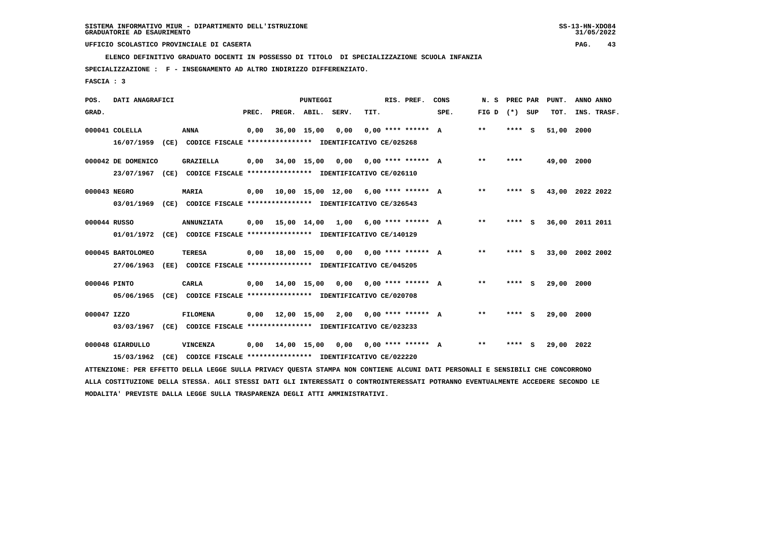**ELENCO DEFINITIVO GRADUATO DOCENTI IN POSSESSO DI TITOLO DI SPECIALIZZAZIONE SCUOLA INFANZIA**

 **SPECIALIZZAZIONE : F - INSEGNAMENTO AD ALTRO INDIRIZZO DIFFERENZIATO.**

 **FASCIA : 3**

| POS.        | DATI ANAGRAFICI                 |      |                                                                                                                               |       |                                             | PUNTEGGI    |                         |      | RIS. PREF.           | CONS | N.S               | PREC PAR | PUNT.      | ANNO ANNO       |
|-------------|---------------------------------|------|-------------------------------------------------------------------------------------------------------------------------------|-------|---------------------------------------------|-------------|-------------------------|------|----------------------|------|-------------------|----------|------------|-----------------|
| GRAD.       |                                 |      |                                                                                                                               | PREC. | PREGR.                                      | ABIL.       | SERV.                   | TIT. |                      | SPE. | FIG $D$ $(*)$ SUP |          | TOT.       | INS. TRASF.     |
|             | 000041 COLELLA                  |      | <b>ANNA</b><br>16/07/1959 (CE) CODICE FISCALE *************** IDENTIFICATIVO CE/025268                                        | 0,00  |                                             | 36,00 15,00 | 0.00                    |      | $0,00$ **** ****** A |      | $***$             | **** S   | 51,00 2000 |                 |
|             | 000042 DE DOMENICO              |      | <b>GRAZIELLA</b><br>23/07/1967 (CE) CODICE FISCALE *************** IDENTIFICATIVO CE/026110                                   |       | $0,00$ 34,00 15,00 0,00 0,00 **** ****** A  |             |                         |      |                      |      | $* *$             | ****     | 49,00 2000 |                 |
|             | 000043 NEGRO                    |      | <b>MARIA</b><br>03/01/1969 (CE) CODICE FISCALE *************** IDENTIFICATIVO CE/326543                                       |       | $0,00$ 10,00 15,00 12,00 6,00 **** ****** A |             |                         |      |                      |      | $***$             | **** S   |            | 43,00 2022 2022 |
|             | 000044 RUSSO                    |      | <b>ANNUNZIATA</b><br>01/01/1972 (CE) CODICE FISCALE *************** IDENTIFICATIVO CE/140129                                  |       | $0,00$ 15,00 14,00 1,00 6,00 **** ****** A  |             |                         |      |                      |      | $* *$             | **** S   |            | 36,00 2011 2011 |
|             | 000045 BARTOLOMEO<br>27/06/1963 |      | <b>TERESA</b><br>(EE) CODICE FISCALE **************** IDENTIFICATIVO CE/045205                                                |       | $0,00$ 18,00 15,00 0,00 0,00 **** ****** A  |             |                         |      |                      |      | $***$             | **** S   |            | 33,00 2002 2002 |
|             | 000046 PINTO                    |      | <b>CARLA</b><br>05/06/1965 (CE) CODICE FISCALE *************** IDENTIFICATIVO CE/020708                                       |       | $0,00$ $14,00$ $15,00$                      |             | 0,00 0,00 **** ****** A |      |                      |      | $* *$             | **** S   | 29,00 2000 |                 |
| 000047 IZZO | 03/03/1967                      |      | <b>FILOMENA</b><br>(CE) CODICE FISCALE **************** IDENTIFICATIVO CE/023233                                              | 0,00  | 12,00 15,00 2,00 0,00 **** ****** A         |             |                         |      |                      |      | $***$             | **** S   | 29,00 2000 |                 |
|             | 000048 GIARDULLO<br>15/03/1962  | (CE) | <b>VINCENZA</b><br>CODICE FISCALE **************** IDENTIFICATIVO CE/022220                                                   | 0,00  | 14,00 15,00                                 |             | 0,00                    |      | $0.00$ **** ****** A |      | $* *$             | **** S   | 29,00 2022 |                 |
|             |                                 |      | ATTENZIONE: PER EFFETTO DELLA LEGGE SULLA PRIVACY QUESTA STAMPA NON CONTIENE ALCUNI DATI PERSONALI E SENSIBILI CHE CONCORRONO |       |                                             |             |                         |      |                      |      |                   |          |            |                 |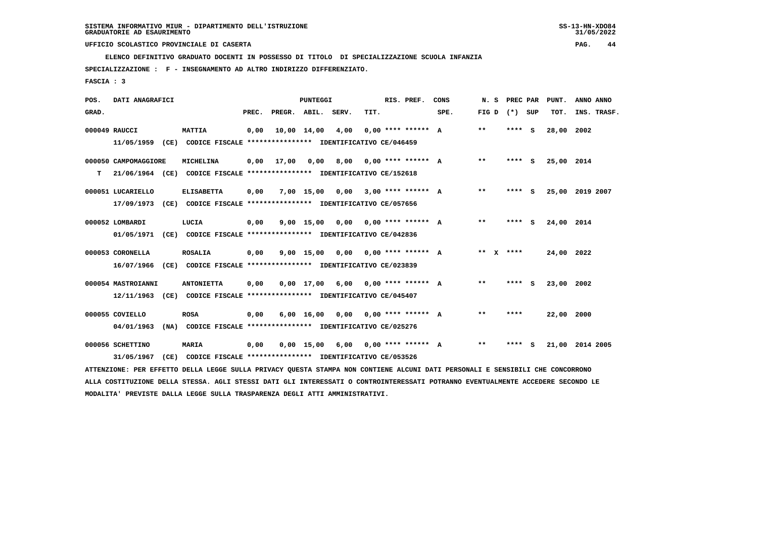**ELENCO DEFINITIVO GRADUATO DOCENTI IN POSSESSO DI TITOLO DI SPECIALIZZAZIONE SCUOLA INFANZIA**

 **SPECIALIZZAZIONE : F - INSEGNAMENTO AD ALTRO INDIRIZZO DIFFERENZIATO.**

 **FASCIA : 3**

| POS.  | DATI ANAGRAFICI      |      |                                                                                                                               |       |                    | PUNTEGGI     |      |      | RIS. PREF.                       | CONS | N. S        | PREC PAR |     | PUNT.      | ANNO ANNO       |
|-------|----------------------|------|-------------------------------------------------------------------------------------------------------------------------------|-------|--------------------|--------------|------|------|----------------------------------|------|-------------|----------|-----|------------|-----------------|
| GRAD. |                      |      |                                                                                                                               | PREC. | PREGR. ABIL. SERV. |              |      | TIT. |                                  | SPE. | FIG D       | $(*)$    | SUP | TOT.       | INS. TRASF.     |
|       | 000049 RAUCCI        |      | <b>MATTIA</b>                                                                                                                 | 0,00  |                    | 10,00 14,00  | 4,00 |      | $0.00$ **** ****** A             |      | $* *$       | **** S   |     | 28,00      | 2002            |
|       | 11/05/1959           |      | (CE) CODICE FISCALE **************** IDENTIFICATIVO CE/046459                                                                 |       |                    |              |      |      |                                  |      |             |          |     |            |                 |
|       | 000050 CAMPOMAGGIORE |      | MICHELINA                                                                                                                     | 0,00  | 17,00              | 0,00         | 8,00 |      | $0.00$ **** ****** A             |      | $***$       | **** S   |     | 25,00 2014 |                 |
| т     |                      |      | 21/06/1964 (CE) CODICE FISCALE *************** IDENTIFICATIVO CE/152618                                                       |       |                    |              |      |      |                                  |      |             |          |     |            |                 |
|       | 000051 LUCARIELLO    |      | <b>ELISABETTA</b>                                                                                                             | 0,00  |                    | $7.00$ 15.00 | 0.00 |      | $3,00$ **** ****** A             |      | $***$       | **** S   |     |            | 25,00 2019 2007 |
|       | 17/09/1973           |      | (CE) CODICE FISCALE **************** IDENTIFICATIVO CE/057656                                                                 |       |                    |              |      |      |                                  |      |             |          |     |            |                 |
|       | 000052 LOMBARDI      |      | LUCIA                                                                                                                         | 0,00  |                    | $9,00$ 15,00 | 0,00 |      | $0.00$ **** ****** A             |      | $* *$       | **** S   |     | 24,00 2014 |                 |
|       | 01/05/1971           |      | (CE) CODICE FISCALE **************** IDENTIFICATIVO CE/042836                                                                 |       |                    |              |      |      |                                  |      |             |          |     |            |                 |
|       | 000053 CORONELLA     |      | <b>ROSALIA</b>                                                                                                                | 0,00  |                    | $9,00$ 15,00 | 0,00 |      | $0.00$ **** ****** A             |      | ** $X$ **** |          |     | 24,00 2022 |                 |
|       | 16/07/1966           |      | (CE) CODICE FISCALE **************** IDENTIFICATIVO CE/023839                                                                 |       |                    |              |      |      |                                  |      |             |          |     |            |                 |
|       | 000054 MASTROIANNI   |      | <b>ANTONIETTA</b>                                                                                                             | 0.00  |                    | $0.00$ 17.00 |      |      | $6.00$ $0.00$ $***$ **** ***** A |      | $* *$       | ****     | - 5 | 23,00 2002 |                 |
|       | 12/11/1963           |      | (CE) CODICE FISCALE **************** IDENTIFICATIVO CE/045407                                                                 |       |                    |              |      |      |                                  |      |             |          |     |            |                 |
|       | 000055 COVIELLO      |      | <b>ROSA</b>                                                                                                                   | 0,00  |                    | 6,00 16,00   |      |      | $0.00$ $0.00$ $***$ **** ***** A |      | $* *$       | ****     |     | 22,00 2000 |                 |
|       | 04/01/1963           |      | (NA) CODICE FISCALE **************** IDENTIFICATIVO CE/025276                                                                 |       |                    |              |      |      |                                  |      |             |          |     |            |                 |
|       | 000056 SCHETTINO     |      | <b>MARIA</b>                                                                                                                  | 0,00  |                    | $0.00$ 15.00 | 6,00 |      | $0.00$ **** ****** A             |      | $***$       | ****     | - S |            | 21,00 2014 2005 |
|       | 31/05/1967           | (CE) | CODICE FISCALE **************** IDENTIFICATIVO CE/053526                                                                      |       |                    |              |      |      |                                  |      |             |          |     |            |                 |
|       |                      |      | ATTENZIONE: PER EFFETTO DELLA LEGGE SULLA PRIVACY QUESTA STAMPA NON CONTIENE ALCUNI DATI PERSONALI E SENSIBILI CHE CONCORRONO |       |                    |              |      |      |                                  |      |             |          |     |            |                 |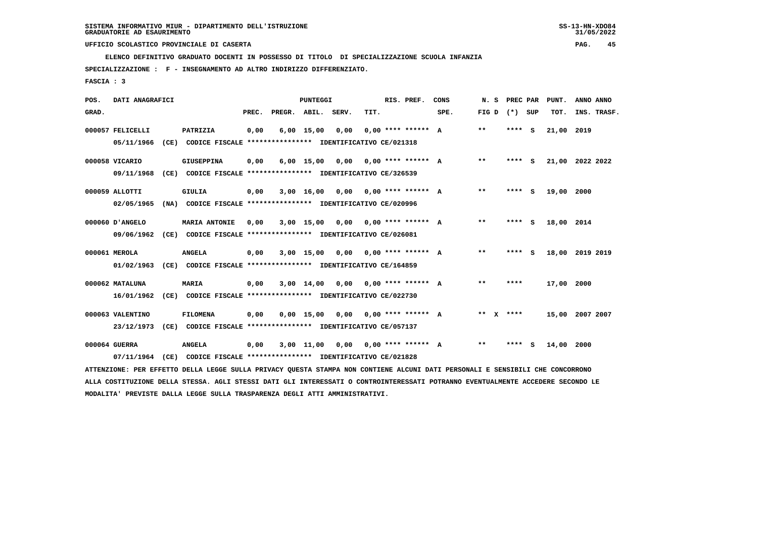**ELENCO DEFINITIVO GRADUATO DOCENTI IN POSSESSO DI TITOLO DI SPECIALIZZAZIONE SCUOLA INFANZIA**

 **SPECIALIZZAZIONE : F - INSEGNAMENTO AD ALTRO INDIRIZZO DIFFERENZIATO.**

 **FASCIA : 3**

| POS.  | DATI ANAGRAFICI  |      |                                                                                                                               |       |                    | <b>PUNTEGGI</b> |                                      |      | RIS. PREF.           | CONS | N. S  | PREC PAR | PUNT.           | ANNO ANNO |             |
|-------|------------------|------|-------------------------------------------------------------------------------------------------------------------------------|-------|--------------------|-----------------|--------------------------------------|------|----------------------|------|-------|----------|-----------------|-----------|-------------|
| GRAD. |                  |      |                                                                                                                               | PREC. | PREGR. ABIL. SERV. |                 |                                      | TIT. |                      | SPE. | FIG D | (*) SUP  | TOT.            |           | INS. TRASF. |
|       | 000057 FELICELLI |      | PATRIZIA                                                                                                                      | 0,00  |                    | $6,00$ 15,00    | 0,00                                 |      | $0.00$ **** ****** A |      | $* *$ | **** S   | 21,00           | 2019      |             |
|       | 05/11/1966       |      | (CE) CODICE FISCALE **************** IDENTIFICATIVO CE/021318                                                                 |       |                    |                 |                                      |      |                      |      |       |          |                 |           |             |
|       | 000058 VICARIO   |      | GIUSEPPINA                                                                                                                    | 0.00  |                    |                 | $6,00$ 15,00 0,00 0,00 **** ****** A |      |                      |      | $***$ | **** S   | 21,00 2022 2022 |           |             |
|       | 09/11/1968       |      | (CE) CODICE FISCALE **************** IDENTIFICATIVO CE/326539                                                                 |       |                    |                 |                                      |      |                      |      |       |          |                 |           |             |
|       | 000059 ALLOTTI   |      | GIULIA                                                                                                                        | 0,00  |                    |                 | $3,00$ 16,00 0,00 0,00 **** ****** A |      |                      |      | $* *$ | $***$ S  | 19,00 2000      |           |             |
|       | 02/05/1965       |      | (NA) CODICE FISCALE **************** IDENTIFICATIVO CE/020996                                                                 |       |                    |                 |                                      |      |                      |      |       |          |                 |           |             |
|       | 000060 D'ANGELO  |      | <b>MARIA ANTONIE</b>                                                                                                          | 0,00  |                    |                 | $3,00$ 15,00 0,00 0,00 **** ****** A |      |                      |      | $***$ | **** S   | 18,00 2014      |           |             |
|       | 09/06/1962       |      | (CE) CODICE FISCALE **************** IDENTIFICATIVO CE/026081                                                                 |       |                    |                 |                                      |      |                      |      |       |          |                 |           |             |
|       | 000061 MEROLA    |      | <b>ANGELA</b>                                                                                                                 | 0,00  |                    |                 | $3,00$ 15,00 0,00 0,00 **** ****** A |      |                      |      | $* *$ | **** S   | 18,00 2019 2019 |           |             |
|       | 01/02/1963       |      | (CE) CODICE FISCALE **************** IDENTIFICATIVO CE/164859                                                                 |       |                    |                 |                                      |      |                      |      |       |          |                 |           |             |
|       | 000062 MATALUNA  |      | <b>MARIA</b>                                                                                                                  | 0,00  |                    |                 | $3,00$ 14,00 0,00 0,00 **** ****** A |      |                      |      | **    | ****     | 17,00 2000      |           |             |
|       | 16/01/1962       |      | (CE) CODICE FISCALE **************** IDENTIFICATIVO CE/022730                                                                 |       |                    |                 |                                      |      |                      |      |       |          |                 |           |             |
|       | 000063 VALENTINO |      | <b>FILOMENA</b>                                                                                                               | 0,00  |                    |                 | $0,00$ 15,00 0,00 0,00 **** ****** A |      |                      |      | ** X  | ****     | 15,00 2007 2007 |           |             |
|       | 23/12/1973       |      | (CE) CODICE FISCALE **************** IDENTIFICATIVO CE/057137                                                                 |       |                    |                 |                                      |      |                      |      |       |          |                 |           |             |
|       |                  |      |                                                                                                                               |       |                    |                 |                                      |      |                      |      |       |          |                 |           |             |
|       | 000064 GUERRA    |      | <b>ANGELA</b>                                                                                                                 | 0,00  |                    |                 | $3,00$ 11,00 0,00 0,00 **** ****** A |      |                      |      | $***$ | **** S   | 14,00           | 2000      |             |
|       | 07/11/1964       | (CE) | CODICE FISCALE **************** IDENTIFICATIVO CE/021828                                                                      |       |                    |                 |                                      |      |                      |      |       |          |                 |           |             |
|       |                  |      | ATTENZIONE: PER EFFETTO DELLA LEGGE SULLA PRIVACY QUESTA STAMPA NON CONTIENE ALCUNI DATI PERSONALI E SENSIBILI CHE CONCORRONO |       |                    |                 |                                      |      |                      |      |       |          |                 |           |             |